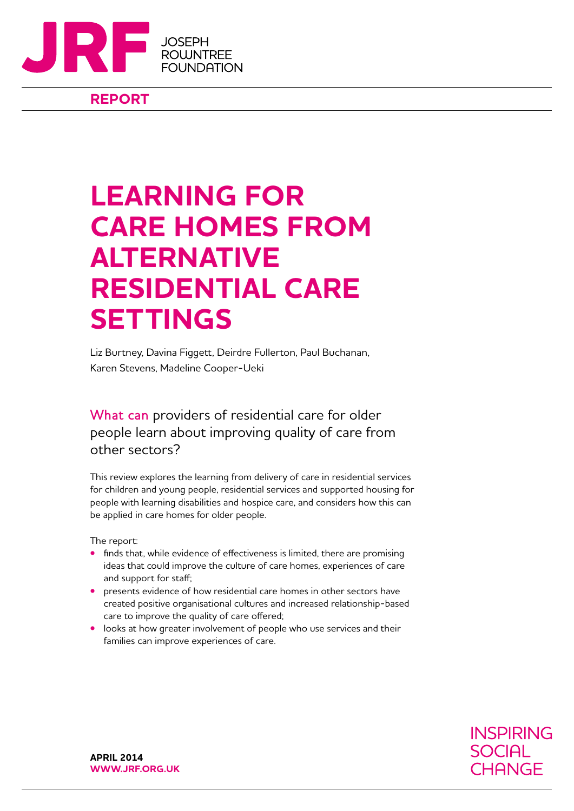

# **REPORT**

# **LEARNING FOR CARE HOMES FROM ALTERNATIVE RESIDENTIAL CARE SETTINGS**

Liz Burtney, Davina Figgett, Deirdre Fullerton, Paul Buchanan, Karen Stevens, Madeline Cooper-Ueki

What can providers of residential care for older people learn about improving quality of care from other sectors?

This review explores the learning from delivery of care in residential services for children and young people, residential services and supported housing for people with learning disabilities and hospice care, and considers how this can be applied in care homes for older people.

The report:

- **•** finds that, while evidence of effectiveness is limited, there are promising ideas that could improve the culture of care homes, experiences of care and support for staff;
- **•** presents evidence of how residential care homes in other sectors have created positive organisational cultures and increased relationship-based care to improve the quality of care offered;
- **•** looks at how greater involvement of people who use services and their families can improve experiences of care.

**INSPIRING SOCIAL** CHANGE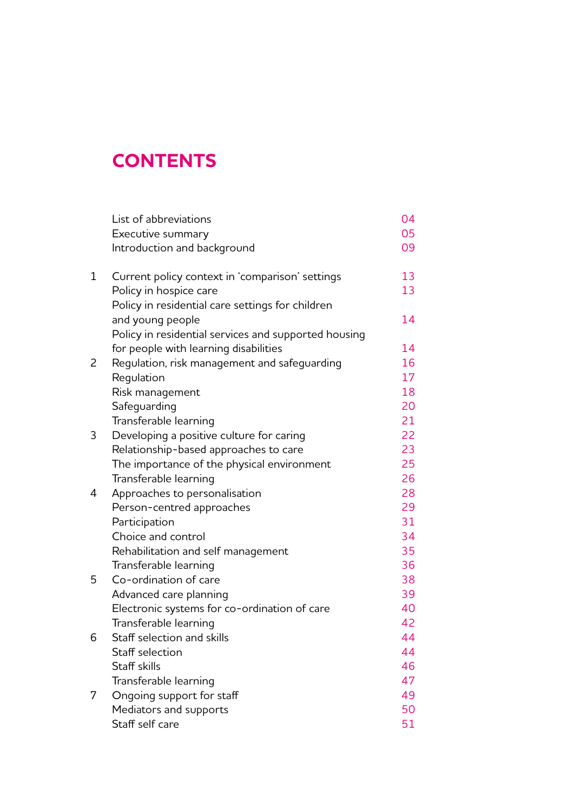# **CONTENTS**

|             | List of abbreviations                                | 04 |
|-------------|------------------------------------------------------|----|
|             | Executive summary                                    | 05 |
|             | Introduction and background                          | 09 |
| $\mathbf 1$ | Current policy context in 'comparison' settings      | 13 |
|             | Policy in hospice care                               | 13 |
|             | Policy in residential care settings for children     |    |
|             | and young people                                     | 14 |
|             | Policy in residential services and supported housing |    |
|             | for people with learning disabilities                | 14 |
| 2           | Regulation, risk management and safeguarding         | 16 |
|             | Regulation                                           | 17 |
|             | Risk management                                      | 18 |
|             | Safeguarding                                         | 20 |
|             | Transferable learning                                | 21 |
| 3           | Developing a positive culture for caring             | 22 |
|             | Relationship-based approaches to care                | 23 |
|             | The importance of the physical environment           | 25 |
|             | Transferable learning                                | 26 |
| 4           | Approaches to personalisation                        | 28 |
|             | Person-centred approaches                            | 29 |
|             | Participation                                        | 31 |
|             | Choice and control                                   | 34 |
|             | Rehabilitation and self management                   | 35 |
|             | Transferable learning                                | 36 |
| 5           | Co-ordination of care                                | 38 |
|             | Advanced care planning                               | 39 |
|             | Electronic systems for co-ordination of care         | 40 |
|             | Transferable learning                                | 42 |
| 6           | Staff selection and skills                           | 44 |
|             | Staff selection                                      | 44 |
|             | Staff skills                                         | 46 |
|             | Transferable learning                                | 47 |
| 7           | Ongoing support for staff                            | 49 |
|             | Mediators and supports                               | 50 |
|             | Staff self care                                      | 51 |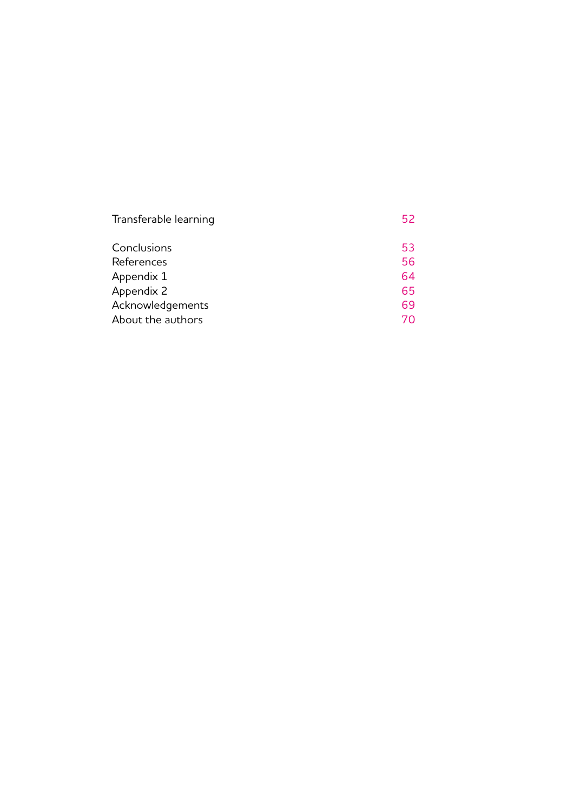| Transferable learning | 52 |
|-----------------------|----|
| Conclusions           | 53 |
| References            | 56 |
| Appendix 1            | 64 |
| Appendix 2            | 65 |
| Acknowledgements      | 69 |
| About the authors     | 70 |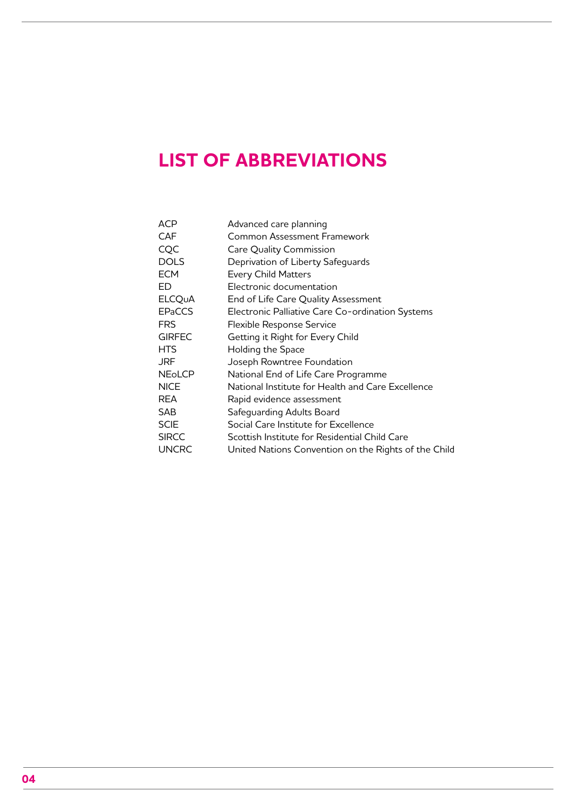# <span id="page-3-0"></span>**LIST OF ABBREVIATIONS**

| <b>ACP</b>    | Advanced care planning                               |
|---------------|------------------------------------------------------|
| <b>CAF</b>    | Common Assessment Framework                          |
| CQC           | Care Quality Commission                              |
| <b>DOLS</b>   | Deprivation of Liberty Safeguards                    |
| <b>ECM</b>    | <b>Every Child Matters</b>                           |
| ED            | Electronic documentation                             |
| <b>ELCQUA</b> | End of Life Care Quality Assessment                  |
| <b>EPaCCS</b> | Electronic Palliative Care Co-ordination Systems     |
| <b>FRS</b>    | Flexible Response Service                            |
| <b>GIRFEC</b> | Getting it Right for Every Child                     |
| <b>HTS</b>    | Holding the Space                                    |
| <b>JRF</b>    | Joseph Rowntree Foundation                           |
| <b>NEOLCP</b> | National End of Life Care Programme                  |
| <b>NICE</b>   | National Institute for Health and Care Excellence    |
| REA           | Rapid evidence assessment                            |
| <b>SAB</b>    | Safeguarding Adults Board                            |
| <b>SCIE</b>   | Social Care Institute for Excellence                 |
| <b>SIRCC</b>  | Scottish Institute for Residential Child Care        |
| <b>UNCRC</b>  | United Nations Convention on the Rights of the Child |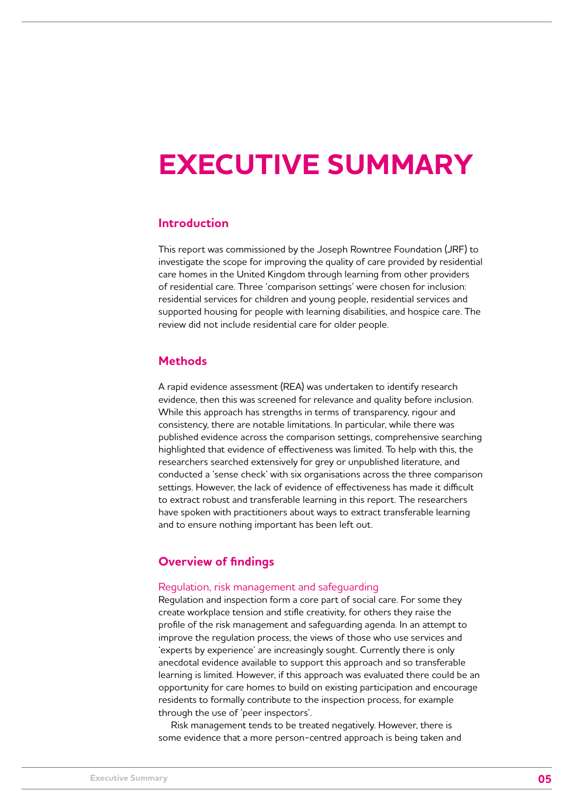# <span id="page-4-0"></span>**EXECUTIVE SUMMARY**

# **Introduction**

This report was commissioned by the Joseph Rowntree Foundation (JRF) to investigate the scope for improving the quality of care provided by residential care homes in the United Kingdom through learning from other providers of residential care. Three 'comparison settings' were chosen for inclusion: residential services for children and young people, residential services and supported housing for people with learning disabilities, and hospice care. The review did not include residential care for older people.

# **Methods**

A rapid evidence assessment (REA) was undertaken to identify research evidence, then this was screened for relevance and quality before inclusion. While this approach has strengths in terms of transparency, rigour and consistency, there are notable limitations. In particular, while there was published evidence across the comparison settings, comprehensive searching highlighted that evidence of effectiveness was limited. To help with this, the researchers searched extensively for grey or unpublished literature, and conducted a 'sense check' with six organisations across the three comparison settings. However, the lack of evidence of effectiveness has made it difficult to extract robust and transferable learning in this report. The researchers have spoken with practitioners about ways to extract transferable learning and to ensure nothing important has been left out.

# **Overview of findings**

# Regulation, risk management and safeguarding

Regulation and inspection form a core part of social care. For some they create workplace tension and stifle creativity, for others they raise the profile of the risk management and safeguarding agenda. In an attempt to improve the regulation process, the views of those who use services and 'experts by experience' are increasingly sought. Currently there is only anecdotal evidence available to support this approach and so transferable learning is limited. However, if this approach was evaluated there could be an opportunity for care homes to build on existing participation and encourage residents to formally contribute to the inspection process, for example through the use of 'peer inspectors'.

Risk management tends to be treated negatively. However, there is some evidence that a more person-centred approach is being taken and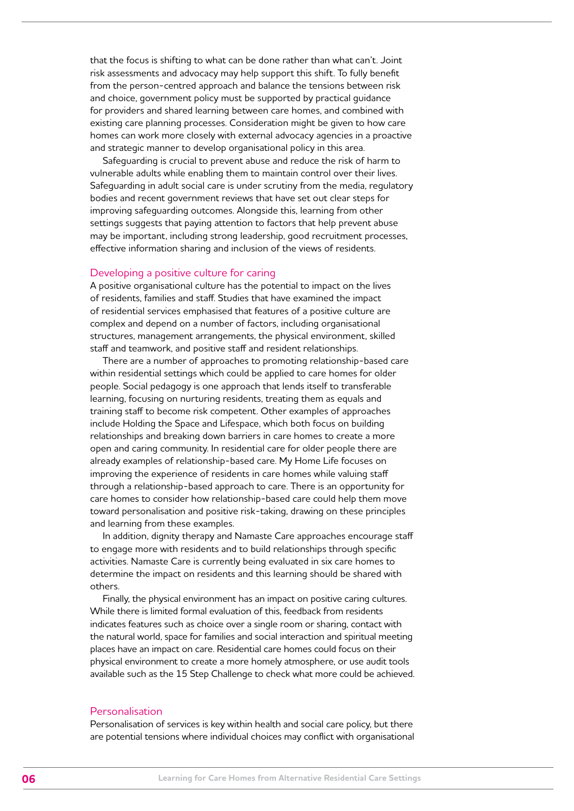that the focus is shifting to what can be done rather than what can't. Joint risk assessments and advocacy may help support this shift. To fully benefit from the person-centred approach and balance the tensions between risk and choice, government policy must be supported by practical guidance for providers and shared learning between care homes, and combined with existing care planning processes. Consideration might be given to how care homes can work more closely with external advocacy agencies in a proactive and strategic manner to develop organisational policy in this area.

Safeguarding is crucial to prevent abuse and reduce the risk of harm to vulnerable adults while enabling them to maintain control over their lives. Safeguarding in adult social care is under scrutiny from the media, regulatory bodies and recent government reviews that have set out clear steps for improving safeguarding outcomes. Alongside this, learning from other settings suggests that paying attention to factors that help prevent abuse may be important, including strong leadership, good recruitment processes, effective information sharing and inclusion of the views of residents.

### Developing a positive culture for caring

A positive organisational culture has the potential to impact on the lives of residents, families and staff. Studies that have examined the impact of residential services emphasised that features of a positive culture are complex and depend on a number of factors, including organisational structures, management arrangements, the physical environment, skilled staff and teamwork, and positive staff and resident relationships.

There are a number of approaches to promoting relationship-based care within residential settings which could be applied to care homes for older people. Social pedagogy is one approach that lends itself to transferable learning, focusing on nurturing residents, treating them as equals and training staff to become risk competent. Other examples of approaches include Holding the Space and Lifespace, which both focus on building relationships and breaking down barriers in care homes to create a more open and caring community. In residential care for older people there are already examples of relationship-based care. My Home Life focuses on improving the experience of residents in care homes while valuing staff through a relationship-based approach to care. There is an opportunity for care homes to consider how relationship-based care could help them move toward personalisation and positive risk-taking, drawing on these principles and learning from these examples.

In addition, dignity therapy and Namaste Care approaches encourage staff to engage more with residents and to build relationships through specific activities. Namaste Care is currently being evaluated in six care homes to determine the impact on residents and this learning should be shared with others.

Finally, the physical environment has an impact on positive caring cultures. While there is limited formal evaluation of this, feedback from residents indicates features such as choice over a single room or sharing, contact with the natural world, space for families and social interaction and spiritual meeting places have an impact on care. Residential care homes could focus on their physical environment to create a more homely atmosphere, or use audit tools available such as the 15 Step Challenge to check what more could be achieved.

# Personalisation

Personalisation of services is key within health and social care policy, but there are potential tensions where individual choices may conflict with organisational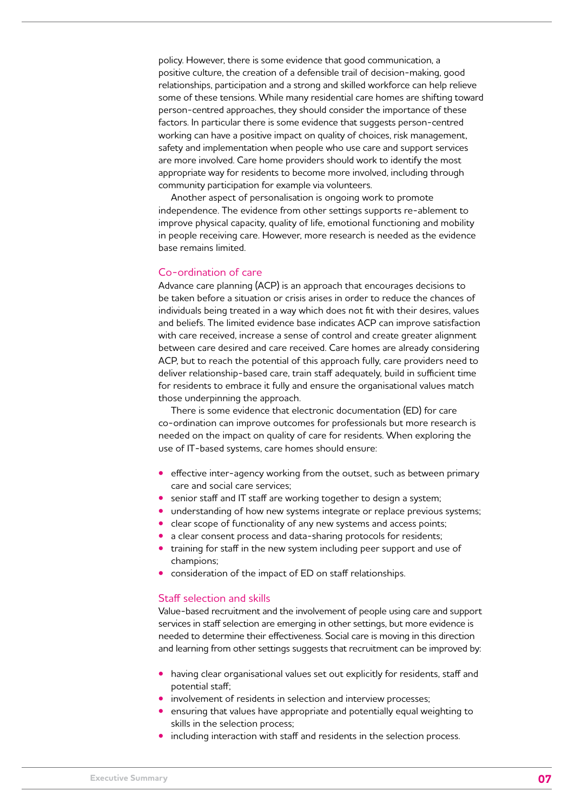policy. However, there is some evidence that good communication, a positive culture, the creation of a defensible trail of decision-making, good relationships, participation and a strong and skilled workforce can help relieve some of these tensions. While many residential care homes are shifting toward person-centred approaches, they should consider the importance of these factors. In particular there is some evidence that suggests person-centred working can have a positive impact on quality of choices, risk management, safety and implementation when people who use care and support services are more involved. Care home providers should work to identify the most appropriate way for residents to become more involved, including through community participation for example via volunteers.

Another aspect of personalisation is ongoing work to promote independence. The evidence from other settings supports re-ablement to improve physical capacity, quality of life, emotional functioning and mobility in people receiving care. However, more research is needed as the evidence base remains limited.

#### Co-ordination of care

Advance care planning (ACP) is an approach that encourages decisions to be taken before a situation or crisis arises in order to reduce the chances of individuals being treated in a way which does not fit with their desires, values and beliefs. The limited evidence base indicates ACP can improve satisfaction with care received, increase a sense of control and create greater alignment between care desired and care received. Care homes are already considering ACP, but to reach the potential of this approach fully, care providers need to deliver relationship-based care, train staff adequately, build in sufficient time for residents to embrace it fully and ensure the organisational values match those underpinning the approach.

There is some evidence that electronic documentation (ED) for care co-ordination can improve outcomes for professionals but more research is needed on the impact on quality of care for residents. When exploring the use of IT-based systems, care homes should ensure:

- **•** effective inter-agency working from the outset, such as between primary care and social care services;
- **•** senior staff and IT staff are working together to design a system;
- **•** understanding of how new systems integrate or replace previous systems;
- **•** clear scope of functionality of any new systems and access points;
- **•** a clear consent process and data-sharing protocols for residents;
- **•** training for staff in the new system including peer support and use of champions;
- **•** consideration of the impact of ED on staff relationships.

# Staff selection and skills

Value-based recruitment and the involvement of people using care and support services in staff selection are emerging in other settings, but more evidence is needed to determine their effectiveness. Social care is moving in this direction and learning from other settings suggests that recruitment can be improved by:

- **•** having clear organisational values set out explicitly for residents, staff and potential staff;
- **•** involvement of residents in selection and interview processes;
- **•** ensuring that values have appropriate and potentially equal weighting to skills in the selection process;
- **•** including interaction with staff and residents in the selection process.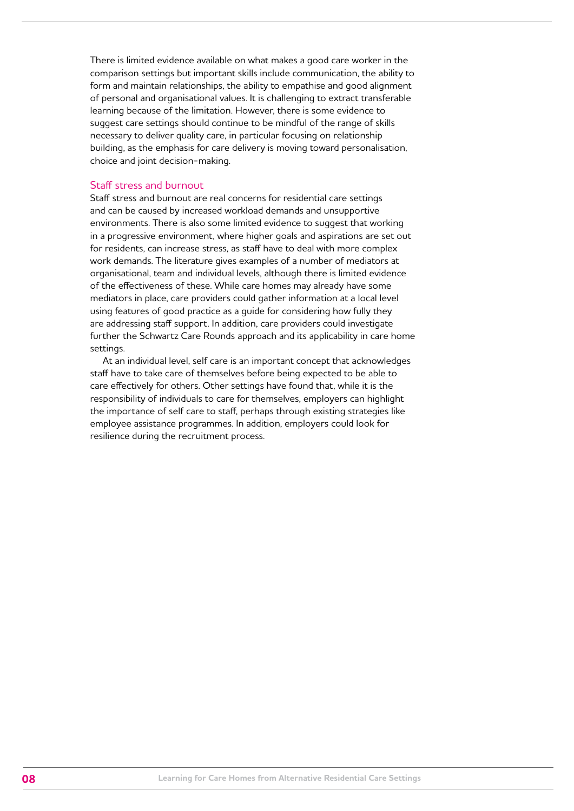There is limited evidence available on what makes a good care worker in the comparison settings but important skills include communication, the ability to form and maintain relationships, the ability to empathise and good alignment of personal and organisational values. It is challenging to extract transferable learning because of the limitation. However, there is some evidence to suggest care settings should continue to be mindful of the range of skills necessary to deliver quality care, in particular focusing on relationship building, as the emphasis for care delivery is moving toward personalisation, choice and joint decision-making.

# Staff stress and burnout

Staff stress and burnout are real concerns for residential care settings and can be caused by increased workload demands and unsupportive environments. There is also some limited evidence to suggest that working in a progressive environment, where higher goals and aspirations are set out for residents, can increase stress, as staff have to deal with more complex work demands. The literature gives examples of a number of mediators at organisational, team and individual levels, although there is limited evidence of the effectiveness of these. While care homes may already have some mediators in place, care providers could gather information at a local level using features of good practice as a guide for considering how fully they are addressing staff support. In addition, care providers could investigate further the Schwartz Care Rounds approach and its applicability in care home settings.

At an individual level, self care is an important concept that acknowledges staff have to take care of themselves before being expected to be able to care effectively for others. Other settings have found that, while it is the responsibility of individuals to care for themselves, employers can highlight the importance of self care to staff, perhaps through existing strategies like employee assistance programmes. In addition, employers could look for resilience during the recruitment process.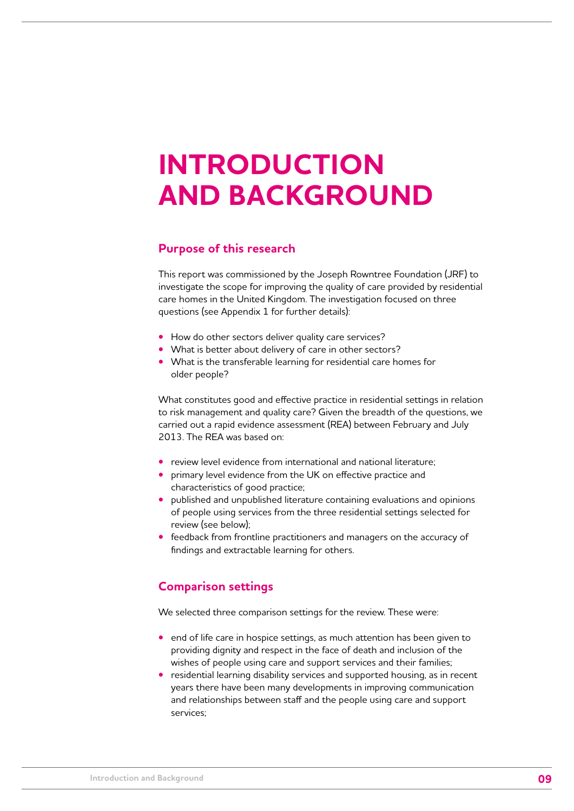# <span id="page-8-0"></span>**INTRODUCTION AND BACKGROUND**

# **Purpose of this research**

This report was commissioned by the Joseph Rowntree Foundation (JRF) to investigate the scope for improving the quality of care provided by residential care homes in the United Kingdom. The investigation focused on three questions (see Appendix 1 for further details):

- **•** How do other sectors deliver quality care services?
- **•** What is better about delivery of care in other sectors?
- **•** What is the transferable learning for residential care homes for older people?

What constitutes good and effective practice in residential settings in relation to risk management and quality care? Given the breadth of the questions, we carried out a rapid evidence assessment (REA) between February and July 2013. The REA was based on:

- **•** review level evidence from international and national literature;
- **•** primary level evidence from the UK on effective practice and characteristics of good practice;
- **•** published and unpublished literature containing evaluations and opinions of people using services from the three residential settings selected for review (see below);
- **•** feedback from frontline practitioners and managers on the accuracy of findings and extractable learning for others.

# **Comparison settings**

We selected three comparison settings for the review. These were:

- **•** end of life care in hospice settings, as much attention has been given to providing dignity and respect in the face of death and inclusion of the wishes of people using care and support services and their families;
- **•** residential learning disability services and supported housing, as in recent years there have been many developments in improving communication and relationships between staff and the people using care and support services;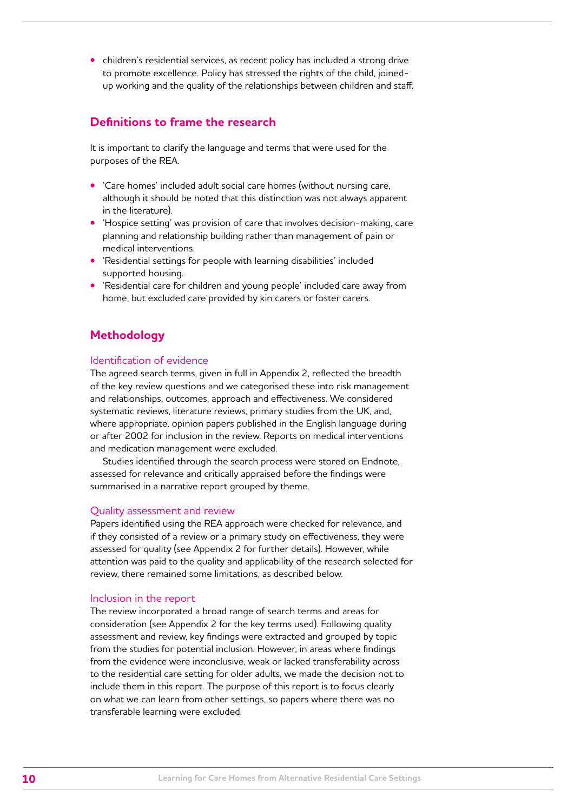**•** children's residential services, as recent policy has included a strong drive to promote excellence. Policy has stressed the rights of the child, joinedup working and the quality of the relationships between children and staff.

# **Definitions to frame the research**

It is important to clarify the language and terms that were used for the purposes of the REA.

- **•** 'Care homes' included adult social care homes (without nursing care, although it should be noted that this distinction was not always apparent in the literature).
- **•** 'Hospice setting' was provision of care that involves decision-making, care planning and relationship building rather than management of pain or medical interventions.
- **•** 'Residential settings for people with learning disabilities' included supported housing.
- **•** 'Residential care for children and young people' included care away from home, but excluded care provided by kin carers or foster carers.

# **Methodology**

# Identification of evidence

The agreed search terms, given in full in Appendix 2, reflected the breadth of the key review questions and we categorised these into risk management and relationships, outcomes, approach and effectiveness. We considered systematic reviews, literature reviews, primary studies from the UK, and, where appropriate, opinion papers published in the English language during or after 2002 for inclusion in the review. Reports on medical interventions and medication management were excluded.

Studies identified through the search process were stored on Endnote, assessed for relevance and critically appraised before the findings were summarised in a narrative report grouped by theme.

# Quality assessment and review

Papers identified using the REA approach were checked for relevance, and if they consisted of a review or a primary study on effectiveness, they were assessed for quality (see Appendix 2 for further details). However, while attention was paid to the quality and applicability of the research selected for review, there remained some limitations, as described below.

# Inclusion in the report

The review incorporated a broad range of search terms and areas for consideration (see Appendix 2 for the key terms used). Following quality assessment and review, key findings were extracted and grouped by topic from the studies for potential inclusion. However, in areas where findings from the evidence were inconclusive, weak or lacked transferability across to the residential care setting for older adults, we made the decision not to include them in this report. The purpose of this report is to focus clearly on what we can learn from other settings, so papers where there was no transferable learning were excluded.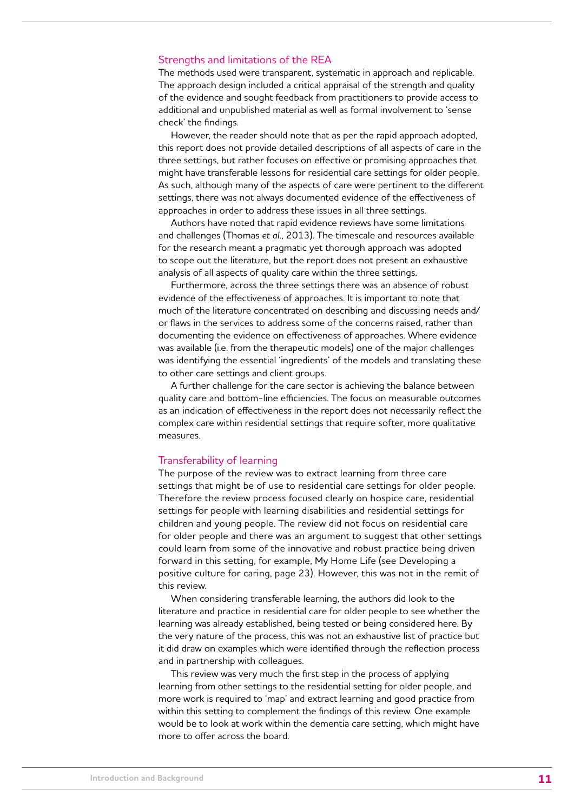### Strengths and limitations of the REA

The methods used were transparent, systematic in approach and replicable. The approach design included a critical appraisal of the strength and quality of the evidence and sought feedback from practitioners to provide access to additional and unpublished material as well as formal involvement to 'sense check' the findings.

However, the reader should note that as per the rapid approach adopted, this report does not provide detailed descriptions of all aspects of care in the three settings, but rather focuses on effective or promising approaches that might have transferable lessons for residential care settings for older people. As such, although many of the aspects of care were pertinent to the different settings, there was not always documented evidence of the effectiveness of approaches in order to address these issues in all three settings.

Authors have noted that rapid evidence reviews have some limitations and challenges (Thomas *et al.*, 2013). The timescale and resources available for the research meant a pragmatic yet thorough approach was adopted to scope out the literature, but the report does not present an exhaustive analysis of all aspects of quality care within the three settings.

Furthermore, across the three settings there was an absence of robust evidence of the effectiveness of approaches. It is important to note that much of the literature concentrated on describing and discussing needs and/ or flaws in the services to address some of the concerns raised, rather than documenting the evidence on effectiveness of approaches. Where evidence was available (i.e. from the therapeutic models) one of the major challenges was identifying the essential 'ingredients' of the models and translating these to other care settings and client groups.

A further challenge for the care sector is achieving the balance between quality care and bottom-line efficiencies. The focus on measurable outcomes as an indication of effectiveness in the report does not necessarily reflect the complex care within residential settings that require softer, more qualitative measures.

# Transferability of learning

The purpose of the review was to extract learning from three care settings that might be of use to residential care settings for older people. Therefore the review process focused clearly on hospice care, residential settings for people with learning disabilities and residential settings for children and young people. The review did not focus on residential care for older people and there was an argument to suggest that other settings could learn from some of the innovative and robust practice being driven forward in this setting, for example, My Home Life (see Developing a positive culture for caring, page 23). However, this was not in the remit of this review.

When considering transferable learning, the authors did look to the literature and practice in residential care for older people to see whether the learning was already established, being tested or being considered here. By the very nature of the process, this was not an exhaustive list of practice but it did draw on examples which were identified through the reflection process and in partnership with colleagues.

This review was very much the first step in the process of applying learning from other settings to the residential setting for older people, and more work is required to 'map' and extract learning and good practice from within this setting to complement the findings of this review. One example would be to look at work within the dementia care setting, which might have more to offer across the board.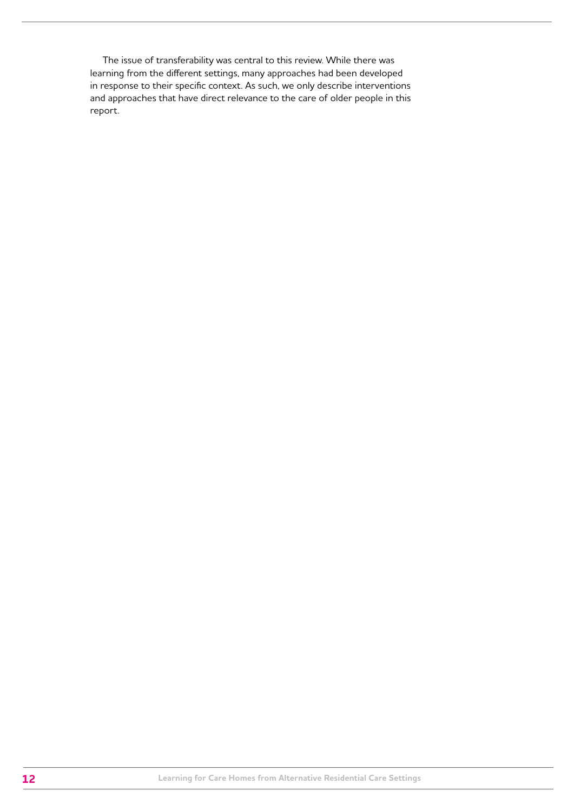The issue of transferability was central to this review. While there was learning from the different settings, many approaches had been developed in response to their specific context. As such, we only describe interventions and approaches that have direct relevance to the care of older people in this report.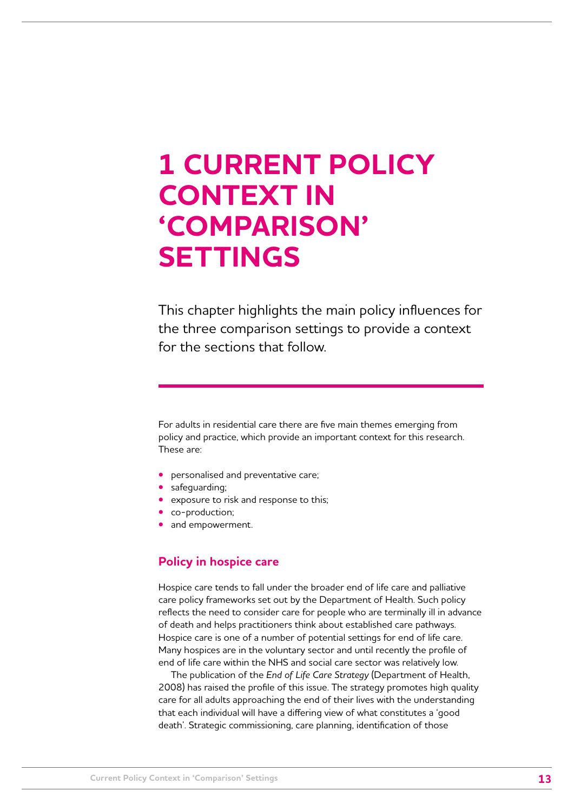# <span id="page-12-0"></span>**1 CURRENT POLICY CONTEXT IN 'COMPARISON' SETTINGS**

This chapter highlights the main policy influences for the three comparison settings to provide a context for the sections that follow.

For adults in residential care there are five main themes emerging from policy and practice, which provide an important context for this research. These are:

- **•** personalised and preventative care;
- **•** safeguarding;
- **•** exposure to risk and response to this;
- **•** co-production;
- **•** and empowerment.

# **Policy in hospice care**

Hospice care tends to fall under the broader end of life care and palliative care policy frameworks set out by the Department of Health. Such policy reflects the need to consider care for people who are terminally ill in advance of death and helps practitioners think about established care pathways. Hospice care is one of a number of potential settings for end of life care. Many hospices are in the voluntary sector and until recently the profile of end of life care within the NHS and social care sector was relatively low.

The publication of the *End of Life Care Strategy* (Department of Health, 2008) has raised the profile of this issue. The strategy promotes high quality care for all adults approaching the end of their lives with the understanding that each individual will have a differing view of what constitutes a 'good death'. Strategic commissioning, care planning, identification of those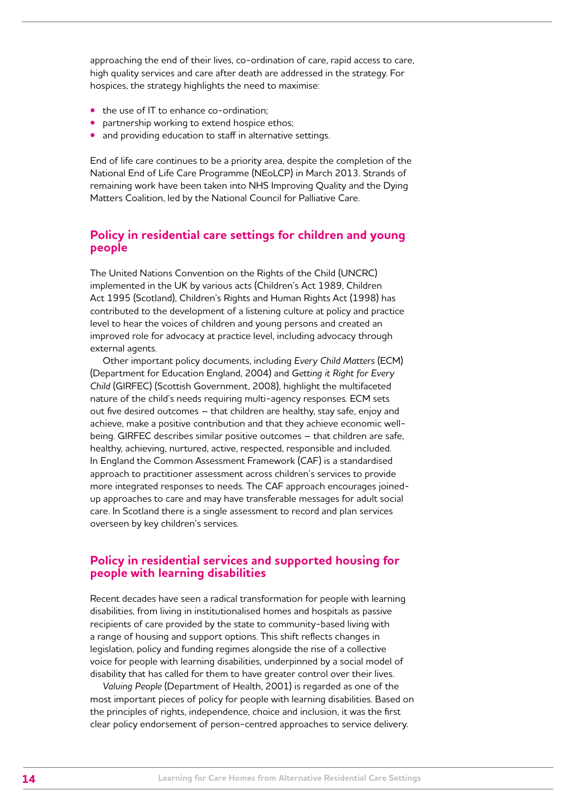<span id="page-13-0"></span>approaching the end of their lives, co-ordination of care, rapid access to care, high quality services and care after death are addressed in the strategy. For hospices, the strategy highlights the need to maximise:

- **•** the use of IT to enhance co-ordination;
- partnership working to extend hospice ethos;
- **•** and providing education to staff in alternative settings.

End of life care continues to be a priority area, despite the completion of the National End of Life Care Programme (NEoLCP) in March 2013. Strands of remaining work have been taken into NHS Improving Quality and the Dying Matters Coalition, led by the National Council for Palliative Care.

# **Policy in residential care settings for children and young people**

The United Nations Convention on the Rights of the Child (UNCRC) implemented in the UK by various acts (Children's Act 1989, Children Act 1995 (Scotland), Children's Rights and Human Rights Act (1998) has contributed to the development of a listening culture at policy and practice level to hear the voices of children and young persons and created an improved role for advocacy at practice level, including advocacy through external agents.

Other important policy documents, including *Every Child Matters* (ECM) (Department for Education England, 2004) and *Getting it Right for Every Child* (GIRFEC) (Scottish Government, 2008), highlight the multifaceted nature of the child's needs requiring multi-agency responses. ECM sets out five desired outcomes – that children are healthy, stay safe, enjoy and achieve, make a positive contribution and that they achieve economic wellbeing. GIRFEC describes similar positive outcomes – that children are safe, healthy, achieving, nurtured, active, respected, responsible and included. In England the Common Assessment Framework (CAF) is a standardised approach to practitioner assessment across children's services to provide more integrated responses to needs. The CAF approach encourages joinedup approaches to care and may have transferable messages for adult social care. In Scotland there is a single assessment to record and plan services overseen by key children's services.

# **Policy in residential services and supported housing for people with learning disabilities**

Recent decades have seen a radical transformation for people with learning disabilities, from living in institutionalised homes and hospitals as passive recipients of care provided by the state to community-based living with a range of housing and support options. This shift reflects changes in legislation, policy and funding regimes alongside the rise of a collective voice for people with learning disabilities, underpinned by a social model of disability that has called for them to have greater control over their lives.

*Valuing People* (Department of Health, 2001) is regarded as one of the most important pieces of policy for people with learning disabilities. Based on the principles of rights, independence, choice and inclusion, it was the first clear policy endorsement of person-centred approaches to service delivery.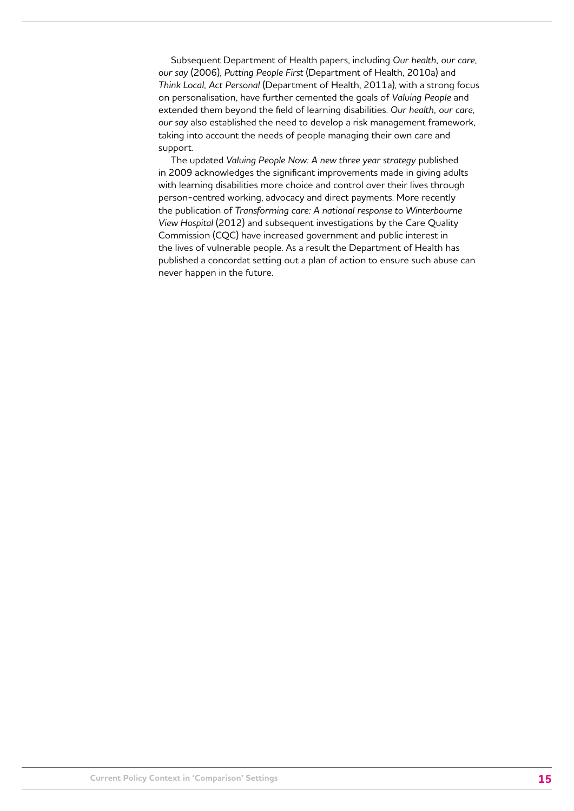Subsequent Department of Health papers, including *Our health, our care, our say* (2006), *Putting People First* (Department of Health, 2010a) and *Think Local, Act Personal* (Department of Health, 2011a), with a strong focus on personalisation, have further cemented the goals of *Valuing People* and extended them beyond the field of learning disabilities. *Our health, our care, our say* also established the need to develop a risk management framework, taking into account the needs of people managing their own care and support.

The updated *Valuing People Now: A new three year strategy* published in 2009 acknowledges the significant improvements made in giving adults with learning disabilities more choice and control over their lives through person-centred working, advocacy and direct payments. More recently the publication of *Transforming care: A national response to Winterbourne View Hospital* (2012) and subsequent investigations by the Care Quality Commission (CQC) have increased government and public interest in the lives of vulnerable people. As a result the Department of Health has published a concordat setting out a plan of action to ensure such abuse can never happen in the future.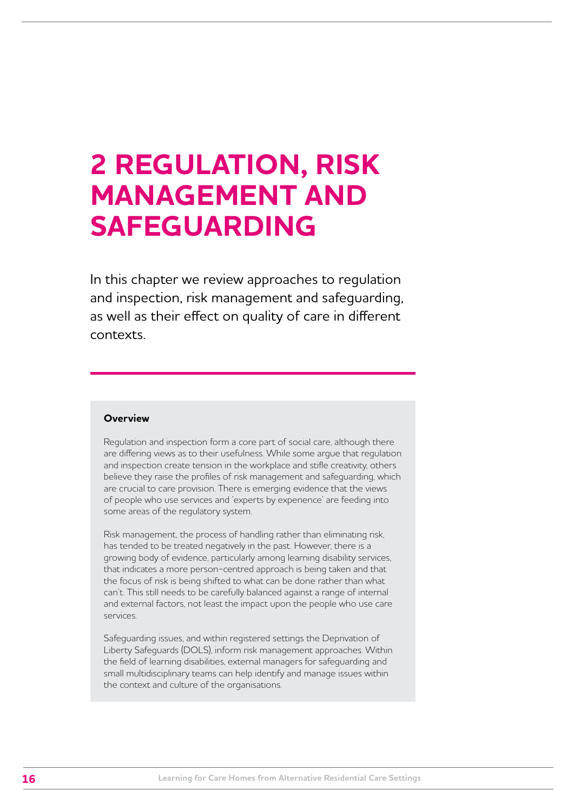# <span id="page-15-0"></span>**2 REGULATION, RISK MANAGEMENT AND SAFEGUARDING**

In this chapter we review approaches to regulation and inspection, risk management and safeguarding, as well as their effect on quality of care in different contexts.

# **Overview**

Regulation and inspection form a core part of social care, although there are differing views as to their usefulness. While some argue that regulation and inspection create tension in the workplace and stifle creativity, others believe they raise the profiles of risk management and safeguarding, which are crucial to care provision. There is emerging evidence that the views of people who use services and 'experts by experience' are feeding into some areas of the regulatory system.

Risk management, the process of handling rather than eliminating risk, has tended to be treated negatively in the past. However, there is a growing body of evidence, particularly among learning disability services, that indicates a more person-centred approach is being taken and that the focus of risk is being shifted to what can be done rather than what can't. This still needs to be carefully balanced against a range of internal and external factors, not least the impact upon the people who use care services.

Safeguarding issues, and within registered settings the Deprivation of Liberty Safeguards (DOLS), inform risk management approaches. Within the field of learning disabilities, external managers for safeguarding and small multidisciplinary teams can help identify and manage issues within the context and culture of the organisations.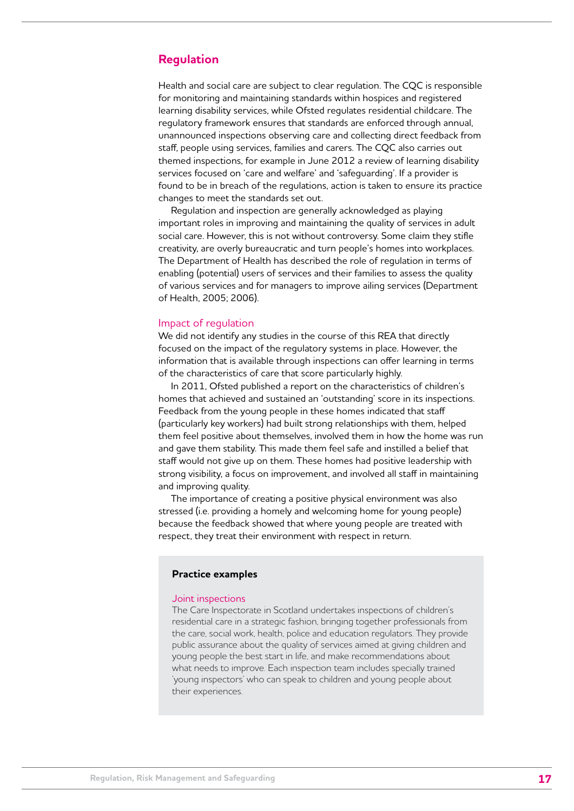# <span id="page-16-0"></span>**Regulation**

Health and social care are subject to clear regulation. The CQC is responsible for monitoring and maintaining standards within hospices and registered learning disability services, while Ofsted regulates residential childcare. The regulatory framework ensures that standards are enforced through annual, unannounced inspections observing care and collecting direct feedback from staff, people using services, families and carers. The CQC also carries out themed inspections, for example in June 2012 a review of learning disability services focused on 'care and welfare' and 'safeguarding'. If a provider is found to be in breach of the regulations, action is taken to ensure its practice changes to meet the standards set out.

Regulation and inspection are generally acknowledged as playing important roles in improving and maintaining the quality of services in adult social care. However, this is not without controversy. Some claim they stifle creativity, are overly bureaucratic and turn people's homes into workplaces. The Department of Health has described the role of regulation in terms of enabling (potential) users of services and their families to assess the quality of various services and for managers to improve ailing services (Department of Health, 2005; 2006).

### Impact of regulation

We did not identify any studies in the course of this REA that directly focused on the impact of the regulatory systems in place. However, the information that is available through inspections can offer learning in terms of the characteristics of care that score particularly highly.

In 2011, Ofsted published a report on the characteristics of children's homes that achieved and sustained an 'outstanding' score in its inspections. Feedback from the young people in these homes indicated that staff (particularly key workers) had built strong relationships with them, helped them feel positive about themselves, involved them in how the home was run and gave them stability. This made them feel safe and instilled a belief that staff would not give up on them. These homes had positive leadership with strong visibility, a focus on improvement, and involved all staff in maintaining and improving quality.

The importance of creating a positive physical environment was also stressed (i.e. providing a homely and welcoming home for young people) because the feedback showed that where young people are treated with respect, they treat their environment with respect in return.

#### **Practice examples**

#### Joint inspections

The Care Inspectorate in Scotland undertakes inspections of children's residential care in a strategic fashion, bringing together professionals from the care, social work, health, police and education regulators. They provide public assurance about the quality of services aimed at giving children and young people the best start in life, and make recommendations about what needs to improve. Each inspection team includes specially trained 'young inspectors' who can speak to children and young people about their experiences.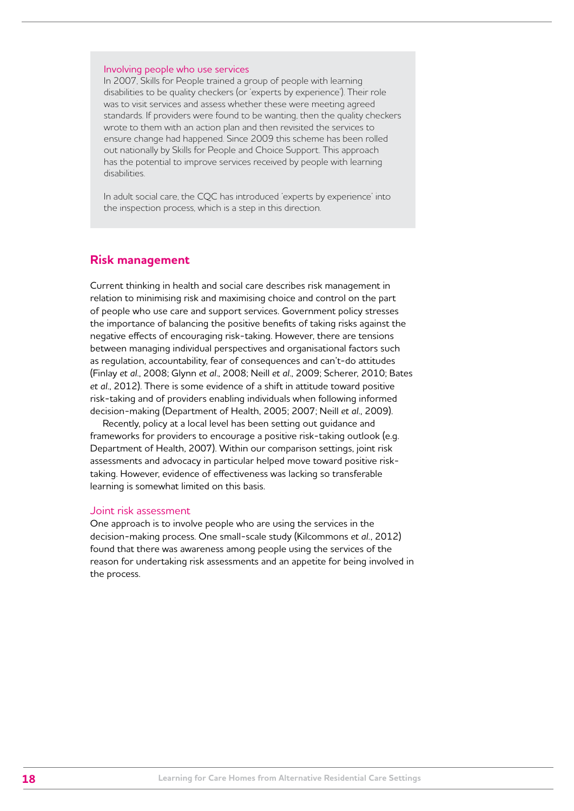### <span id="page-17-0"></span>Involving people who use services

In 2007, Skills for People trained a group of people with learning disabilities to be quality checkers (or 'experts by experience'). Their role was to visit services and assess whether these were meeting agreed standards. If providers were found to be wanting, then the quality checkers wrote to them with an action plan and then revisited the services to ensure change had happened. Since 2009 this scheme has been rolled out nationally by Skills for People and Choice Support. This approach has the potential to improve services received by people with learning disabilities.

In adult social care, the CQC has introduced 'experts by experience' into the inspection process, which is a step in this direction.

# **Risk management**

Current thinking in health and social care describes risk management in relation to minimising risk and maximising choice and control on the part of people who use care and support services. Government policy stresses the importance of balancing the positive benefits of taking risks against the negative effects of encouraging risk-taking. However, there are tensions between managing individual perspectives and organisational factors such as regulation, accountability, fear of consequences and can't-do attitudes (Finlay *et al*., 2008; Glynn *et al*., 2008; Neill *et al*., 2009; Scherer, 2010; Bates *et al*., 2012). There is some evidence of a shift in attitude toward positive risk-taking and of providers enabling individuals when following informed decision-making (Department of Health, 2005; 2007; Neill *et al*., 2009).

Recently, policy at a local level has been setting out guidance and frameworks for providers to encourage a positive risk-taking outlook (e.g. Department of Health, 2007). Within our comparison settings, joint risk assessments and advocacy in particular helped move toward positive risktaking. However, evidence of effectiveness was lacking so transferable learning is somewhat limited on this basis.

# Joint risk assessment

One approach is to involve people who are using the services in the decision-making process. One small-scale study (Kilcommons *et al.*, 2012) found that there was awareness among people using the services of the reason for undertaking risk assessments and an appetite for being involved in the process.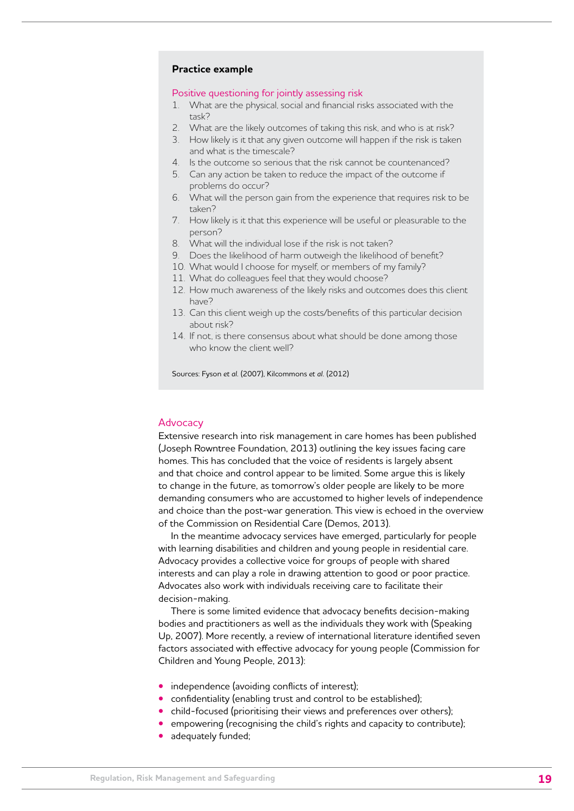# **Practice example**

#### Positive questioning for jointly assessing risk

- 1. What are the physical, social and financial risks associated with the task?
- 2. What are the likely outcomes of taking this risk, and who is at risk?
- 3. How likely is it that any given outcome will happen if the risk is taken and what is the timescale?
- 4. Is the outcome so serious that the risk cannot be countenanced?
- 5. Can any action be taken to reduce the impact of the outcome if problems do occur?
- 6. What will the person gain from the experience that requires risk to be taken?
- 7. How likely is it that this experience will be useful or pleasurable to the person?
- 8. What will the individual lose if the risk is not taken?
- 9. Does the likelihood of harm outweigh the likelihood of benefit?
- 10. What would I choose for myself, or members of my family?
- 11. What do colleagues feel that they would choose?
- 12. How much awareness of the likely risks and outcomes does this client have?
- 13. Can this client weigh up the costs/benefits of this particular decision about risk?
- 14. If not, is there consensus about what should be done among those who know the client well?

Sources: Fyson *et al.* (2007), Kilcommons *et al.* (2012)

#### Advocacy

Extensive research into risk management in care homes has been published (Joseph Rowntree Foundation, 2013) outlining the key issues facing care homes. This has concluded that the voice of residents is largely absent and that choice and control appear to be limited. Some argue this is likely to change in the future, as tomorrow's older people are likely to be more demanding consumers who are accustomed to higher levels of independence and choice than the post-war generation. This view is echoed in the overview of the Commission on Residential Care (Demos, 2013).

In the meantime advocacy services have emerged, particularly for people with learning disabilities and children and young people in residential care. Advocacy provides a collective voice for groups of people with shared interests and can play a role in drawing attention to good or poor practice. Advocates also work with individuals receiving care to facilitate their decision-making.

There is some limited evidence that advocacy benefits decision-making bodies and practitioners as well as the individuals they work with (Speaking Up, 2007). More recently, a review of international literature identified seven factors associated with effective advocacy for young people (Commission for Children and Young People, 2013):

- independence (avoiding conflicts of interest);
- confidentiality (enabling trust and control to be established);
- child-focused (prioritising their views and preferences over others);
- **•** empowering (recognising the child's rights and capacity to contribute);
- **•** adequately funded;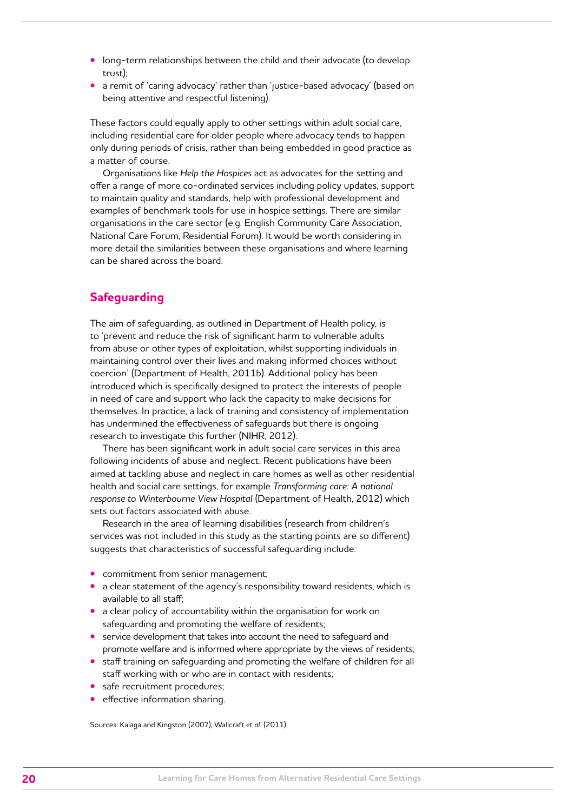- <span id="page-19-0"></span>**•** long-term relationships between the child and their advocate (to develop trust);
- **•** a remit of 'caring advocacy' rather than 'justice-based advocacy' (based on being attentive and respectful listening).

These factors could equally apply to other settings within adult social care, including residential care for older people where advocacy tends to happen only during periods of crisis, rather than being embedded in good practice as a matter of course.

Organisations like *Help the Hospices* act as advocates for the setting and offer a range of more co-ordinated services including policy updates, support to maintain quality and standards, help with professional development and examples of benchmark tools for use in hospice settings. There are similar organisations in the care sector (e.g. English Community Care Association, National Care Forum, Residential Forum). It would be worth considering in more detail the similarities between these organisations and where learning can be shared across the board.

# **Safeguarding**

The aim of safeguarding, as outlined in Department of Health policy, is to 'prevent and reduce the risk of significant harm to vulnerable adults from abuse or other types of exploitation, whilst supporting individuals in maintaining control over their lives and making informed choices without coercion' (Department of Health, 2011b). Additional policy has been introduced which is specifically designed to protect the interests of people in need of care and support who lack the capacity to make decisions for themselves. In practice, a lack of training and consistency of implementation has undermined the effectiveness of safeguards but there is ongoing research to investigate this further (NIHR, 2012).

There has been significant work in adult social care services in this area following incidents of abuse and neglect. Recent publications have been aimed at tackling abuse and neglect in care homes as well as other residential health and social care settings, for example *Transforming care: A national response to Winterbourne View Hospital* (Department of Health, 2012) which sets out factors associated with abuse.

Research in the area of learning disabilities (research from children's services was not included in this study as the starting points are so different) suggests that characteristics of successful safeguarding include:

- **•** commitment from senior management;
- **•** a clear statement of the agency's responsibility toward residents, which is available to all staff;
- **•** a clear policy of accountability within the organisation for work on safeguarding and promoting the welfare of residents;
- **•** service development that takes into account the need to safeguard and promote welfare and is informed where appropriate by the views of residents;
- **•** staff training on safeguarding and promoting the welfare of children for all staff working with or who are in contact with residents;
- **•** safe recruitment procedures;
- **•** effective information sharing.

Sources: Kalaga and Kingston (2007), Wallcraft *et al.* (2011)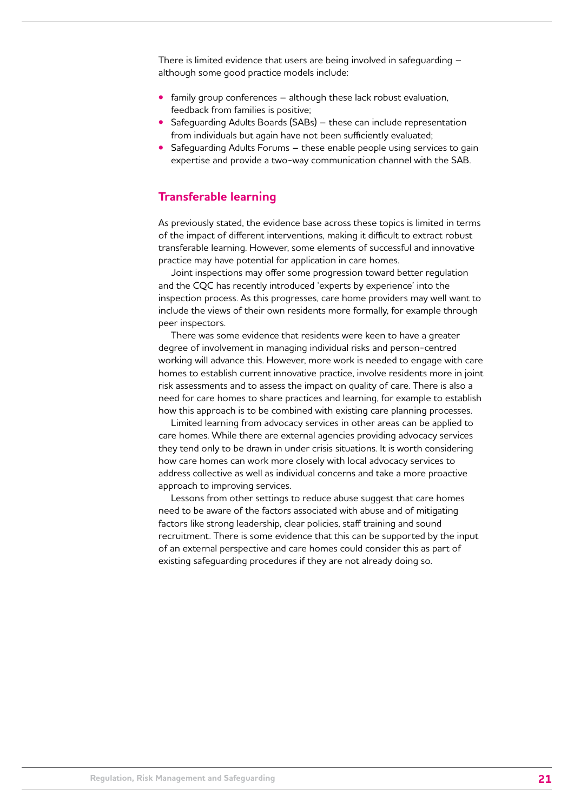<span id="page-20-0"></span>There is limited evidence that users are being involved in safeguarding – although some good practice models include:

- **•** family group conferences although these lack robust evaluation, feedback from families is positive;
- **•** Safeguarding Adults Boards (SABs) these can include representation from individuals but again have not been sufficiently evaluated;
- **•** Safeguarding Adults Forums these enable people using services to gain expertise and provide a two-way communication channel with the SAB.

# **Transferable learning**

As previously stated, the evidence base across these topics is limited in terms of the impact of different interventions, making it difficult to extract robust transferable learning. However, some elements of successful and innovative practice may have potential for application in care homes.

Joint inspections may offer some progression toward better regulation and the CQC has recently introduced 'experts by experience' into the inspection process. As this progresses, care home providers may well want to include the views of their own residents more formally, for example through peer inspectors.

There was some evidence that residents were keen to have a greater degree of involvement in managing individual risks and person-centred working will advance this. However, more work is needed to engage with care homes to establish current innovative practice, involve residents more in joint risk assessments and to assess the impact on quality of care. There is also a need for care homes to share practices and learning, for example to establish how this approach is to be combined with existing care planning processes.

Limited learning from advocacy services in other areas can be applied to care homes. While there are external agencies providing advocacy services they tend only to be drawn in under crisis situations. It is worth considering how care homes can work more closely with local advocacy services to address collective as well as individual concerns and take a more proactive approach to improving services.

Lessons from other settings to reduce abuse suggest that care homes need to be aware of the factors associated with abuse and of mitigating factors like strong leadership, clear policies, staff training and sound recruitment. There is some evidence that this can be supported by the input of an external perspective and care homes could consider this as part of existing safeguarding procedures if they are not already doing so.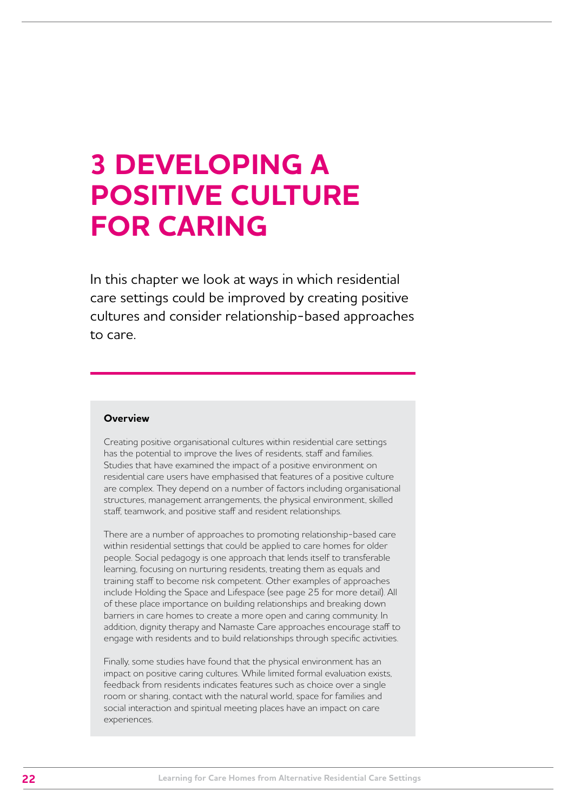# <span id="page-21-0"></span>**3 DEVELOPING A POSITIVE CULTURE FOR CARING**

In this chapter we look at ways in which residential care settings could be improved by creating positive cultures and consider relationship-based approaches to care.

# **Overview**

Creating positive organisational cultures within residential care settings has the potential to improve the lives of residents, staff and families. Studies that have examined the impact of a positive environment on residential care users have emphasised that features of a positive culture are complex. They depend on a number of factors including organisational structures, management arrangements, the physical environment, skilled staff, teamwork, and positive staff and resident relationships.

There are a number of approaches to promoting relationship-based care within residential settings that could be applied to care homes for older people. Social pedagogy is one approach that lends itself to transferable learning, focusing on nurturing residents, treating them as equals and training staff to become risk competent. Other examples of approaches include Holding the Space and Lifespace (see page 25 for more detail). All of these place importance on building relationships and breaking down barriers in care homes to create a more open and caring community. In addition, dignity therapy and Namaste Care approaches encourage staff to engage with residents and to build relationships through specific activities.

Finally, some studies have found that the physical environment has an impact on positive caring cultures. While limited formal evaluation exists, feedback from residents indicates features such as choice over a single room or sharing, contact with the natural world, space for families and social interaction and spiritual meeting places have an impact on care experiences.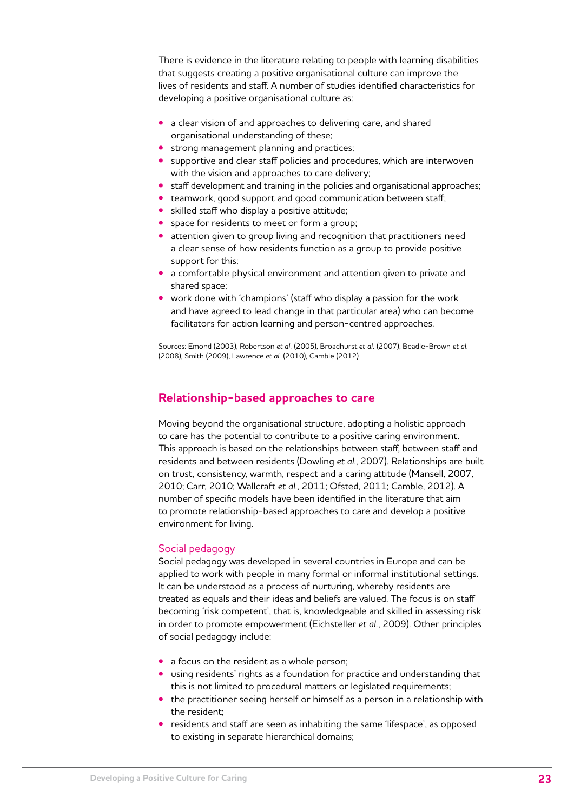<span id="page-22-0"></span>There is evidence in the literature relating to people with learning disabilities that suggests creating a positive organisational culture can improve the lives of residents and staff. A number of studies identified characteristics for developing a positive organisational culture as:

- **•** a clear vision of and approaches to delivering care, and shared organisational understanding of these;
- **•** strong management planning and practices;
- **•** supportive and clear staff policies and procedures, which are interwoven with the vision and approaches to care delivery;
- **•** staff development and training in the policies and organisational approaches;
- **•** teamwork, good support and good communication between staff;
- **•** skilled staff who display a positive attitude;
- **•** space for residents to meet or form a group;
- **•** attention given to group living and recognition that practitioners need a clear sense of how residents function as a group to provide positive support for this;
- **•** a comfortable physical environment and attention given to private and shared space;
- **•** work done with 'champions' (staff who display a passion for the work and have agreed to lead change in that particular area) who can become facilitators for action learning and person-centred approaches.

Sources: Emond (2003), Robertson *et al.* (2005), Broadhurst *et al.* (2007), Beadle-Brown *et al.* (2008), Smith (2009), Lawrence *et al.* (2010), Camble (2012)

# **Relationship-based approaches to care**

Moving beyond the organisational structure, adopting a holistic approach to care has the potential to contribute to a positive caring environment. This approach is based on the relationships between staff, between staff and residents and between residents (Dowling *et al*., 2007). Relationships are built on trust, consistency, warmth, respect and a caring attitude (Mansell, 2007, 2010; Carr, 2010; Wallcraft *et al*., 2011; Ofsted, 2011; Camble, 2012). A number of specific models have been identified in the literature that aim to promote relationship-based approaches to care and develop a positive environment for living.

# Social pedagogy

Social pedagogy was developed in several countries in Europe and can be applied to work with people in many formal or informal institutional settings. It can be understood as a process of nurturing, whereby residents are treated as equals and their ideas and beliefs are valued. The focus is on staff becoming 'risk competent', that is, knowledgeable and skilled in assessing risk in order to promote empowerment (Eichsteller *et al.*, 2009). Other principles of social pedagogy include:

- **•** a focus on the resident as a whole person;
- **•** using residents' rights as a foundation for practice and understanding that this is not limited to procedural matters or legislated requirements;
- **•** the practitioner seeing herself or himself as a person in a relationship with the resident;
- **•** residents and staff are seen as inhabiting the same 'lifespace', as opposed to existing in separate hierarchical domains;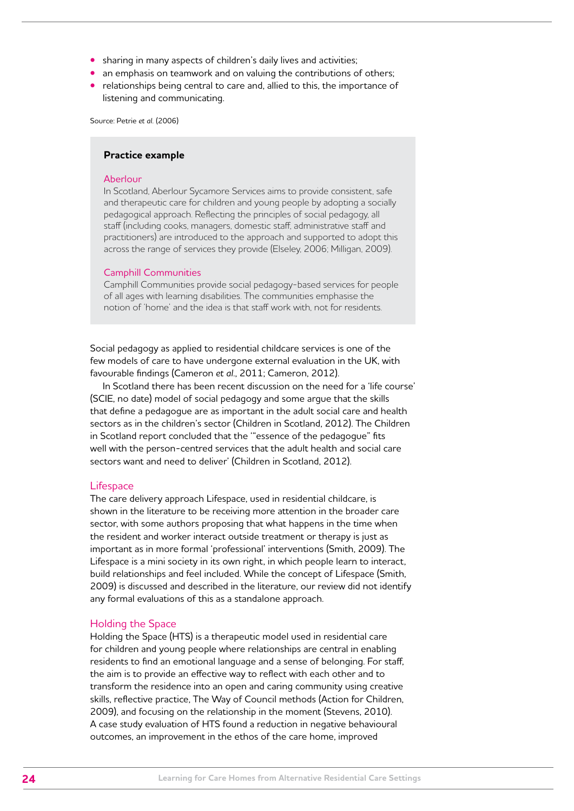- **•** sharing in many aspects of children's daily lives and activities;
- **•** an emphasis on teamwork and on valuing the contributions of others;
- **•** relationships being central to care and, allied to this, the importance of listening and communicating.

Source: Petrie *et al.* (2006)

# **Practice example**

# Aberlour

In Scotland, Aberlour Sycamore Services aims to provide consistent, safe and therapeutic care for children and young people by adopting a socially pedagogical approach. Reflecting the principles of social pedagogy, all staff (including cooks, managers, domestic staff, administrative staff and practitioners) are introduced to the approach and supported to adopt this across the range of services they provide (Elseley, 2006; Milligan, 2009).

#### Camphill Communities

Camphill Communities provide social pedagogy-based services for people of all ages with learning disabilities. The communities emphasise the notion of 'home' and the idea is that staff work with, not for residents.

Social pedagogy as applied to residential childcare services is one of the few models of care to have undergone external evaluation in the UK, with favourable findings (Cameron *et al*., 2011; Cameron, 2012).

In Scotland there has been recent discussion on the need for a 'life course' (SCIE, no date) model of social pedagogy and some argue that the skills that define a pedagogue are as important in the adult social care and health sectors as in the children's sector (Children in Scotland, 2012). The Children in Scotland report concluded that the '"essence of the pedagogue" fits well with the person-centred services that the adult health and social care sectors want and need to deliver' (Children in Scotland, 2012).

#### **Lifespace**

The care delivery approach Lifespace, used in residential childcare, is shown in the literature to be receiving more attention in the broader care sector, with some authors proposing that what happens in the time when the resident and worker interact outside treatment or therapy is just as important as in more formal 'professional' interventions (Smith, 2009). The Lifespace is a mini society in its own right, in which people learn to interact, build relationships and feel included. While the concept of Lifespace (Smith, 2009) is discussed and described in the literature, our review did not identify any formal evaluations of this as a standalone approach.

#### Holding the Space

Holding the Space (HTS) is a therapeutic model used in residential care for children and young people where relationships are central in enabling residents to find an emotional language and a sense of belonging. For staff, the aim is to provide an effective way to reflect with each other and to transform the residence into an open and caring community using creative skills, reflective practice, The Way of Council methods (Action for Children, 2009), and focusing on the relationship in the moment (Stevens, 2010). A case study evaluation of HTS found a reduction in negative behavioural outcomes, an improvement in the ethos of the care home, improved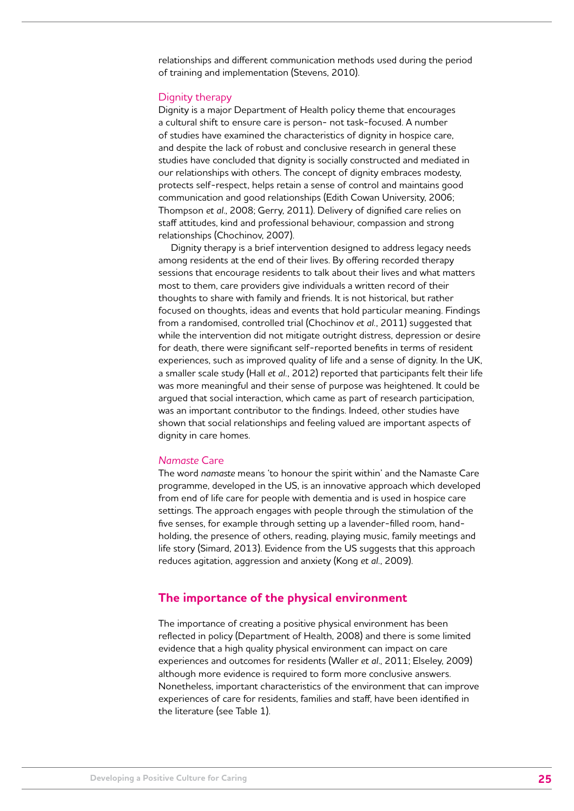<span id="page-24-0"></span>relationships and different communication methods used during the period of training and implementation (Stevens, 2010).

#### Dignity therapy

Dignity is a major Department of Health policy theme that encourages a cultural shift to ensure care is person- not task-focused. A number of studies have examined the characteristics of dignity in hospice care, and despite the lack of robust and conclusive research in general these studies have concluded that dignity is socially constructed and mediated in our relationships with others. The concept of dignity embraces modesty, protects self-respect, helps retain a sense of control and maintains good communication and good relationships (Edith Cowan University, 2006; Thompson *et al*., 2008; Gerry, 2011). Delivery of dignified care relies on staff attitudes, kind and professional behaviour, compassion and strong relationships (Chochinov, 2007).

Dignity therapy is a brief intervention designed to address legacy needs among residents at the end of their lives. By offering recorded therapy sessions that encourage residents to talk about their lives and what matters most to them, care providers give individuals a written record of their thoughts to share with family and friends. It is not historical, but rather focused on thoughts, ideas and events that hold particular meaning. Findings from a randomised, controlled trial (Chochinov *et al.*, 2011) suggested that while the intervention did not mitigate outright distress, depression or desire for death, there were significant self-reported benefits in terms of resident experiences, such as improved quality of life and a sense of dignity. In the UK, a smaller scale study (Hall *et al.*, 2012) reported that participants felt their life was more meaningful and their sense of purpose was heightened. It could be argued that social interaction, which came as part of research participation, was an important contributor to the findings. Indeed, other studies have shown that social relationships and feeling valued are important aspects of dignity in care homes.

# *Namaste* Care

The word *namaste* means 'to honour the spirit within' and the Namaste Care programme, developed in the US, is an innovative approach which developed from end of life care for people with dementia and is used in hospice care settings. The approach engages with people through the stimulation of the five senses, for example through setting up a lavender-filled room, handholding, the presence of others, reading, playing music, family meetings and life story (Simard, 2013). Evidence from the US suggests that this approach reduces agitation, aggression and anxiety (Kong *et al.*, 2009).

# **The importance of the physical environment**

The importance of creating a positive physical environment has been reflected in policy (Department of Health, 2008) and there is some limited evidence that a high quality physical environment can impact on care experiences and outcomes for residents (Waller *et al*., 2011; Elseley, 2009) although more evidence is required to form more conclusive answers. Nonetheless, important characteristics of the environment that can improve experiences of care for residents, families and staff, have been identified in the literature (see Table 1).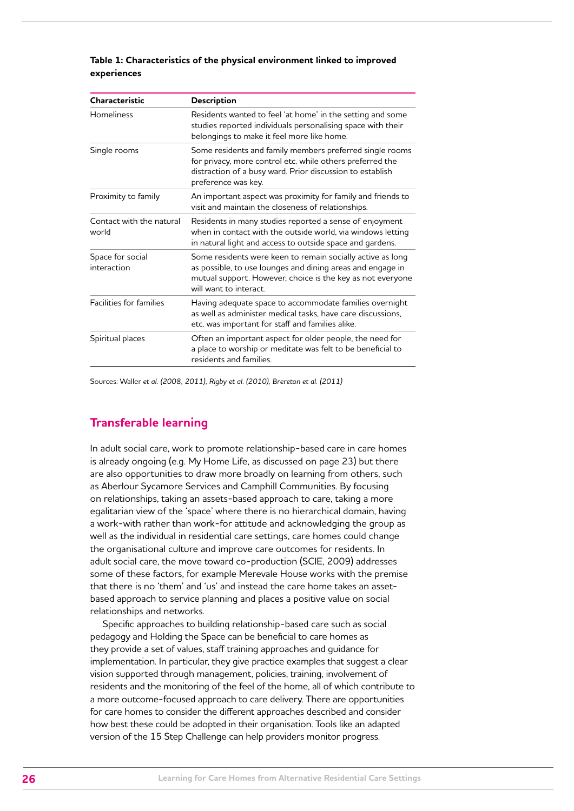<span id="page-25-0"></span>

| Table 1: Characteristics of the physical environment linked to improved |  |  |
|-------------------------------------------------------------------------|--|--|
| experiences                                                             |  |  |

| Characteristic                    | Description                                                                                                                                                                                                      |
|-----------------------------------|------------------------------------------------------------------------------------------------------------------------------------------------------------------------------------------------------------------|
| <b>Homeliness</b>                 | Residents wanted to feel 'at home' in the setting and some<br>studies reported individuals personalising space with their<br>belongings to make it feel more like home.                                          |
| Single rooms                      | Some residents and family members preferred single rooms<br>for privacy, more control etc. while others preferred the<br>distraction of a busy ward. Prior discussion to establish<br>preference was key.        |
| Proximity to family               | An important aspect was proximity for family and friends to<br>visit and maintain the closeness of relationships.                                                                                                |
| Contact with the natural<br>world | Residents in many studies reported a sense of enjoyment<br>when in contact with the outside world, via windows letting<br>in natural light and access to outside space and gardens.                              |
| Space for social<br>interaction   | Some residents were keen to remain socially active as long<br>as possible, to use lounges and dining areas and engage in<br>mutual support. However, choice is the key as not everyone<br>will want to interact. |
| Facilities for families           | Having adequate space to accommodate families overnight<br>as well as administer medical tasks, have care discussions,<br>etc. was important for staff and families alike.                                       |
| Spiritual places                  | Often an important aspect for older people, the need for<br>a place to worship or meditate was felt to be beneficial to<br>residents and families.                                                               |

Sources: Waller *et al. (2008, 2011), Rigby et al. (2010), Brereton et al. (2011)* 

# **Transferable learning**

In adult social care, work to promote relationship-based care in care homes is already ongoing (e.g. My Home Life, as discussed on page 23) but there are also opportunities to draw more broadly on learning from others, such as Aberlour Sycamore Services and Camphill Communities. By focusing on relationships, taking an assets-based approach to care, taking a more egalitarian view of the 'space' where there is no hierarchical domain, having a work-with rather than work-for attitude and acknowledging the group as well as the individual in residential care settings, care homes could change the organisational culture and improve care outcomes for residents. In adult social care, the move toward co-production (SCIE, 2009) addresses some of these factors, for example Merevale House works with the premise that there is no 'them' and 'us' and instead the care home takes an assetbased approach to service planning and places a positive value on social relationships and networks.

Specific approaches to building relationship-based care such as social pedagogy and Holding the Space can be beneficial to care homes as they provide a set of values, staff training approaches and guidance for implementation. In particular, they give practice examples that suggest a clear vision supported through management, policies, training, involvement of residents and the monitoring of the feel of the home, all of which contribute to a more outcome-focused approach to care delivery. There are opportunities for care homes to consider the different approaches described and consider how best these could be adopted in their organisation. Tools like an adapted version of the 15 Step Challenge can help providers monitor progress.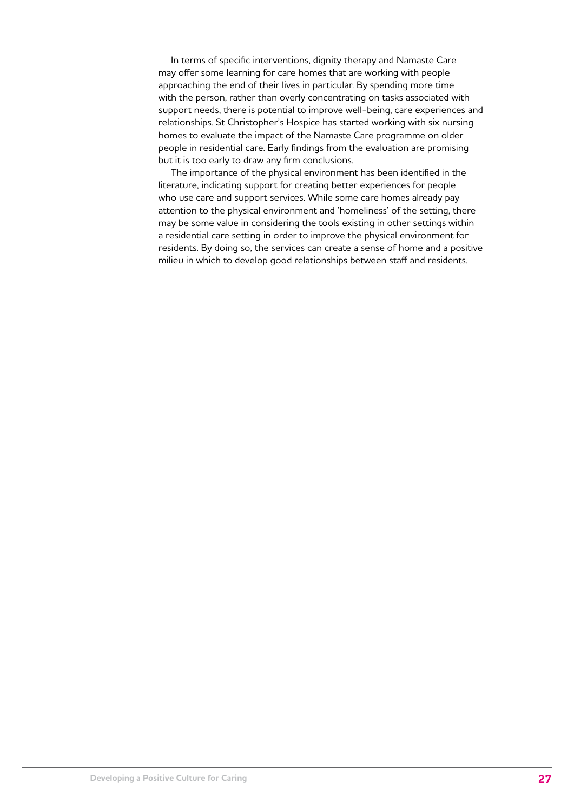In terms of specific interventions, dignity therapy and Namaste Care may offer some learning for care homes that are working with people approaching the end of their lives in particular. By spending more time with the person, rather than overly concentrating on tasks associated with support needs, there is potential to improve well-being, care experiences and relationships. St Christopher's Hospice has started working with six nursing homes to evaluate the impact of the Namaste Care programme on older people in residential care. Early findings from the evaluation are promising but it is too early to draw any firm conclusions.

The importance of the physical environment has been identified in the literature, indicating support for creating better experiences for people who use care and support services. While some care homes already pay attention to the physical environment and 'homeliness' of the setting, there may be some value in considering the tools existing in other settings within a residential care setting in order to improve the physical environment for residents. By doing so, the services can create a sense of home and a positive milieu in which to develop good relationships between staff and residents.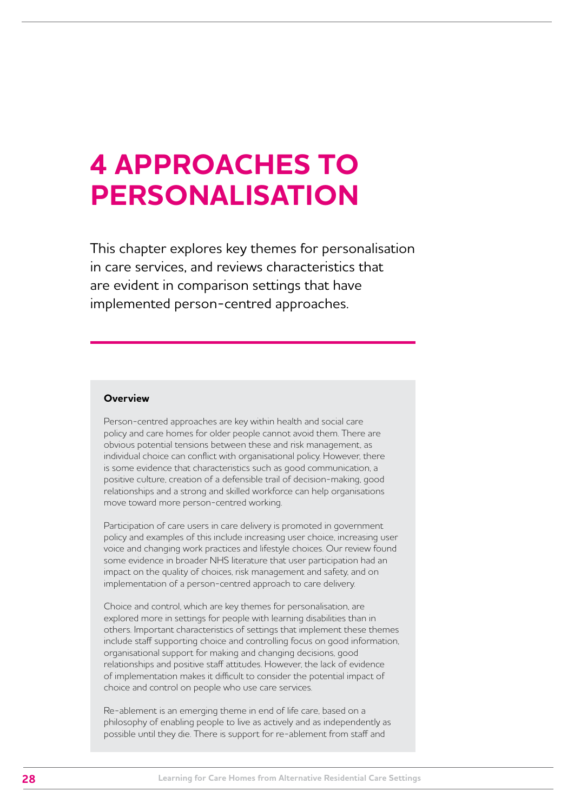# <span id="page-27-0"></span>**4 APPROACHES TO PERSONALISATION**

This chapter explores key themes for personalisation in care services, and reviews characteristics that are evident in comparison settings that have implemented person-centred approaches.

# **Overview**

Person-centred approaches are key within health and social care policy and care homes for older people cannot avoid them. There are obvious potential tensions between these and risk management, as individual choice can conflict with organisational policy. However, there is some evidence that characteristics such as good communication, a positive culture, creation of a defensible trail of decision-making, good relationships and a strong and skilled workforce can help organisations move toward more person-centred working.

Participation of care users in care delivery is promoted in government policy and examples of this include increasing user choice, increasing user voice and changing work practices and lifestyle choices. Our review found some evidence in broader NHS literature that user participation had an impact on the quality of choices, risk management and safety, and on implementation of a person-centred approach to care delivery.

Choice and control, which are key themes for personalisation, are explored more in settings for people with learning disabilities than in others. Important characteristics of settings that implement these themes include staff supporting choice and controlling focus on good information, organisational support for making and changing decisions, good relationships and positive staff attitudes. However, the lack of evidence of implementation makes it difficult to consider the potential impact of choice and control on people who use care services.

Re-ablement is an emerging theme in end of life care, based on a philosophy of enabling people to live as actively and as independently as possible until they die. There is support for re-ablement from staff and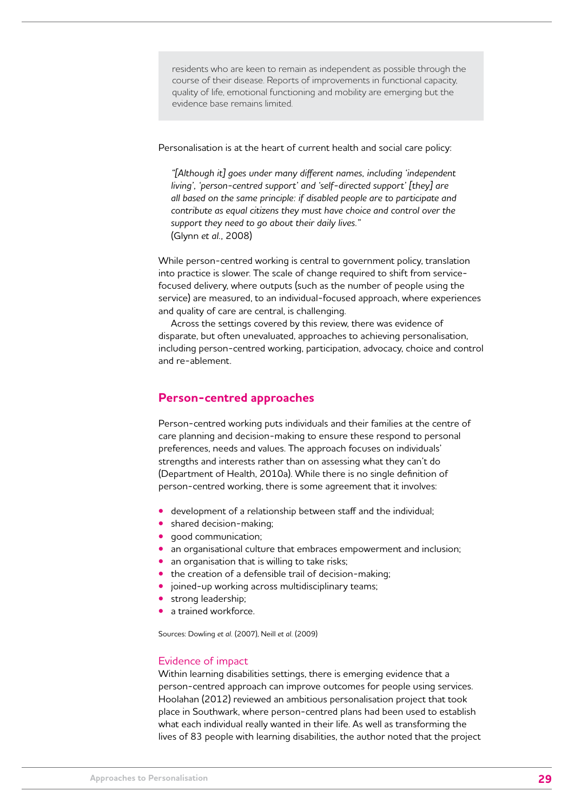<span id="page-28-0"></span>residents who are keen to remain as independent as possible through the course of their disease. Reports of improvements in functional capacity, quality of life, emotional functioning and mobility are emerging but the evidence base remains limited.

Personalisation is at the heart of current health and social care policy:

*"[Although it] goes under many different names, including 'independent living', 'person-centred support' and 'self-directed support' [they] are all based on the same principle: if disabled people are to participate and contribute as equal citizens they must have choice and control over the support they need to go about their daily lives."*  (Glynn *et al.,* 2008)

While person-centred working is central to government policy, translation into practice is slower. The scale of change required to shift from servicefocused delivery, where outputs (such as the number of people using the service) are measured, to an individual-focused approach, where experiences and quality of care are central, is challenging.

Across the settings covered by this review, there was evidence of disparate, but often unevaluated, approaches to achieving personalisation, including person-centred working, participation, advocacy, choice and control and re-ablement.

# **Person-centred approaches**

Person-centred working puts individuals and their families at the centre of care planning and decision-making to ensure these respond to personal preferences, needs and values. The approach focuses on individuals' strengths and interests rather than on assessing what they can't do (Department of Health, 2010a). While there is no single definition of person-centred working, there is some agreement that it involves:

- **•** development of a relationship between staff and the individual;
- **•** shared decision-making;
- **•** good communication;
- **•** an organisational culture that embraces empowerment and inclusion;
- **•** an organisation that is willing to take risks;
- **•** the creation of a defensible trail of decision-making;
- **•** joined-up working across multidisciplinary teams;
- **•** strong leadership;
- **•** a trained workforce.

Sources: Dowling *et al.* (2007), Neill *et al.* (2009)

# Evidence of impact

Within learning disabilities settings, there is emerging evidence that a person-centred approach can improve outcomes for people using services. Hoolahan (2012) reviewed an ambitious personalisation project that took place in Southwark, where person-centred plans had been used to establish what each individual really wanted in their life. As well as transforming the lives of 83 people with learning disabilities, the author noted that the project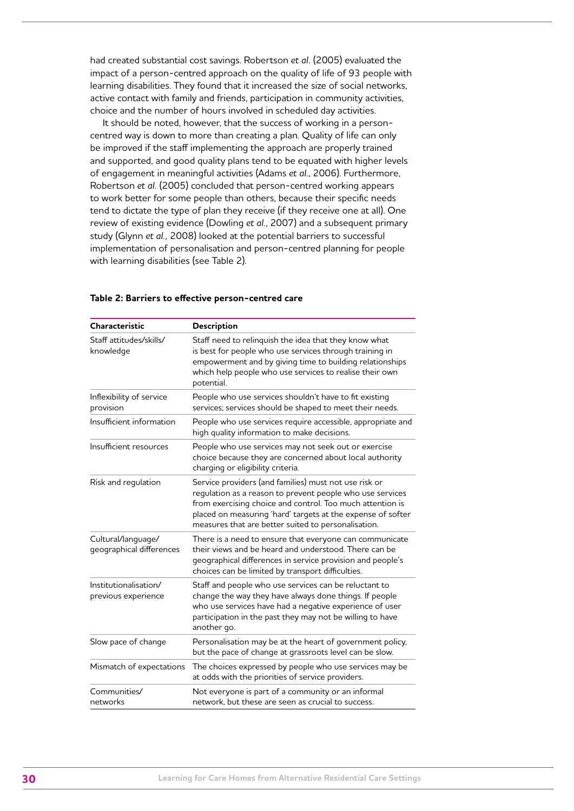had created substantial cost savings. Robertson *et al.* (2005) evaluated the impact of a person-centred approach on the quality of life of 93 people with learning disabilities. They found that it increased the size of social networks, active contact with family and friends, participation in community activities, choice and the number of hours involved in scheduled day activities.

It should be noted, however, that the success of working in a personcentred way is down to more than creating a plan. Quality of life can only be improved if the staff implementing the approach are properly trained and supported, and good quality plans tend to be equated with higher levels of engagement in meaningful activities (Adams *et al.*, 2006). Furthermore, Robertson *et al.* (2005) concluded that person-centred working appears to work better for some people than others, because their specific needs tend to dictate the type of plan they receive (if they receive one at all). One review of existing evidence (Dowling *et al.*, 2007) and a subsequent primary study (Glynn *et al.,* 2008) looked at the potential barriers to successful implementation of personalisation and person-centred planning for people with learning disabilities (see Table 2).

| Characteristic                                 | Description                                                                                                                                                                                                                                                                                           |
|------------------------------------------------|-------------------------------------------------------------------------------------------------------------------------------------------------------------------------------------------------------------------------------------------------------------------------------------------------------|
| Staff attitudes/skills/<br>knowledge           | Staff need to relinquish the idea that they know what<br>is best for people who use services through training in<br>empowerment and by giving time to building relationships<br>which help people who use services to realise their own<br>potential.                                                 |
| Inflexibility of service<br>provision          | People who use services shouldn't have to fit existing<br>services; services should be shaped to meet their needs.                                                                                                                                                                                    |
| Insufficient information                       | People who use services require accessible, appropriate and<br>high quality information to make decisions.                                                                                                                                                                                            |
| Insufficient resources                         | People who use services may not seek out or exercise<br>choice because they are concerned about local authority<br>charging or eligibility criteria.                                                                                                                                                  |
| Risk and regulation                            | Service providers (and families) must not use risk or<br>regulation as a reason to prevent people who use services<br>from exercising choice and control. Too much attention is<br>placed on measuring 'hard' targets at the expense of softer<br>measures that are better suited to personalisation. |
| Cultural/language/<br>geographical differences | There is a need to ensure that everyone can communicate<br>their views and be heard and understood. There can be<br>geographical differences in service provision and people's<br>choices can be limited by transport difficulties.                                                                   |
| Institutionalisation/<br>previous experience   | Staff and people who use services can be reluctant to<br>change the way they have always done things. If people<br>who use services have had a negative experience of user<br>participation in the past they may not be willing to have<br>another go.                                                |
| Slow pace of change                            | Personalisation may be at the heart of government policy,<br>but the pace of change at grassroots level can be slow.                                                                                                                                                                                  |
| Mismatch of expectations                       | The choices expressed by people who use services may be<br>at odds with the priorities of service providers.                                                                                                                                                                                          |
| Communities/<br>networks                       | Not everyone is part of a community or an informal<br>network, but these are seen as crucial to success.                                                                                                                                                                                              |

#### **Table 2: Barriers to effective person-centred care**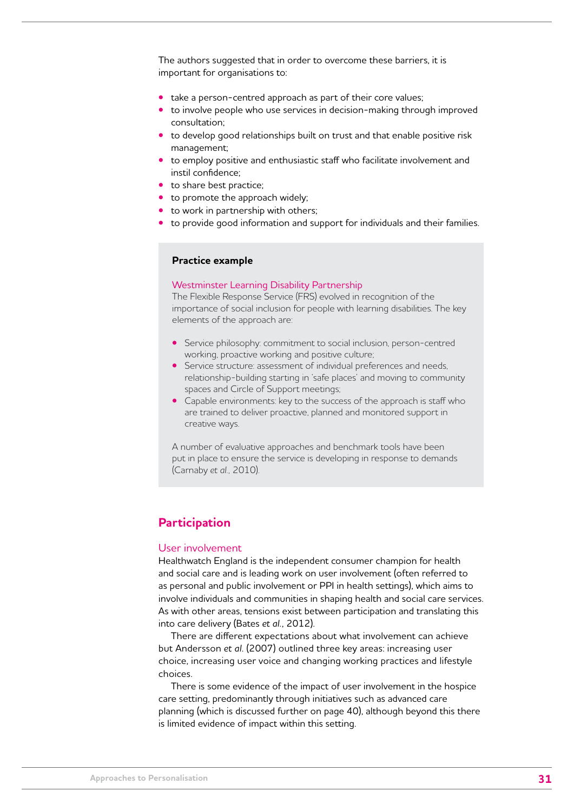<span id="page-30-0"></span>The authors suggested that in order to overcome these barriers, it is important for organisations to:

- **•** take a person-centred approach as part of their core values;
- **•** to involve people who use services in decision-making through improved consultation;
- **•** to develop good relationships built on trust and that enable positive risk management;
- **•** to employ positive and enthusiastic staff who facilitate involvement and instil confidence;
- **•** to share best practice;
- **•** to promote the approach widely;
- **•** to work in partnership with others;
- **•** to provide good information and support for individuals and their families.

# **Practice example**

#### Westminster Learning Disability Partnership

The Flexible Response Service (FRS) evolved in recognition of the importance of social inclusion for people with learning disabilities. The key elements of the approach are:

- **•** Service philosophy: commitment to social inclusion, person-centred working, proactive working and positive culture;
- **•** Service structure: assessment of individual preferences and needs, relationship-building starting in 'safe places' and moving to community spaces and Circle of Support meetings;
- **•** Capable environments: key to the success of the approach is staff who are trained to deliver proactive, planned and monitored support in creative ways.

A number of evaluative approaches and benchmark tools have been put in place to ensure the service is developing in response to demands (Carnaby *et al.,* 2010).

# **Participation**

#### User involvement

Healthwatch England is the independent consumer champion for health and social care and is leading work on user involvement (often referred to as personal and public involvement or PPI in health settings), which aims to involve individuals and communities in shaping health and social care services. As with other areas, tensions exist between participation and translating this into care delivery (Bates *et al.,* 2012).

There are different expectations about what involvement can achieve but Andersson *et al*. (2007) outlined three key areas: increasing user choice, increasing user voice and changing working practices and lifestyle choices.

There is some evidence of the impact of user involvement in the hospice care setting, predominantly through initiatives such as advanced care planning (which is discussed further on page 40), although beyond this there is limited evidence of impact within this setting.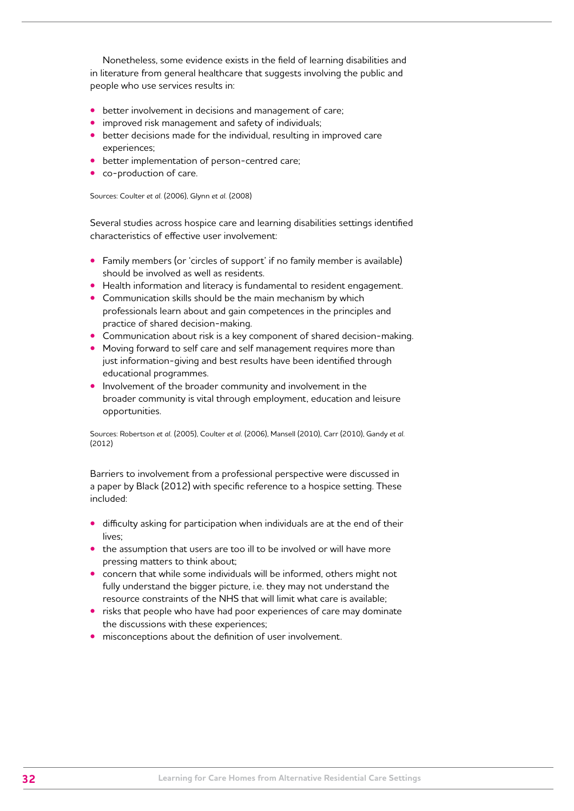Nonetheless, some evidence exists in the field of learning disabilities and in literature from general healthcare that suggests involving the public and people who use services results in:

- **•** better involvement in decisions and management of care;
- **•** improved risk management and safety of individuals;
- **•** better decisions made for the individual, resulting in improved care experiences;
- **•** better implementation of person-centred care;
- **•** co-production of care.

Sources: Coulter *et al.* (2006), Glynn *et al.* (2008)

Several studies across hospice care and learning disabilities settings identified characteristics of effective user involvement:

- **•** Family members (or 'circles of support' if no family member is available) should be involved as well as residents.
- **•** Health information and literacy is fundamental to resident engagement.
- **•** Communication skills should be the main mechanism by which professionals learn about and gain competences in the principles and practice of shared decision-making.
- **•** Communication about risk is a key component of shared decision-making.
- **•** Moving forward to self care and self management requires more than just information-giving and best results have been identified through educational programmes.
- **•** Involvement of the broader community and involvement in the broader community is vital through employment, education and leisure opportunities.

Sources: Robertson *et al.* (2005), Coulter *et al.* (2006), Mansell (2010), Carr (2010), Gandy *et al.* (2012)

Barriers to involvement from a professional perspective were discussed in a paper by Black (2012) with specific reference to a hospice setting. These included:

- **•** difficulty asking for participation when individuals are at the end of their lives;
- **•** the assumption that users are too ill to be involved or will have more pressing matters to think about;
- **•** concern that while some individuals will be informed, others might not fully understand the bigger picture, i.e. they may not understand the resource constraints of the NHS that will limit what care is available;
- **•** risks that people who have had poor experiences of care may dominate the discussions with these experiences;
- **•** misconceptions about the definition of user involvement.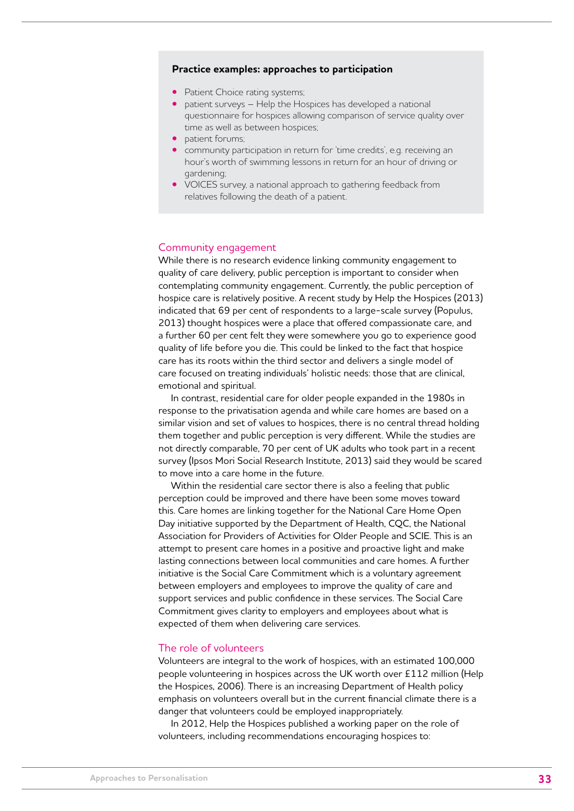# **Practice examples: approaches to participation**

- **•** Patient Choice rating systems;
- **•** patient surveys Help the Hospices has developed a national questionnaire for hospices allowing comparison of service quality over time as well as between hospices;
- **•** patient forums;
- **•** community participation in return for 'time credits', e.g. receiving an hour's worth of swimming lessons in return for an hour of driving or gardening;
- **•** VOICES survey, a national approach to gathering feedback from relatives following the death of a patient.

### Community engagement

While there is no research evidence linking community engagement to quality of care delivery, public perception is important to consider when contemplating community engagement. Currently, the public perception of hospice care is relatively positive. A recent study by Help the Hospices (2013) indicated that 69 per cent of respondents to a large-scale survey (Populus, 2013) thought hospices were a place that offered compassionate care, and a further 60 per cent felt they were somewhere you go to experience good quality of life before you die. This could be linked to the fact that hospice care has its roots within the third sector and delivers a single model of care focused on treating individuals' holistic needs: those that are clinical, emotional and spiritual.

In contrast, residential care for older people expanded in the 1980s in response to the privatisation agenda and while care homes are based on a similar vision and set of values to hospices, there is no central thread holding them together and public perception is very different. While the studies are not directly comparable, 70 per cent of UK adults who took part in a recent survey (Ipsos Mori Social Research Institute, 2013) said they would be scared to move into a care home in the future.

Within the residential care sector there is also a feeling that public perception could be improved and there have been some moves toward this. Care homes are linking together for the National Care Home Open Day initiative supported by the Department of Health, CQC, the National Association for Providers of Activities for Older People and SCIE. This is an attempt to present care homes in a positive and proactive light and make lasting connections between local communities and care homes. A further initiative is the Social Care Commitment which is a voluntary agreement between employers and employees to improve the quality of care and support services and public confidence in these services. The Social Care Commitment gives clarity to employers and employees about what is expected of them when delivering care services.

#### The role of volunteers

Volunteers are integral to the work of hospices, with an estimated 100,000 people volunteering in hospices across the UK worth over £112 million (Help the Hospices, 2006). There is an increasing Department of Health policy emphasis on volunteers overall but in the current financial climate there is a danger that volunteers could be employed inappropriately.

In 2012, Help the Hospices published a working paper on the role of volunteers, including recommendations encouraging hospices to: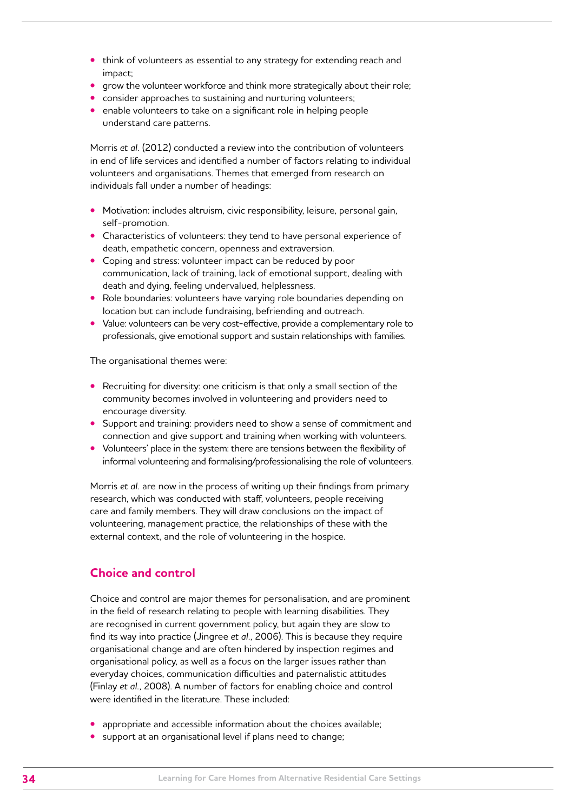- <span id="page-33-0"></span>**•** think of volunteers as essential to any strategy for extending reach and impact;
- **•** grow the volunteer workforce and think more strategically about their role;
- **•** consider approaches to sustaining and nurturing volunteers;
- **•** enable volunteers to take on a significant role in helping people understand care patterns.

Morris *et al.* (2012) conducted a review into the contribution of volunteers in end of life services and identified a number of factors relating to individual volunteers and organisations. Themes that emerged from research on individuals fall under a number of headings:

- **•** Motivation: includes altruism, civic responsibility, leisure, personal gain, self-promotion.
- **•** Characteristics of volunteers: they tend to have personal experience of death, empathetic concern, openness and extraversion.
- **•** Coping and stress: volunteer impact can be reduced by poor communication, lack of training, lack of emotional support, dealing with death and dying, feeling undervalued, helplessness.
- **•** Role boundaries: volunteers have varying role boundaries depending on location but can include fundraising, befriending and outreach.
- **•** Value: volunteers can be very cost-effective, provide a complementary role to professionals, give emotional support and sustain relationships with families.

The organisational themes were:

- **•** Recruiting for diversity: one criticism is that only a small section of the community becomes involved in volunteering and providers need to encourage diversity.
- **•** Support and training: providers need to show a sense of commitment and connection and give support and training when working with volunteers.
- **•** Volunteers' place in the system: there are tensions between the flexibility of informal volunteering and formalising/professionalising the role of volunteers.

Morris *et al.* are now in the process of writing up their findings from primary research, which was conducted with staff, volunteers, people receiving care and family members. They will draw conclusions on the impact of volunteering, management practice, the relationships of these with the external context, and the role of volunteering in the hospice.

# **Choice and control**

Choice and control are major themes for personalisation, and are prominent in the field of research relating to people with learning disabilities. They are recognised in current government policy, but again they are slow to find its way into practice (Jingree *et al.*, 2006). This is because they require organisational change and are often hindered by inspection regimes and organisational policy, as well as a focus on the larger issues rather than everyday choices, communication difficulties and paternalistic attitudes (Finlay *et al.*, 2008). A number of factors for enabling choice and control were identified in the literature. These included:

- appropriate and accessible information about the choices available:
- **•** support at an organisational level if plans need to change;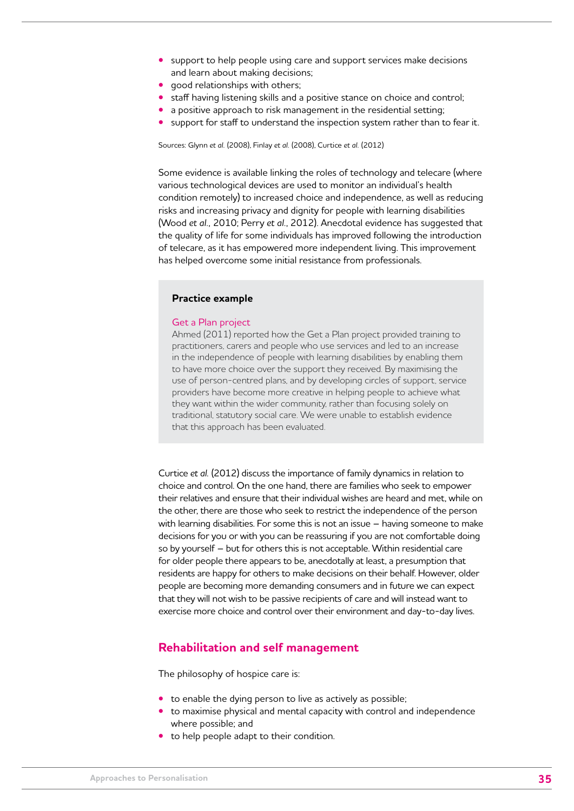- <span id="page-34-0"></span>**•** support to help people using care and support services make decisions and learn about making decisions;
- **•** good relationships with others;
- **•** staff having listening skills and a positive stance on choice and control;
- **•** a positive approach to risk management in the residential setting;
- **•** support for staff to understand the inspection system rather than to fear it.

Sources: Glynn *et al.* (2008), Finlay *et al.* (2008), Curtice *et al.* (2012)

Some evidence is available linking the roles of technology and telecare (where various technological devices are used to monitor an individual's health condition remotely) to increased choice and independence, as well as reducing risks and increasing privacy and dignity for people with learning disabilities (Wood *et al.,* 2010; Perry *et al.*, 2012). Anecdotal evidence has suggested that the quality of life for some individuals has improved following the introduction of telecare, as it has empowered more independent living. This improvement has helped overcome some initial resistance from professionals.

# **Practice example**

### Get a Plan project

Ahmed (2011) reported how the Get a Plan project provided training to practitioners, carers and people who use services and led to an increase in the independence of people with learning disabilities by enabling them to have more choice over the support they received. By maximising the use of person-centred plans, and by developing circles of support, service providers have become more creative in helping people to achieve what they want within the wider community, rather than focusing solely on traditional, statutory social care. We were unable to establish evidence that this approach has been evaluated.

Curtice *et al.* (2012) discuss the importance of family dynamics in relation to choice and control. On the one hand, there are families who seek to empower their relatives and ensure that their individual wishes are heard and met, while on the other, there are those who seek to restrict the independence of the person with learning disabilities. For some this is not an issue – having someone to make decisions for you or with you can be reassuring if you are not comfortable doing so by yourself – but for others this is not acceptable. Within residential care for older people there appears to be, anecdotally at least, a presumption that residents are happy for others to make decisions on their behalf. However, older people are becoming more demanding consumers and in future we can expect that they will not wish to be passive recipients of care and will instead want to exercise more choice and control over their environment and day-to-day lives.

# **Rehabilitation and self management**

The philosophy of hospice care is:

- **•** to enable the dying person to live as actively as possible;
- **•** to maximise physical and mental capacity with control and independence where possible; and
- **•** to help people adapt to their condition.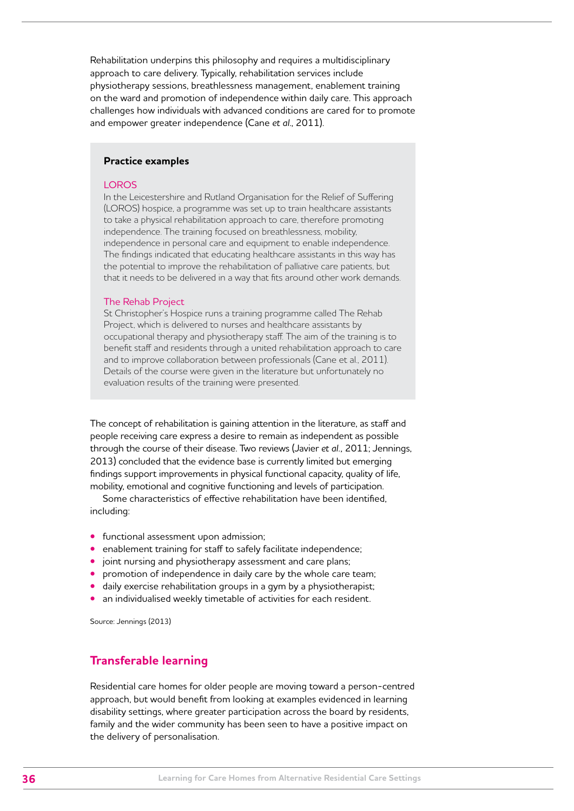<span id="page-35-0"></span>Rehabilitation underpins this philosophy and requires a multidisciplinary approach to care delivery. Typically, rehabilitation services include physiotherapy sessions, breathlessness management, enablement training on the ward and promotion of independence within daily care. This approach challenges how individuals with advanced conditions are cared for to promote and empower greater independence (Cane *et al*., 2011).

# **Practice examples**

# **LOROS**

In the Leicestershire and Rutland Organisation for the Relief of Suffering (LOROS) hospice, a programme was set up to train healthcare assistants to take a physical rehabilitation approach to care, therefore promoting independence. The training focused on breathlessness, mobility, independence in personal care and equipment to enable independence. The findings indicated that educating healthcare assistants in this way has the potential to improve the rehabilitation of palliative care patients, but that it needs to be delivered in a way that fits around other work demands.

#### The Rehab Project

St Christopher's Hospice runs a training programme called The Rehab Project, which is delivered to nurses and healthcare assistants by occupational therapy and physiotherapy staff. The aim of the training is to benefit staff and residents through a united rehabilitation approach to care and to improve collaboration between professionals (Cane et al., 2011). Details of the course were given in the literature but unfortunately no evaluation results of the training were presented.

The concept of rehabilitation is gaining attention in the literature, as staff and people receiving care express a desire to remain as independent as possible through the course of their disease. Two reviews (Javier *et al.,* 2011; Jennings, 2013) concluded that the evidence base is currently limited but emerging findings support improvements in physical functional capacity, quality of life, mobility, emotional and cognitive functioning and levels of participation.

Some characteristics of effective rehabilitation have been identified, including:

- **•** functional assessment upon admission;
- **•** enablement training for staff to safely facilitate independence;
- **•** joint nursing and physiotherapy assessment and care plans;
- **•** promotion of independence in daily care by the whole care team;
- **•** daily exercise rehabilitation groups in a gym by a physiotherapist;
- **•** an individualised weekly timetable of activities for each resident.

Source: Jennings (2013)

# **Transferable learning**

Residential care homes for older people are moving toward a person-centred approach, but would benefit from looking at examples evidenced in learning disability settings, where greater participation across the board by residents, family and the wider community has been seen to have a positive impact on the delivery of personalisation.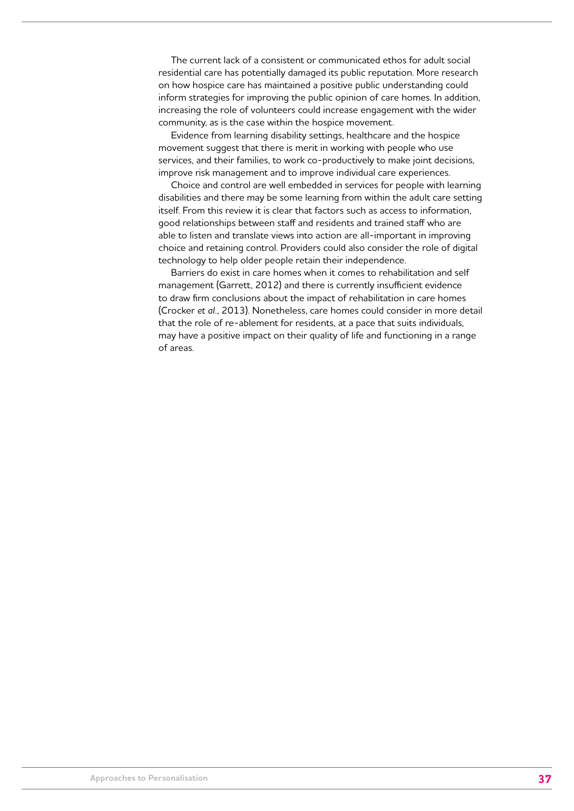The current lack of a consistent or communicated ethos for adult social residential care has potentially damaged its public reputation. More research on how hospice care has maintained a positive public understanding could inform strategies for improving the public opinion of care homes. In addition, increasing the role of volunteers could increase engagement with the wider community, as is the case within the hospice movement.

Evidence from learning disability settings, healthcare and the hospice movement suggest that there is merit in working with people who use services, and their families, to work co-productively to make joint decisions, improve risk management and to improve individual care experiences.

Choice and control are well embedded in services for people with learning disabilities and there may be some learning from within the adult care setting itself. From this review it is clear that factors such as access to information, good relationships between staff and residents and trained staff who are able to listen and translate views into action are all-important in improving choice and retaining control. Providers could also consider the role of digital technology to help older people retain their independence.

Barriers do exist in care homes when it comes to rehabilitation and self management (Garrett, 2012) and there is currently insufficient evidence to draw firm conclusions about the impact of rehabilitation in care homes (Crocker *et al.*, 2013). Nonetheless, care homes could consider in more detail that the role of re-ablement for residents, at a pace that suits individuals, may have a positive impact on their quality of life and functioning in a range of areas.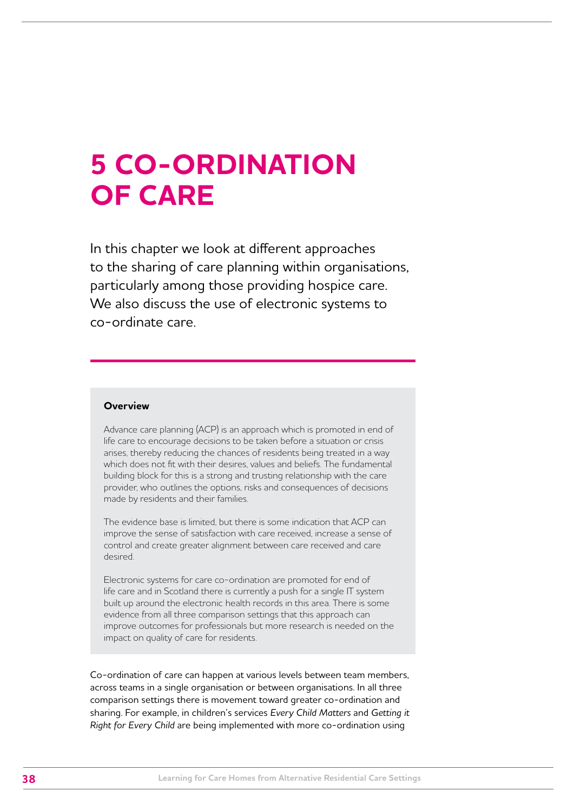## **5 CO-ORDINATION OF CARE**

In this chapter we look at different approaches to the sharing of care planning within organisations, particularly among those providing hospice care. We also discuss the use of electronic systems to co-ordinate care.

#### **Overview**

Advance care planning (ACP) is an approach which is promoted in end of life care to encourage decisions to be taken before a situation or crisis arises, thereby reducing the chances of residents being treated in a way which does not fit with their desires, values and beliefs. The fundamental building block for this is a strong and trusting relationship with the care provider, who outlines the options, risks and consequences of decisions made by residents and their families.

The evidence base is limited, but there is some indication that ACP can improve the sense of satisfaction with care received, increase a sense of control and create greater alignment between care received and care desired.

Electronic systems for care co-ordination are promoted for end of life care and in Scotland there is currently a push for a single IT system built up around the electronic health records in this area. There is some evidence from all three comparison settings that this approach can improve outcomes for professionals but more research is needed on the impact on quality of care for residents.

Co-ordination of care can happen at various levels between team members, across teams in a single organisation or between organisations. In all three comparison settings there is movement toward greater co-ordination and sharing. For example, in children's services *Every Child Matters* and *Getting it Right for Every Child* are being implemented with more co-ordination using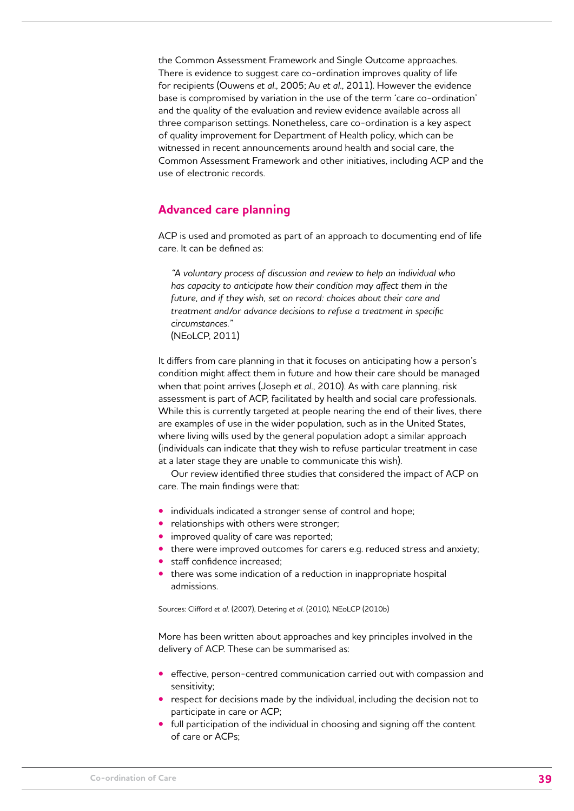the Common Assessment Framework and Single Outcome approaches. There is evidence to suggest care co-ordination improves quality of life for recipients (Ouwens *et al*., 2005; Au *et al*., 2011). However the evidence base is compromised by variation in the use of the term 'care co-ordination' and the quality of the evaluation and review evidence available across all three comparison settings. Nonetheless, care co-ordination is a key aspect of quality improvement for Department of Health policy, which can be witnessed in recent announcements around health and social care, the Common Assessment Framework and other initiatives, including ACP and the use of electronic records.

## **Advanced care planning**

ACP is used and promoted as part of an approach to documenting end of life care. It can be defined as:

*"A voluntary process of discussion and review to help an individual who has capacity to anticipate how their condition may affect them in the future, and if they wish, set on record: choices about their care and treatment and/or advance decisions to refuse a treatment in specific circumstances."*  (NEoLCP, 2011)

It differs from care planning in that it focuses on anticipating how a person's condition might affect them in future and how their care should be managed when that point arrives (Joseph *et al*., 2010). As with care planning, risk assessment is part of ACP, facilitated by health and social care professionals. While this is currently targeted at people nearing the end of their lives, there are examples of use in the wider population, such as in the United States, where living wills used by the general population adopt a similar approach (individuals can indicate that they wish to refuse particular treatment in case at a later stage they are unable to communicate this wish).

Our review identified three studies that considered the impact of ACP on care. The main findings were that:

- **•** individuals indicated a stronger sense of control and hope;
- **•** relationships with others were stronger;
- **•** improved quality of care was reported;
- **•** there were improved outcomes for carers e.g. reduced stress and anxiety;
- **•** staff confidence increased;
- **•** there was some indication of a reduction in inappropriate hospital admissions.

Sources: Clifford *et al.* (2007), Detering *et al.* (2010), NEoLCP (2010b)

More has been written about approaches and key principles involved in the delivery of ACP. These can be summarised as:

- **•** effective, person-centred communication carried out with compassion and sensitivity;
- **•** respect for decisions made by the individual, including the decision not to participate in care or ACP;
- **•** full participation of the individual in choosing and signing off the content of care or ACPs;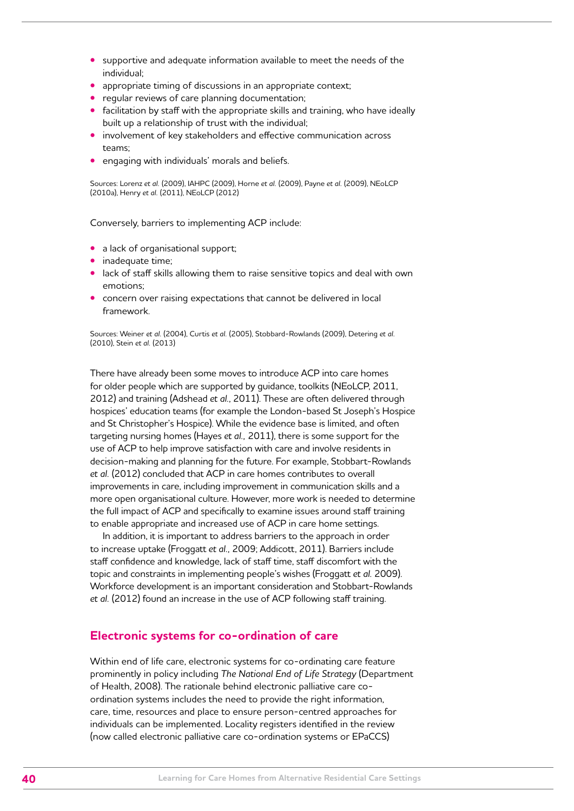- **•** supportive and adequate information available to meet the needs of the individual;
- **•** appropriate timing of discussions in an appropriate context;
- **•** regular reviews of care planning documentation;
- **•** facilitation by staff with the appropriate skills and training, who have ideally built up a relationship of trust with the individual;
- **•** involvement of key stakeholders and effective communication across teams;
- **•** engaging with individuals' morals and beliefs.

Sources: Lorenz *et al.* (2009), IAHPC (2009), Horne *et al.* (2009), Payne *et al.* (2009), NEoLCP (2010a), Henry *et al.* (2011), NEoLCP (2012)

Conversely, barriers to implementing ACP include:

- a lack of organisational support;
- **•** inadequate time;
- **•** lack of staff skills allowing them to raise sensitive topics and deal with own emotions;
- **•** concern over raising expectations that cannot be delivered in local framework.

Sources: Weiner *et al.* (2004), Curtis *et al.* (2005), Stobbard-Rowlands (2009), Detering *et al.*  (2010), Stein *et al.* (2013)

There have already been some moves to introduce ACP into care homes for older people which are supported by guidance, toolkits (NEoLCP, 2011, 2012) and training (Adshead *et al.*, 2011). These are often delivered through hospices' education teams (for example the London-based St Joseph's Hospice and St Christopher's Hospice). While the evidence base is limited, and often targeting nursing homes (Hayes *et al.,* 2011), there is some support for the use of ACP to help improve satisfaction with care and involve residents in decision-making and planning for the future. For example, Stobbart-Rowlands *et al.* (2012) concluded that ACP in care homes contributes to overall improvements in care, including improvement in communication skills and a more open organisational culture. However, more work is needed to determine the full impact of ACP and specifically to examine issues around staff training to enable appropriate and increased use of ACP in care home settings.

In addition, it is important to address barriers to the approach in order to increase uptake (Froggatt *et al.,* 2009; Addicott, 2011). Barriers include staff confidence and knowledge, lack of staff time, staff discomfort with the topic and constraints in implementing people's wishes (Froggatt *et al.* 2009). Workforce development is an important consideration and Stobbart-Rowlands *et al.* (2012) found an increase in the use of ACP following staff training.

## **Electronic systems for co-ordination of care**

Within end of life care, electronic systems for co-ordinating care feature prominently in policy including *The National End of Life Strategy* (Department of Health, 2008). The rationale behind electronic palliative care coordination systems includes the need to provide the right information, care, time, resources and place to ensure person-centred approaches for individuals can be implemented. Locality registers identified in the review (now called electronic palliative care co-ordination systems or EPaCCS)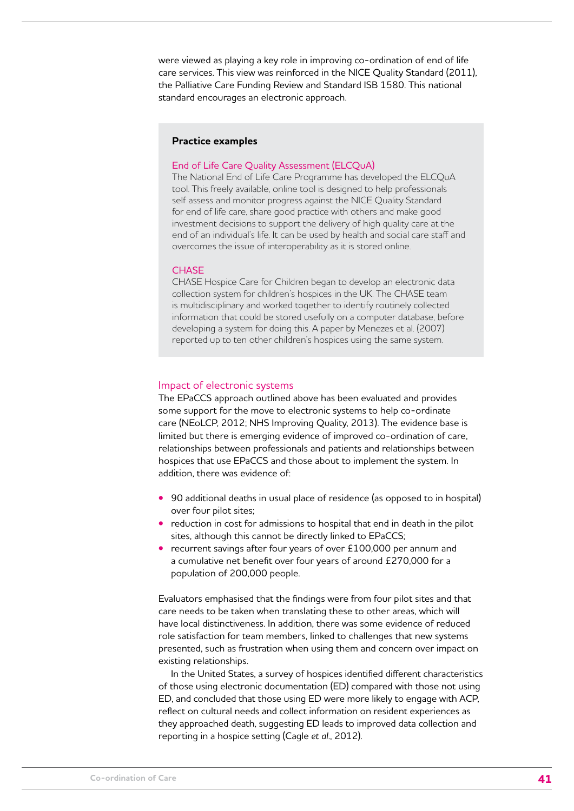were viewed as playing a key role in improving co-ordination of end of life care services. This view was reinforced in the NICE Quality Standard (2011), the Palliative Care Funding Review and Standard ISB 1580. This national standard encourages an electronic approach.

#### **Practice examples**

#### End of Life Care Quality Assessment (ELCQuA)

The National End of Life Care Programme has developed the ELCQuA tool. This freely available, online tool is designed to help professionals self assess and monitor progress against the NICE Quality Standard for end of life care, share good practice with others and make good investment decisions to support the delivery of high quality care at the end of an individual's life. It can be used by health and social care staff and overcomes the issue of interoperability as it is stored online.

#### **CHASE**

CHASE Hospice Care for Children began to develop an electronic data collection system for children's hospices in the UK. The CHASE team is multidisciplinary and worked together to identify routinely collected information that could be stored usefully on a computer database, before developing a system for doing this. A paper by Menezes et al. (2007) reported up to ten other children's hospices using the same system.

#### Impact of electronic systems

The EPaCCS approach outlined above has been evaluated and provides some support for the move to electronic systems to help co-ordinate care (NEoLCP, 2012; NHS Improving Quality, 2013). The evidence base is limited but there is emerging evidence of improved co-ordination of care, relationships between professionals and patients and relationships between hospices that use EPaCCS and those about to implement the system. In addition, there was evidence of:

- **•** 90 additional deaths in usual place of residence (as opposed to in hospital) over four pilot sites;
- **•** reduction in cost for admissions to hospital that end in death in the pilot sites, although this cannot be directly linked to EPaCCS;
- **•** recurrent savings after four years of over £100,000 per annum and a cumulative net benefit over four years of around £270,000 for a population of 200,000 people.

Evaluators emphasised that the findings were from four pilot sites and that care needs to be taken when translating these to other areas, which will have local distinctiveness. In addition, there was some evidence of reduced role satisfaction for team members, linked to challenges that new systems presented, such as frustration when using them and concern over impact on existing relationships.

In the United States, a survey of hospices identified different characteristics of those using electronic documentation (ED) compared with those not using ED, and concluded that those using ED were more likely to engage with ACP, reflect on cultural needs and collect information on resident experiences as they approached death, suggesting ED leads to improved data collection and reporting in a hospice setting (Cagle *et al*., 2012).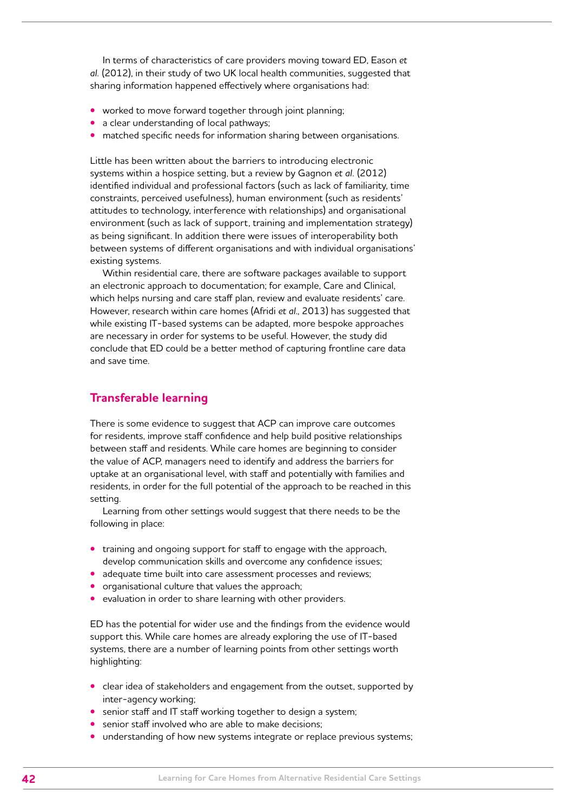In terms of characteristics of care providers moving toward ED, Eason *et al.* (2012), in their study of two UK local health communities, suggested that sharing information happened effectively where organisations had:

- **•** worked to move forward together through joint planning;
- **•** a clear understanding of local pathways;
- **•** matched specific needs for information sharing between organisations.

Little has been written about the barriers to introducing electronic systems within a hospice setting, but a review by Gagnon *et al.* (2012) identified individual and professional factors (such as lack of familiarity, time constraints, perceived usefulness), human environment (such as residents' attitudes to technology, interference with relationships) and organisational environment (such as lack of support, training and implementation strategy) as being significant. In addition there were issues of interoperability both between systems of different organisations and with individual organisations' existing systems.

Within residential care, there are software packages available to support an electronic approach to documentation; for example, Care and Clinical, which helps nursing and care staff plan, review and evaluate residents' care. However, research within care homes (Afridi *et al*., 2013) has suggested that while existing IT-based systems can be adapted, more bespoke approaches are necessary in order for systems to be useful. However, the study did conclude that ED could be a better method of capturing frontline care data and save time.

## **Transferable learning**

There is some evidence to suggest that ACP can improve care outcomes for residents, improve staff confidence and help build positive relationships between staff and residents. While care homes are beginning to consider the value of ACP, managers need to identify and address the barriers for uptake at an organisational level, with staff and potentially with families and residents, in order for the full potential of the approach to be reached in this setting.

Learning from other settings would suggest that there needs to be the following in place:

- **•** training and ongoing support for staff to engage with the approach, develop communication skills and overcome any confidence issues;
- **•** adequate time built into care assessment processes and reviews;
- **•** organisational culture that values the approach;
- **•** evaluation in order to share learning with other providers.

ED has the potential for wider use and the findings from the evidence would support this. While care homes are already exploring the use of IT-based systems, there are a number of learning points from other settings worth highlighting:

- **•** clear idea of stakeholders and engagement from the outset, supported by inter-agency working;
- **•** senior staff and IT staff working together to design a system;
- **•** senior staff involved who are able to make decisions;
- **•** understanding of how new systems integrate or replace previous systems;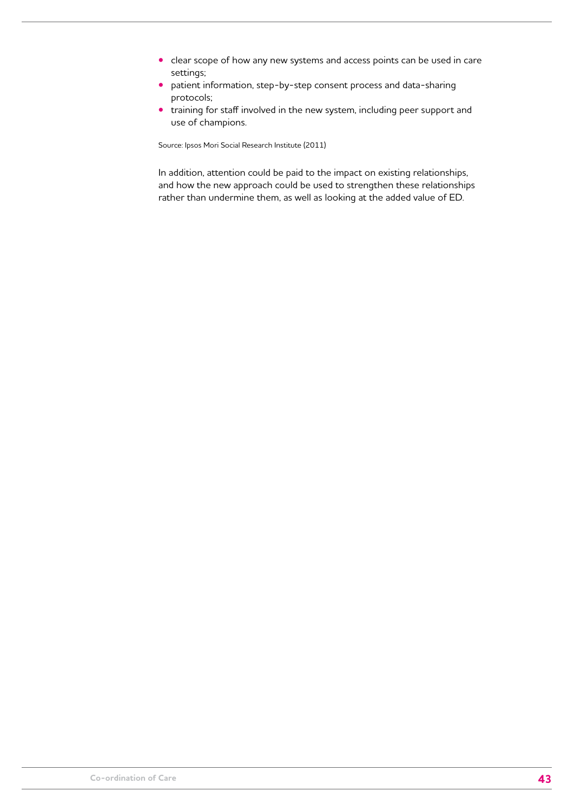- **•** clear scope of how any new systems and access points can be used in care settings;
- **•** patient information, step-by-step consent process and data-sharing protocols;
- **•** training for staff involved in the new system, including peer support and use of champions.

Source: Ipsos Mori Social Research Institute (2011)

In addition, attention could be paid to the impact on existing relationships, and how the new approach could be used to strengthen these relationships rather than undermine them, as well as looking at the added value of ED.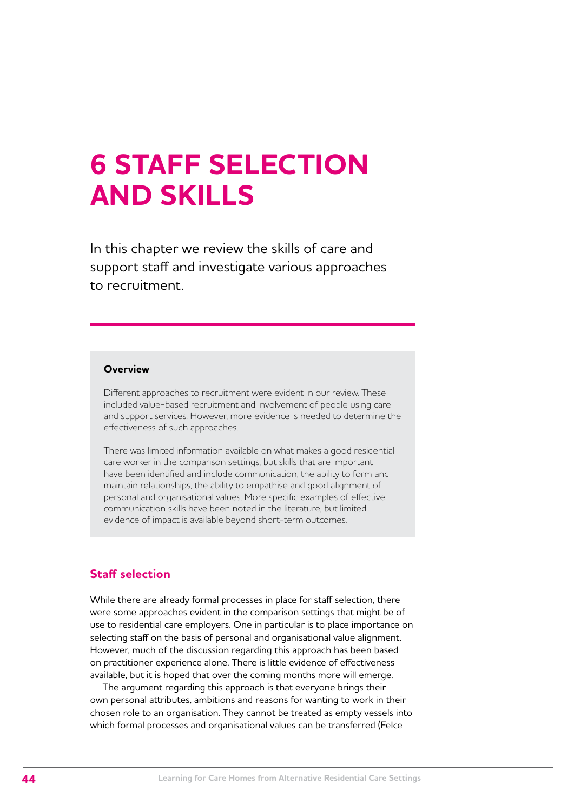## **6 STAFF SELECTION AND SKILLS**

In this chapter we review the skills of care and support staff and investigate various approaches to recruitment.

#### **Overview**

Different approaches to recruitment were evident in our review. These included value-based recruitment and involvement of people using care and support services. However, more evidence is needed to determine the effectiveness of such approaches.

There was limited information available on what makes a good residential care worker in the comparison settings, but skills that are important have been identified and include communication, the ability to form and maintain relationships, the ability to empathise and good alignment of personal and organisational values. More specific examples of effective communication skills have been noted in the literature, but limited evidence of impact is available beyond short-term outcomes.

## **Staff selection**

While there are already formal processes in place for staff selection, there were some approaches evident in the comparison settings that might be of use to residential care employers. One in particular is to place importance on selecting staff on the basis of personal and organisational value alignment. However, much of the discussion regarding this approach has been based on practitioner experience alone. There is little evidence of effectiveness available, but it is hoped that over the coming months more will emerge.

The argument regarding this approach is that everyone brings their own personal attributes, ambitions and reasons for wanting to work in their chosen role to an organisation. They cannot be treated as empty vessels into which formal processes and organisational values can be transferred (Felce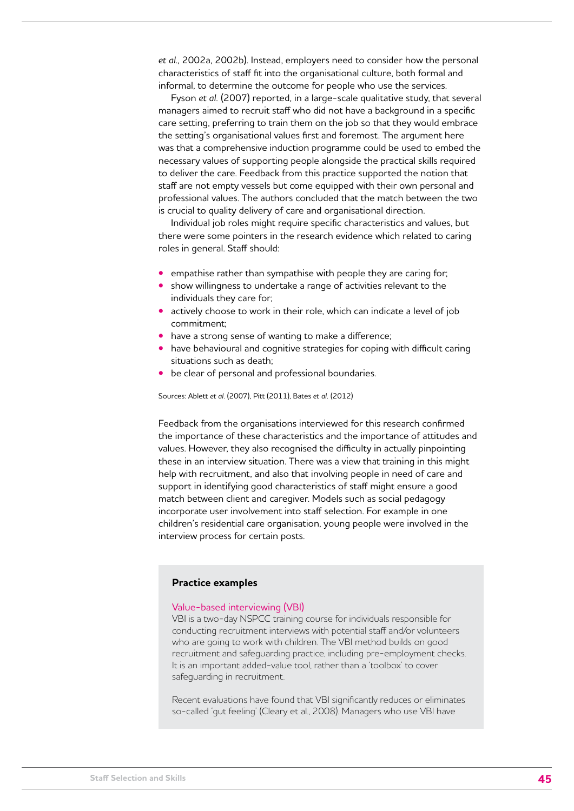*et al*., 2002a, 2002b). Instead, employers need to consider how the personal characteristics of staff fit into the organisational culture, both formal and informal, to determine the outcome for people who use the services.

Fyson *et al.* (2007) reported, in a large-scale qualitative study, that several managers aimed to recruit staff who did not have a background in a specific care setting, preferring to train them on the job so that they would embrace the setting's organisational values first and foremost. The argument here was that a comprehensive induction programme could be used to embed the necessary values of supporting people alongside the practical skills required to deliver the care. Feedback from this practice supported the notion that staff are not empty vessels but come equipped with their own personal and professional values. The authors concluded that the match between the two is crucial to quality delivery of care and organisational direction.

Individual job roles might require specific characteristics and values, but there were some pointers in the research evidence which related to caring roles in general. Staff should:

- empathise rather than sympathise with people they are caring for;
- **•** show willingness to undertake a range of activities relevant to the individuals they care for;
- **•** actively choose to work in their role, which can indicate a level of job commitment;
- **•** have a strong sense of wanting to make a difference;
- **•** have behavioural and cognitive strategies for coping with difficult caring situations such as death;
- **•** be clear of personal and professional boundaries.

Sources: Ablett *et al*. (2007), Pitt (2011), Bates *et al.* (2012)

Feedback from the organisations interviewed for this research confirmed the importance of these characteristics and the importance of attitudes and values. However, they also recognised the difficulty in actually pinpointing these in an interview situation. There was a view that training in this might help with recruitment, and also that involving people in need of care and support in identifying good characteristics of staff might ensure a good match between client and caregiver. Models such as social pedagogy incorporate user involvement into staff selection. For example in one children's residential care organisation, young people were involved in the interview process for certain posts.

#### **Practice examples**

#### Value-based interviewing (VBI)

VBI is a two-day NSPCC training course for individuals responsible for conducting recruitment interviews with potential staff and/or volunteers who are going to work with children. The VBI method builds on good recruitment and safeguarding practice, including pre-employment checks. It is an important added-value tool, rather than a 'toolbox' to cover safeguarding in recruitment.

Recent evaluations have found that VBI significantly reduces or eliminates so-called 'gut feeling' (Cleary et al., 2008). Managers who use VBI have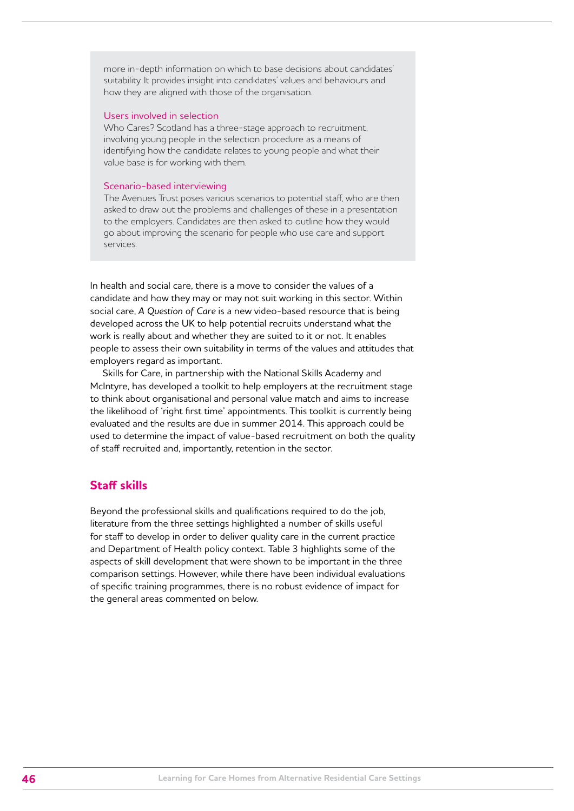more in-depth information on which to base decisions about candidates' suitability. It provides insight into candidates' values and behaviours and how they are aligned with those of the organisation.

#### Users involved in selection

Who Cares? Scotland has a three-stage approach to recruitment, involving young people in the selection procedure as a means of identifying how the candidate relates to young people and what their value base is for working with them.

#### Scenario-based interviewing

The Avenues Trust poses various scenarios to potential staff, who are then asked to draw out the problems and challenges of these in a presentation to the employers. Candidates are then asked to outline how they would go about improving the scenario for people who use care and support services.

In health and social care, there is a move to consider the values of a candidate and how they may or may not suit working in this sector. Within social care, *A Question of Care* is a new video-based resource that is being developed across the UK to help potential recruits understand what the work is really about and whether they are suited to it or not. It enables people to assess their own suitability in terms of the values and attitudes that employers regard as important.

Skills for Care, in partnership with the National Skills Academy and McIntyre, has developed a toolkit to help employers at the recruitment stage to think about organisational and personal value match and aims to increase the likelihood of 'right first time' appointments. This toolkit is currently being evaluated and the results are due in summer 2014. This approach could be used to determine the impact of value-based recruitment on both the quality of staff recruited and, importantly, retention in the sector.

## **Staff skills**

Beyond the professional skills and qualifications required to do the job, literature from the three settings highlighted a number of skills useful for staff to develop in order to deliver quality care in the current practice and Department of Health policy context. Table 3 highlights some of the aspects of skill development that were shown to be important in the three comparison settings. However, while there have been individual evaluations of specific training programmes, there is no robust evidence of impact for the general areas commented on below.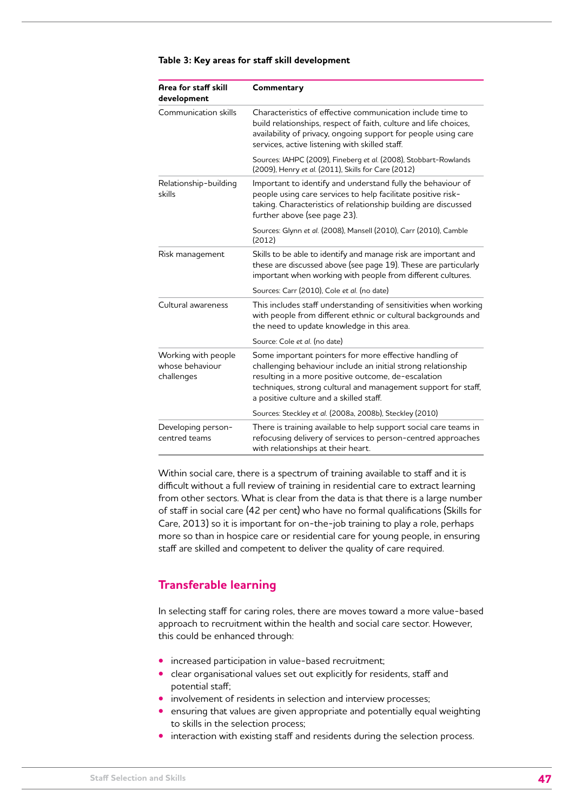| Area for staff skill<br>development                  | Commentary                                                                                                                                                                                                                                                                                |
|------------------------------------------------------|-------------------------------------------------------------------------------------------------------------------------------------------------------------------------------------------------------------------------------------------------------------------------------------------|
| Communication skills                                 | Characteristics of effective communication include time to<br>build relationships, respect of faith, culture and life choices,<br>availability of privacy, ongoing support for people using care<br>services, active listening with skilled staff.                                        |
|                                                      | Sources: IAHPC (2009), Fineberg et al. (2008), Stobbart-Rowlands<br>(2009), Henry et al. (2011), Skills for Care (2012)                                                                                                                                                                   |
| Relationship-building<br>skills                      | Important to identify and understand fully the behaviour of<br>people using care services to help facilitate positive risk-<br>taking. Characteristics of relationship building are discussed<br>further above (see page 23).                                                             |
|                                                      | Sources: Glynn et al. (2008), Mansell (2010), Carr (2010), Camble<br>(2012)                                                                                                                                                                                                               |
| Risk management                                      | Skills to be able to identify and manage risk are important and<br>these are discussed above (see page 19). These are particularly<br>important when working with people from different cultures.                                                                                         |
|                                                      | Sources: Carr (2010), Cole et al. (no date)                                                                                                                                                                                                                                               |
| Cultural awareness                                   | This includes staff understanding of sensitivities when working<br>with people from different ethnic or cultural backgrounds and<br>the need to update knowledge in this area.                                                                                                            |
|                                                      | Source: Cole et al. (no date)                                                                                                                                                                                                                                                             |
| Working with people<br>whose behaviour<br>challenges | Some important pointers for more effective handling of<br>challenging behaviour include an initial strong relationship<br>resulting in a more positive outcome, de-escalation<br>techniques, strong cultural and management support for staff,<br>a positive culture and a skilled staff. |
|                                                      | Sources: Steckley et al. (2008a, 2008b), Steckley (2010)                                                                                                                                                                                                                                  |
| Developing person-<br>centred teams                  | There is training available to help support social care teams in<br>refocusing delivery of services to person-centred approaches<br>with relationships at their heart.                                                                                                                    |

#### **Table 3: Key areas for staff skill development**

Within social care, there is a spectrum of training available to staff and it is difficult without a full review of training in residential care to extract learning from other sectors. What is clear from the data is that there is a large number of staff in social care (42 per cent) who have no formal qualifications (Skills for Care, 2013) so it is important for on-the-job training to play a role, perhaps more so than in hospice care or residential care for young people, in ensuring staff are skilled and competent to deliver the quality of care required.

## **Transferable learning**

In selecting staff for caring roles, there are moves toward a more value-based approach to recruitment within the health and social care sector. However, this could be enhanced through:

- **•** increased participation in value-based recruitment;
- **•** clear organisational values set out explicitly for residents, staff and potential staff;
- **•** involvement of residents in selection and interview processes;
- **•** ensuring that values are given appropriate and potentially equal weighting to skills in the selection process;
- **•** interaction with existing staff and residents during the selection process.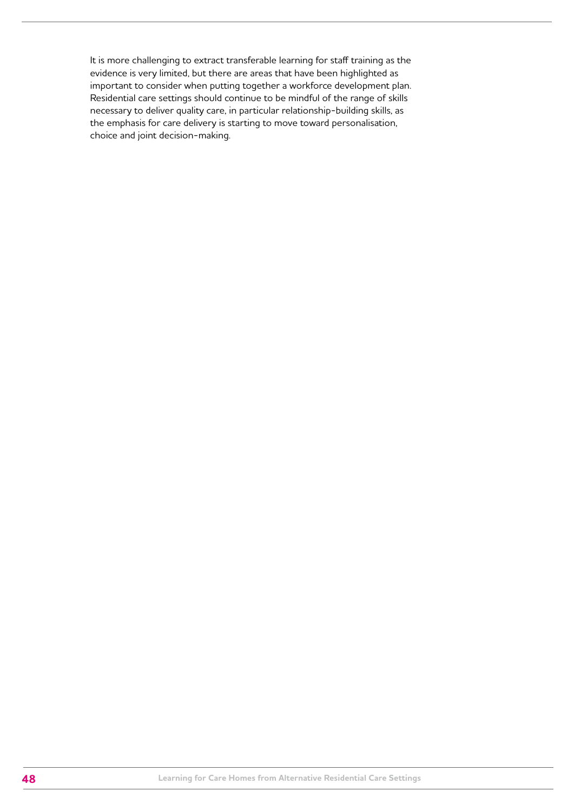It is more challenging to extract transferable learning for staff training as the evidence is very limited, but there are areas that have been highlighted as important to consider when putting together a workforce development plan. Residential care settings should continue to be mindful of the range of skills necessary to deliver quality care, in particular relationship-building skills, as the emphasis for care delivery is starting to move toward personalisation, choice and joint decision-making.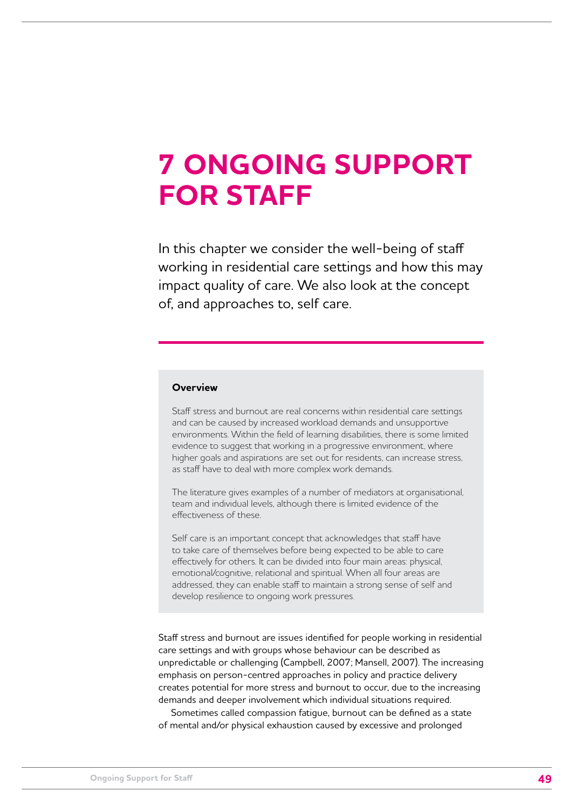## **7 ONGOING SUPPORT FOR STAFF**

In this chapter we consider the well-being of staff working in residential care settings and how this may impact quality of care. We also look at the concept of, and approaches to, self care.

#### **Overview**

Staff stress and burnout are real concerns within residential care settings and can be caused by increased workload demands and unsupportive environments. Within the field of learning disabilities, there is some limited evidence to suggest that working in a progressive environment, where higher goals and aspirations are set out for residents, can increase stress, as staff have to deal with more complex work demands.

The literature gives examples of a number of mediators at organisational, team and individual levels, although there is limited evidence of the effectiveness of these.

Self care is an important concept that acknowledges that staff have to take care of themselves before being expected to be able to care effectively for others. It can be divided into four main areas: physical, emotional/cognitive, relational and spiritual. When all four areas are addressed, they can enable staff to maintain a strong sense of self and develop resilience to ongoing work pressures.

Staff stress and burnout are issues identified for people working in residential care settings and with groups whose behaviour can be described as unpredictable or challenging (Campbell, 2007; Mansell, 2007). The increasing emphasis on person-centred approaches in policy and practice delivery creates potential for more stress and burnout to occur, due to the increasing demands and deeper involvement which individual situations required.

Sometimes called compassion fatigue, burnout can be defined as a state of mental and/or physical exhaustion caused by excessive and prolonged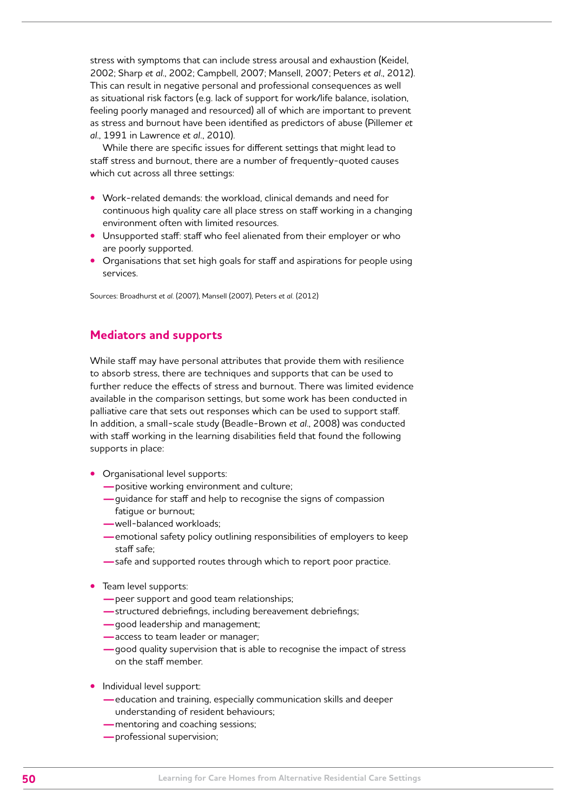stress with symptoms that can include stress arousal and exhaustion (Keidel, 2002; Sharp *et al*., 2002; Campbell, 2007; Mansell, 2007; Peters *et al*., 2012). This can result in negative personal and professional consequences as well as situational risk factors (e.g. lack of support for work/life balance, isolation, feeling poorly managed and resourced) all of which are important to prevent as stress and burnout have been identified as predictors of abuse (Pillemer *et al*., 1991 in Lawrence *et al.*, 2010).

While there are specific issues for different settings that might lead to staff stress and burnout, there are a number of frequently-quoted causes which cut across all three settings:

- **•** Work-related demands: the workload, clinical demands and need for continuous high quality care all place stress on staff working in a changing environment often with limited resources.
- **•** Unsupported staff: staff who feel alienated from their employer or who are poorly supported.
- **•** Organisations that set high goals for staff and aspirations for people using services.

Sources: Broadhurst *et al*. (2007), Mansell (2007), Peters *et al.* (2012)

## **Mediators and supports**

While staff may have personal attributes that provide them with resilience to absorb stress, there are techniques and supports that can be used to further reduce the effects of stress and burnout. There was limited evidence available in the comparison settings, but some work has been conducted in palliative care that sets out responses which can be used to support staff. In addition, a small-scale study (Beadle-Brown *et al*., 2008) was conducted with staff working in the learning disabilities field that found the following supports in place:

- **•** Organisational level supports:
	- **—**positive working environment and culture;
	- **—**guidance for staff and help to recognise the signs of compassion fatigue or burnout;
	- **—**well-balanced workloads;
	- **—**emotional safety policy outlining responsibilities of employers to keep staff safe;
	- **—**safe and supported routes through which to report poor practice.
- **•** Team level supports:
	- **—**peer support and good team relationships;
	- **—**structured debriefings, including bereavement debriefings;
	- **—**good leadership and management;
	- **—**access to team leader or manager;
	- **—**good quality supervision that is able to recognise the impact of stress on the staff member.
- **•** Individual level support:
	- **—**education and training, especially communication skills and deeper understanding of resident behaviours;
	- **—**mentoring and coaching sessions;
	- **—**professional supervision;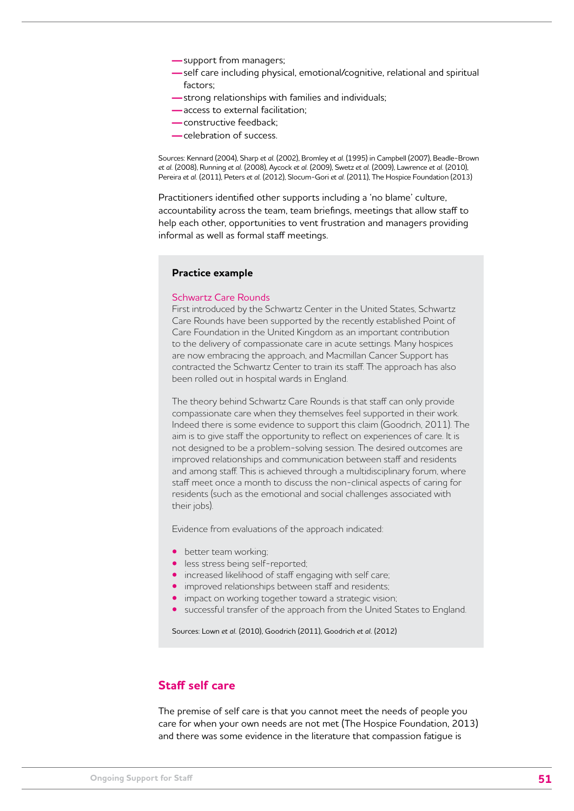- **—**support from managers;
- **—**self care including physical, emotional/cognitive, relational and spiritual factors;
- **—**strong relationships with families and individuals;
- **—**access to external facilitation;
- **—**constructive feedback;
- **—**celebration of success.

Sources: Kennard (2004), Sharp *et al.* (2002), Bromley *et al*. (1995) in Campbell (2007), Beadle-Brown *et al.* (2008), Running *et al.* (2008), Aycock *et al.* (2009), Swetz *et al.* (2009), Lawrence *et al.* (2010), Pereira *et al.* (2011), Peters *et al.* (2012), Slocum-Gori *et al.* (2011), The Hospice Foundation (2013)

Practitioners identified other supports including a 'no blame' culture, accountability across the team, team briefings, meetings that allow staff to help each other, opportunities to vent frustration and managers providing informal as well as formal staff meetings.

#### **Practice example**

#### Schwartz Care Rounds

First introduced by the Schwartz Center in the United States, Schwartz Care Rounds have been supported by the recently established Point of Care Foundation in the United Kingdom as an important contribution to the delivery of compassionate care in acute settings. Many hospices are now embracing the approach, and Macmillan Cancer Support has contracted the Schwartz Center to train its staff. The approach has also been rolled out in hospital wards in England.

The theory behind Schwartz Care Rounds is that staff can only provide compassionate care when they themselves feel supported in their work. Indeed there is some evidence to support this claim (Goodrich, 2011). The aim is to give staff the opportunity to reflect on experiences of care. It is not designed to be a problem-solving session. The desired outcomes are improved relationships and communication between staff and residents and among staff. This is achieved through a multidisciplinary forum, where staff meet once a month to discuss the non-clinical aspects of caring for residents (such as the emotional and social challenges associated with their jobs).

Evidence from evaluations of the approach indicated:

- **•** better team working;
- **•** less stress being self-reported;
- **•** increased likelihood of staff engaging with self care;
- **•** improved relationships between staff and residents;
- **•** impact on working together toward a strategic vision;
- **•** successful transfer of the approach from the United States to England.

Sources: Lown *et al.* (2010), Goodrich (2011), Goodrich *et al.* (2012)

## **Staff self care**

The premise of self care is that you cannot meet the needs of people you care for when your own needs are not met (The Hospice Foundation, 2013) and there was some evidence in the literature that compassion fatigue is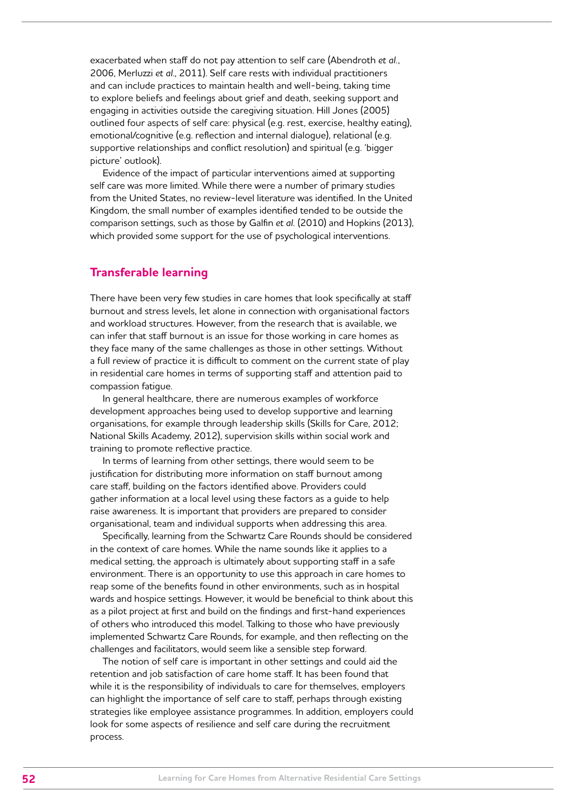exacerbated when staff do not pay attention to self care (Abendroth *et al.*, 2006, Merluzzi *et al*., 2011). Self care rests with individual practitioners and can include practices to maintain health and well-being, taking time to explore beliefs and feelings about grief and death, seeking support and engaging in activities outside the caregiving situation. Hill Jones (2005) outlined four aspects of self care: physical (e.g. rest, exercise, healthy eating), emotional/cognitive (e.g. reflection and internal dialogue), relational (e.g. supportive relationships and conflict resolution) and spiritual (e.g. 'bigger picture' outlook).

Evidence of the impact of particular interventions aimed at supporting self care was more limited. While there were a number of primary studies from the United States, no review-level literature was identified. In the United Kingdom, the small number of examples identified tended to be outside the comparison settings, such as those by Galfin *et al.* (2010) and Hopkins (2013), which provided some support for the use of psychological interventions.

## **Transferable learning**

There have been very few studies in care homes that look specifically at staff burnout and stress levels, let alone in connection with organisational factors and workload structures. However, from the research that is available, we can infer that staff burnout is an issue for those working in care homes as they face many of the same challenges as those in other settings. Without a full review of practice it is difficult to comment on the current state of play in residential care homes in terms of supporting staff and attention paid to compassion fatigue.

In general healthcare, there are numerous examples of workforce development approaches being used to develop supportive and learning organisations, for example through leadership skills (Skills for Care, 2012; National Skills Academy, 2012), supervision skills within social work and training to promote reflective practice.

In terms of learning from other settings, there would seem to be justification for distributing more information on staff burnout among care staff, building on the factors identified above. Providers could gather information at a local level using these factors as a guide to help raise awareness. It is important that providers are prepared to consider organisational, team and individual supports when addressing this area.

Specifically, learning from the Schwartz Care Rounds should be considered in the context of care homes. While the name sounds like it applies to a medical setting, the approach is ultimately about supporting staff in a safe environment. There is an opportunity to use this approach in care homes to reap some of the benefits found in other environments, such as in hospital wards and hospice settings. However, it would be beneficial to think about this as a pilot project at first and build on the findings and first-hand experiences of others who introduced this model. Talking to those who have previously implemented Schwartz Care Rounds, for example, and then reflecting on the challenges and facilitators, would seem like a sensible step forward.

The notion of self care is important in other settings and could aid the retention and job satisfaction of care home staff. It has been found that while it is the responsibility of individuals to care for themselves, employers can highlight the importance of self care to staff, perhaps through existing strategies like employee assistance programmes. In addition, employers could look for some aspects of resilience and self care during the recruitment process.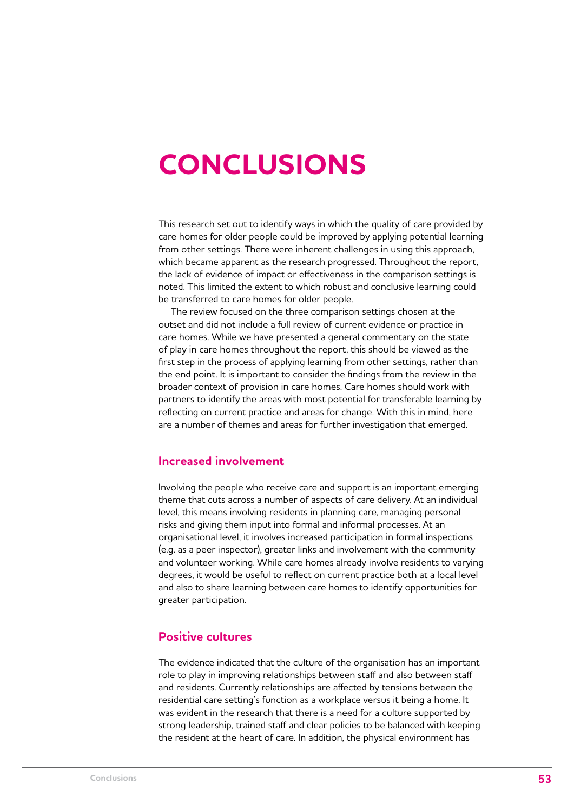## **CONCLUSIONS**

This research set out to identify ways in which the quality of care provided by care homes for older people could be improved by applying potential learning from other settings. There were inherent challenges in using this approach, which became apparent as the research progressed. Throughout the report, the lack of evidence of impact or effectiveness in the comparison settings is noted. This limited the extent to which robust and conclusive learning could be transferred to care homes for older people.

The review focused on the three comparison settings chosen at the outset and did not include a full review of current evidence or practice in care homes. While we have presented a general commentary on the state of play in care homes throughout the report, this should be viewed as the first step in the process of applying learning from other settings, rather than the end point. It is important to consider the findings from the review in the broader context of provision in care homes. Care homes should work with partners to identify the areas with most potential for transferable learning by reflecting on current practice and areas for change. With this in mind, here are a number of themes and areas for further investigation that emerged.

## **Increased involvement**

Involving the people who receive care and support is an important emerging theme that cuts across a number of aspects of care delivery. At an individual level, this means involving residents in planning care, managing personal risks and giving them input into formal and informal processes. At an organisational level, it involves increased participation in formal inspections (e.g. as a peer inspector), greater links and involvement with the community and volunteer working. While care homes already involve residents to varying degrees, it would be useful to reflect on current practice both at a local level and also to share learning between care homes to identify opportunities for greater participation.

## **Positive cultures**

The evidence indicated that the culture of the organisation has an important role to play in improving relationships between staff and also between staff and residents. Currently relationships are affected by tensions between the residential care setting's function as a workplace versus it being a home. It was evident in the research that there is a need for a culture supported by strong leadership, trained staff and clear policies to be balanced with keeping the resident at the heart of care. In addition, the physical environment has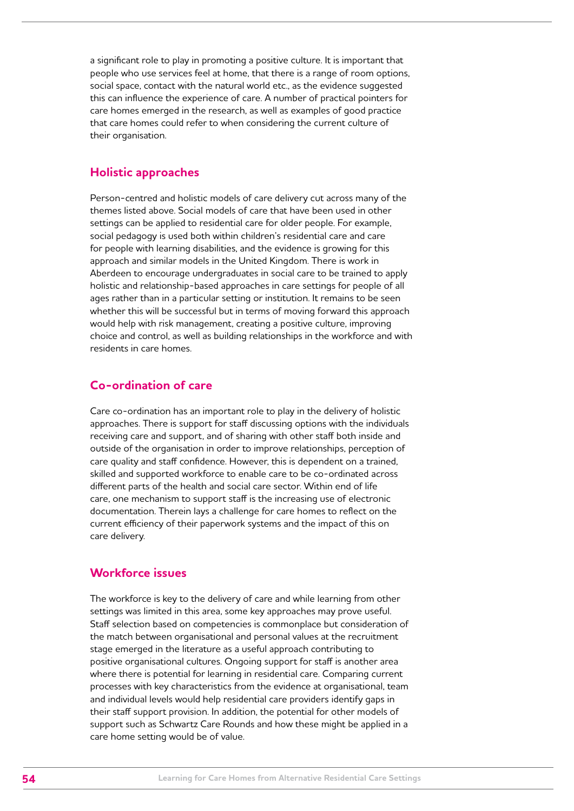a significant role to play in promoting a positive culture. It is important that people who use services feel at home, that there is a range of room options, social space, contact with the natural world etc., as the evidence suggested this can influence the experience of care. A number of practical pointers for care homes emerged in the research, as well as examples of good practice that care homes could refer to when considering the current culture of their organisation.

## **Holistic approaches**

Person-centred and holistic models of care delivery cut across many of the themes listed above. Social models of care that have been used in other settings can be applied to residential care for older people. For example, social pedagogy is used both within children's residential care and care for people with learning disabilities, and the evidence is growing for this approach and similar models in the United Kingdom. There is work in Aberdeen to encourage undergraduates in social care to be trained to apply holistic and relationship-based approaches in care settings for people of all ages rather than in a particular setting or institution. It remains to be seen whether this will be successful but in terms of moving forward this approach would help with risk management, creating a positive culture, improving choice and control, as well as building relationships in the workforce and with residents in care homes.

## **Co-ordination of care**

Care co-ordination has an important role to play in the delivery of holistic approaches. There is support for staff discussing options with the individuals receiving care and support, and of sharing with other staff both inside and outside of the organisation in order to improve relationships, perception of care quality and staff confidence. However, this is dependent on a trained, skilled and supported workforce to enable care to be co-ordinated across different parts of the health and social care sector. Within end of life care, one mechanism to support staff is the increasing use of electronic documentation. Therein lays a challenge for care homes to reflect on the current efficiency of their paperwork systems and the impact of this on care delivery.

## **Workforce issues**

The workforce is key to the delivery of care and while learning from other settings was limited in this area, some key approaches may prove useful. Staff selection based on competencies is commonplace but consideration of the match between organisational and personal values at the recruitment stage emerged in the literature as a useful approach contributing to positive organisational cultures. Ongoing support for staff is another area where there is potential for learning in residential care. Comparing current processes with key characteristics from the evidence at organisational, team and individual levels would help residential care providers identify gaps in their staff support provision. In addition, the potential for other models of support such as Schwartz Care Rounds and how these might be applied in a care home setting would be of value.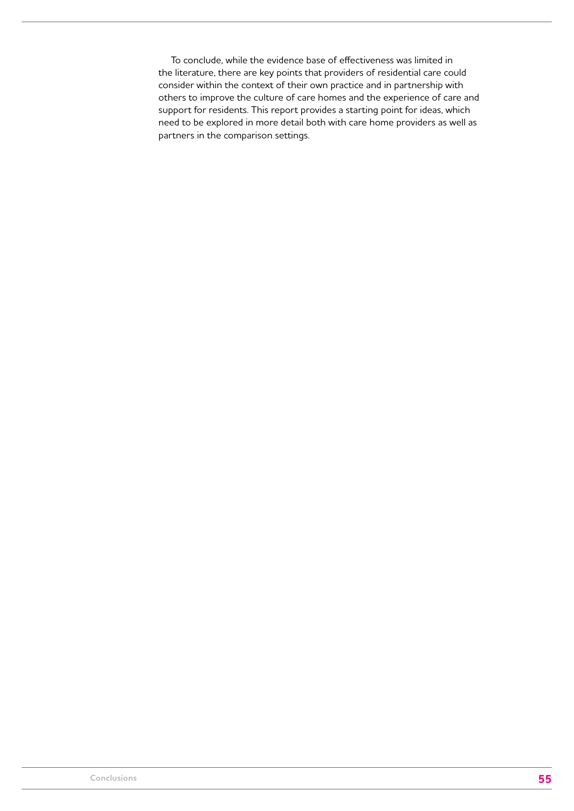To conclude, while the evidence base of effectiveness was limited in the literature, there are key points that providers of residential care could consider within the context of their own practice and in partnership with others to improve the culture of care homes and the experience of care and support for residents. This report provides a starting point for ideas, which need to be explored in more detail both with care home providers as well as partners in the comparison settings.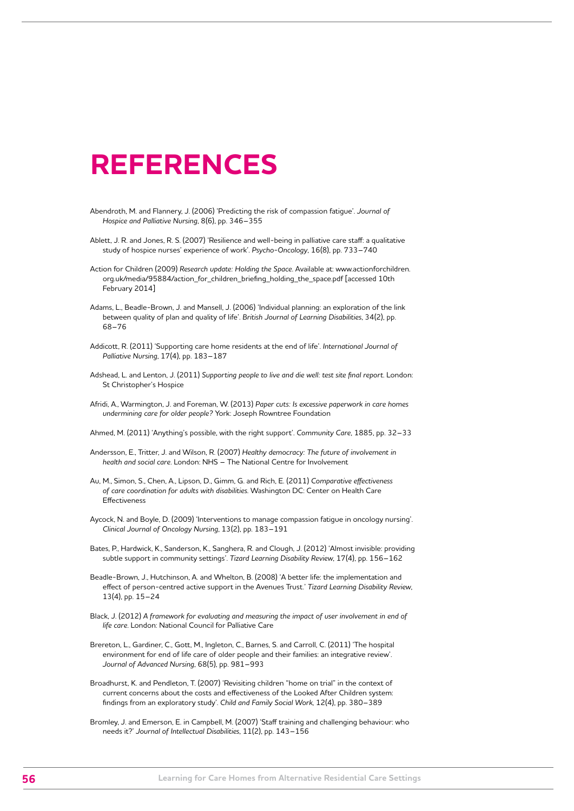## **REFERENCES**

- Abendroth, M. and Flannery, J. (2006) 'Predicting the risk of compassion fatigue'. *Journal of Hospice and Palliative Nursing*, 8(6), pp. 346–355
- Ablett, J. R. and Jones, R. S. (2007) 'Resilience and well-being in palliative care staff: a qualitative study of hospice nurses' experience of work'. *Psycho-Oncology*, 16(8), pp. 733–740
- Action for Children (2009) *Research update: Holding the Space*. Available at: www.actionforchildren. org.uk/media/95884/action\_for\_children\_briefing\_holding\_the\_space.pdf [accessed 10th February 2014]
- Adams, L., Beadle-Brown, J. and Mansell, J. (2006) 'Individual planning: an exploration of the link between quality of plan and quality of life'. *British Journal of Learning Disabilities*, 34(2), pp. 68–76
- Addicott, R. (2011) 'Supporting care home residents at the end of life'. *International Journal of Palliative Nursing*, 17(4), pp. 183–187
- Adshead, L. and Lenton, J. (2011) *Supporting people to live and die well: test site final report*. London: St Christopher's Hospice
- Afridi, A., Warmington, J. and Foreman, W. (2013) *Paper cuts: Is excessive paperwork in care homes undermining care for older people?* York: Joseph Rowntree Foundation

Ahmed, M. (2011) 'Anything's possible, with the right support'. *Community Care*, 1885, pp. 32–33

- Andersson, E., Tritter, J. and Wilson, R. (2007) *Healthy democracy: The future of involvement in health and social care*. London: NHS – The National Centre for Involvement
- Au, M., Simon, S., Chen, A., Lipson, D., Gimm, G. and Rich, E. (2011) *Comparative effectiveness of care coordination for adults with disabilities*. Washington DC: Center on Health Care Effectiveness
- Aycock, N. and Boyle, D. (2009) 'Interventions to manage compassion fatigue in oncology nursing'. *Clinical Journal of Oncology Nursing*, 13(2), pp. 183–191
- Bates, P., Hardwick, K., Sanderson, K., Sanghera, R. and Clough, J. (2012) 'Almost invisible: providing subtle support in community settings'. *Tizard Learning Disability Review*, 17(4), pp. 156–162
- Beadle-Brown, J., Hutchinson, A. and Whelton, B. (2008) 'A better life: the implementation and effect of person-centred active support in the Avenues Trust.' *Tizard Learning Disability Review*, 13(4), pp. 15–24
- Black, J. (2012) *A framework for evaluating and measuring the impact of user involvement in end of life care*. London: National Council for Palliative Care
- Brereton, L., Gardiner, C., Gott, M., Ingleton, C., Barnes, S. and Carroll, C. (2011) 'The hospital environment for end of life care of older people and their families: an integrative review'. *Journal of Advanced Nursing*, 68(5), pp. 981–993
- Broadhurst, K. and Pendleton, T. (2007) 'Revisiting children "home on trial" in the context of current concerns about the costs and effectiveness of the Looked After Children system: findings from an exploratory study'. *Child and Family Social Work*, 12(4), pp. 380–389
- Bromley, J. and Emerson, E. in Campbell, M. (2007) 'Staff training and challenging behaviour: who needs it?' *Journal of Intellectual Disabilities*, 11(2), pp. 143–156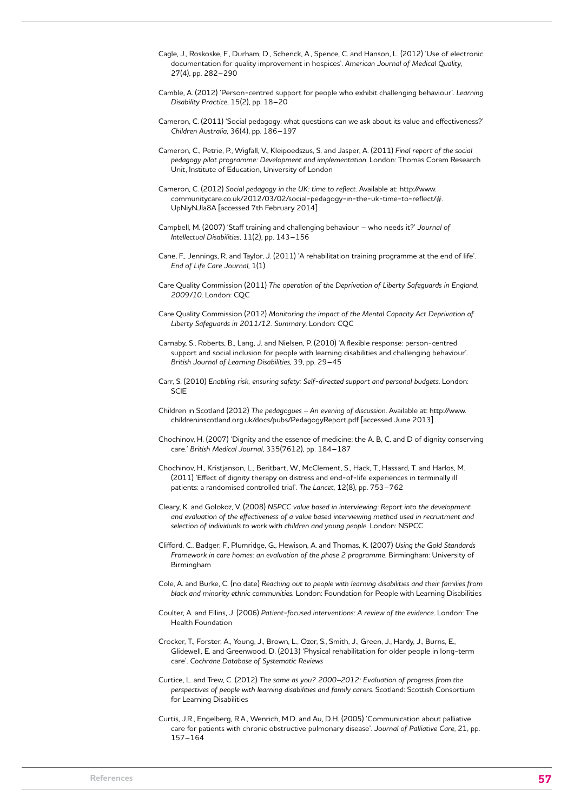- Cagle, J., Roskoske, F., Durham, D., Schenck, A., Spence, C. and Hanson, L. (2012) 'Use of electronic documentation for quality improvement in hospices'. *American Journal of Medical Quality*, 27(4), pp. 282–290
- Camble, A. (2012) 'Person-centred support for people who exhibit challenging behaviour'. *Learning Disability Practice*, 15(2), pp. 18–20
- Cameron, C. (2011) 'Social pedagogy: what questions can we ask about its value and effectiveness?' *Children Australia*, 36(4), pp. 186–197
- Cameron, C., Petrie, P., Wigfall, V., Kleipoedszus, S. and Jasper, A. (2011) *Final report of the social pedagogy pilot programme: Development and implementation*. London: Thomas Coram Research Unit, Institute of Education, University of London
- Cameron, C. (2012) *Social pedagogy in the UK: time to reflect*. Available at: http://www. communitycare.co.uk/2012/03/02/social-pedagogy-in-the-uk-time-to-reflect/#. UpNiyNJIa8A [accessed 7th February 2014]
- Campbell, M. (2007) 'Staff training and challenging behaviour who needs it?' *Journal of Intellectual Disabilities*, 11(2), pp. 143–156
- Cane, F., Jennings, R. and Taylor, J. (2011) 'A rehabilitation training programme at the end of life'. *End of Life Care Journal*, 1(1)
- Care Quality Commission (2011) *The operation of the Deprivation of Liberty Safeguards in England, 2009/10*. London: CQC
- Care Quality Commission (2012) *Monitoring the impact of the Mental Capacity Act Deprivation of Liberty Safeguards in 2011/12. Summary*. London: CQC
- Carnaby, S., Roberts, B., Lang, J. and Nielsen, P. (2010) 'A flexible response: person-centred support and social inclusion for people with learning disabilities and challenging behaviour'. *British Journal of Learning Disabilities*, 39, pp. 29–45
- Carr, S. (2010) *Enabling risk, ensuring safety: Self-directed support and personal budgets*. London: SCIE
- Children in Scotland (2012) *The pedagogues An evening of discussion*. Available at: http://www. childreninscotland.org.uk/docs/pubs/PedagogyReport.pdf [accessed June 2013]
- Chochinov, H. (2007) 'Dignity and the essence of medicine: the A, B, C, and D of dignity conserving care.' *British Medical Journal*, 335(7612), pp. 184–187
- Chochinov, H., Kristjanson, L., Beritbart, W., McClement, S., Hack, T., Hassard, T. and Harlos, M. (2011) 'Effect of dignity therapy on distress and end-of-life experiences in terminally ill patients: a randomised controlled trial'. *The Lancet*, 12(8), pp. 753–762
- Cleary, K. and Golokoz, V. (2008) *NSPCC value based in interviewing: Report into the development and evaluation of the effectiveness of a value based interviewing method used in recruitment and selection of individuals to work with children and young people*. London: NSPCC
- Clifford, C., Badger, F., Plumridge, G., Hewison, A. and Thomas, K. (2007) *Using the Gold Standards Framework in care homes: an evaluation of the phase 2 programme*. Birmingham: University of Birmingham
- Cole, A. and Burke, C. (no date) *Reaching out to people with learning disabilities and their families from black and minority ethnic communities.* London: Foundation for People with Learning Disabilities
- Coulter, A. and Ellins, J. (2006) *Patient-focused interventions: A review of the evidence*. London: The Health Foundation
- Crocker, T., Forster, A., Young, J., Brown, L., Ozer, S., Smith, J., Green, J., Hardy, J., Burns, E., Glidewell, E. and Greenwood, D. (2013) 'Physical rehabilitation for older people in long-term care'. *Cochrane Database of Systematic Reviews*
- Curtice, L. and Trew, C. (2012) *The same as you? 2000–2012: Evaluation of progress from the perspectives of people with learning disabilities and family carers*. Scotland: Scottish Consortium for Learning Disabilities
- Curtis, J.R., Engelberg, R.A., Wenrich, M.D. and Au, D.H. (2005) 'Communication about palliative care for patients with chronic obstructive pulmonary disease'. J*ournal of Palliative Care*, 21, pp. 157–164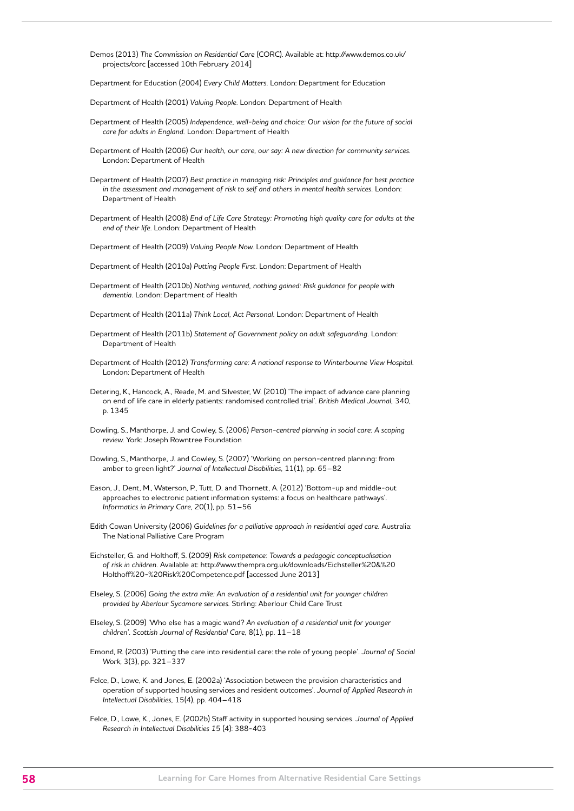Demos (2013) *The Commission on Residential Care* (CORC). Available at: [http://www.demos.co.uk/](http://www.demos.co.uk/projects/corc) [projects/corc](http://www.demos.co.uk/projects/corc) [accessed 10th February 2014]

Department for Education (2004) *Every Child Matters.* London: Department for Education

Department of Health (2001) *Valuing People.* London: Department of Health

- Department of Health (2005) *Independence, well-being and choice: Our vision for the future of social care for adults in England.* London: Department of Health
- Department of Health (2006) *Our health, our care, our say: A new direction for community services*. London: Department of Health
- Department of Health (2007) *Best practice in managing risk: Principles and guidance for best practice in the assessment and management of risk to self and others in mental health services.* London: Department of Health
- Department of Health (2008) *End of Life Care Strategy: Promoting high quality care for adults at the end of their life.* London: Department of Health

Department of Health (2009) *Valuing People Now.* London: Department of Health

Department of Health (2010a) *Putting People First.* London: Department of Health

Department of Health (2010b) *Nothing ventured, nothing gained: Risk guidance for people with dementia.* London: Department of Health

Department of Health (2011a) *Think Local, Act Personal.* London: Department of Health

- Department of Health (2011b) *Statement of Government policy on adult safeguarding.* London: Department of Health
- Department of Health (2012) *Transforming care: A national response to Winterbourne View Hospital.* London: Department of Health
- Detering, K., Hancock, A., Reade, M. and Silvester, W. (2010) 'The impact of advance care planning on end of life care in elderly patients: randomised controlled trial'. *British Medical Journal,* 340, p. 1345
- Dowling, S., Manthorpe, J. and Cowley, S. (2006) *Person-centred planning in social care: A scoping review.* York: Joseph Rowntree Foundation
- Dowling, S., Manthorpe, J. and Cowley, S. (2007) 'Working on person-centred planning: from amber to green light?' *Journal of Intellectual Disabilities,* 11(1), pp. 65–82
- Eason, J., Dent, M., Waterson, P., Tutt, D. and Thornett, A. (2012) 'Bottom-up and middle-out approaches to electronic patient information systems: a focus on healthcare pathways'. *Informatics in Primary Care,* 20(1), pp. 51–56
- Edith Cowan University (2006) *Guidelines for a palliative approach in residential aged care.* Australia: The National Palliative Care Program
- Eichsteller, G. and Holthoff, S. (2009) *Risk competence: Towards a pedagogic conceptualisation of risk in children.* Available at: http://www.thempra.org.uk/downloads/Eichsteller%20&%20 Holthoff%20-%20Risk%20Competence.pdf [accessed June 2013]
- Elseley, S. (2006) *Going the extra mile: An evaluation of a residential unit for younger children provided by Aberlour Sycamore services.* Stirling: Aberlour Child Care Trust
- Elseley, S. (2009) 'Who else has a magic wand? *An evaluation of a residential unit for younger children'. Scottish Journal of Residential Care,* 8(1), pp. 11–18
- Emond, R. (2003) 'Putting the care into residential care: the role of young people'. *Journal of Social Work,* 3(3), pp. 321–337
- Felce, D., Lowe, K. and Jones, E. (2002a) 'Association between the provision characteristics and operation of supported housing services and resident outcomes'. *Journal of Applied Research in Intellectual Disabilities,* 15(4), pp. 404–418
- Felce, D., Lowe, K., Jones, E. (2002b) [Staff activity in supported housing services](http://gateway.webofknowledge.com/gateway/Gateway.cgi?GWVersion=2&SrcApp=PARTNER_APP&SrcAuth=LinksAMR&KeyUT=000179699200011&DestLinkType=FullRecord&DestApp=ALL_WOS&UsrCustomerID=810a4b6f5e6bf3f40b374d6434a01a2a). *Journal of Applied Research in Intellectual Disabilities 1*5 (4): 388-403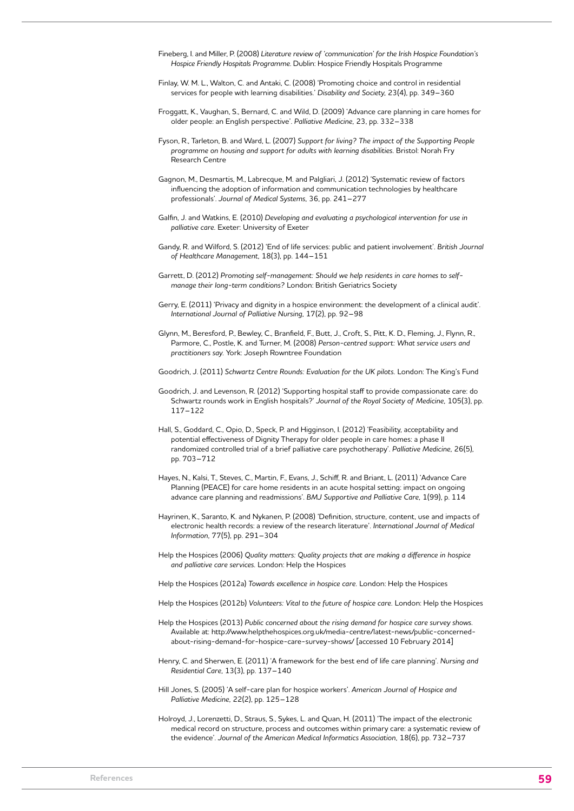- Fineberg, I. and Miller, P. (2008) *Literature review of 'communication' for the Irish Hospice Foundation's Hospice Friendly Hospitals Programme*. Dublin: Hospice Friendly Hospitals Programme
- Finlay, W. M. L., Walton, C. and Antaki, C. (2008) 'Promoting choice and control in residential services for people with learning disabilities.' *Disability and Society,* 23(4), pp. 349–360
- Froggatt, K., Vaughan, S., Bernard, C. and Wild, D. (2009) 'Advance care planning in care homes for older people: an English perspective'. *Palliative Medicine,* 23, pp. 332–338
- Fyson, R., Tarleton, B. and Ward, L. (2007) *Support for living? The impact of the Supporting People programme on housing and support for adults with learning disabilities.* Bristol: Norah Fry Research Centre
- Gagnon, M., Desmartis, M., Labrecque, M. and Palgliari, J. (2012) 'Systematic review of factors influencing the adoption of information and communication technologies by healthcare professionals'. *Journal of Medical Systems,* 36, pp. 241–277
- Galfin, J. and Watkins, E. (2010) *Developing and evaluating a psychological intervention for use in palliative care.* Exeter: University of Exeter
- Gandy, R. and Wilford, S. (2012) 'End of life services: public and patient involvement'. *British Journal of Healthcare Management,* 18(3), pp. 144–151
- Garrett, D. (2012) *Promoting self-management: Should we help residents in care homes to selfmanage their long-term conditions?* London: British Geriatrics Society
- Gerry, E. (2011) 'Privacy and dignity in a hospice environment: the development of a clinical audit'. *International Journal of Palliative Nursing,* 17(2), pp. 92–98
- Glynn, M., Beresford, P., Bewley, C., Branfield, F., Butt, J., Croft, S., Pitt, K. D., Fleming, J., Flynn, R., Parmore, C., Postle, K. and Turner, M. (2008) *Person-centred support: What service users and practitioners say.* York: Joseph Rowntree Foundation
- Goodrich, J. (2011) *Schwartz Centre Rounds: Evaluation for the UK pilots.* London: The King's Fund
- Goodrich, J. and Levenson, R. (2012) 'Supporting hospital staff to provide compassionate care: do Schwartz rounds work in English hospitals?' *Journal of the Royal Society of Medicine,* 105(3), pp. 117–122
- Hall, S., Goddard, C., Opio, D., Speck, P. and Higginson, I. (2012) 'Feasibility, acceptability and potential effectiveness of Dignity Therapy for older people in care homes: a phase II randomized controlled trial of a brief palliative care psychotherapy'. *Palliative Medicine,* 26(5), pp. 703–712
- Hayes, N., Kalsi, T., Steves, C., Martin, F., Evans, J., Schiff, R. and Briant, L. (2011) 'Advance Care Planning (PEACE) for care home residents in an acute hospital setting: impact on ongoing advance care planning and readmissions'. *BMJ Supportive and Palliative Care,* 1(99), p. 114
- Hayrinen, K., Saranto, K. and Nykanen, P. (2008) 'Definition, structure, content, use and impacts of electronic health records: a review of the research literature'. *International Journal of Medical Information,* 77(5), pp. 291–304
- Help the Hospices (2006) *Quality matters: Quality projects that are making a difference in hospice and palliative care services.* London: Help the Hospices

Help the Hospices (2012a) *Towards excellence in hospice care.* London: Help the Hospices

- Help the Hospices (2012b) *Volunteers: Vital to the future of hospice care.* London: Help the Hospices
- Help the Hospices (2013) *Public concerned about the rising demand for hospice care survey shows.*  Available at: http://www.helpthehospices.org.uk/media-centre/latest-news/public-concernedabout-rising-demand-for-hospice-care-survey-shows/ [accessed 10 February 2014]
- Henry, C. and Sherwen, E. (2011) 'A framework for the best end of life care planning'. *Nursing and Residential Care,* 13(3), pp. 137–140
- Hill Jones, S. (2005) 'A self-care plan for hospice workers'. *American Journal of Hospice and Palliative Medicine,* 22(2), pp. 125–128
- Holroyd, J., Lorenzetti, D., Straus, S., Sykes, L. and Quan, H. (2011) 'The impact of the electronic medical record on structure, process and outcomes within primary care: a systematic review of the evidence'. *Journal of the American Medical Informatics Association,* 18(6), pp. 732–737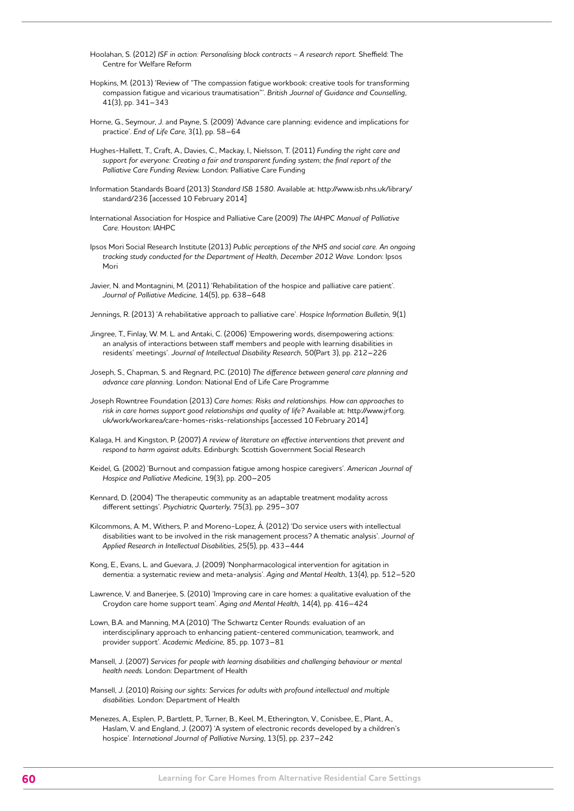Hoolahan, S. (2012) ISF in action: Personalising block contracts - A research report. Sheffield: The Centre for Welfare Reform

Hopkins, M. (2013) 'Review of "The compassion fatigue workbook: creative tools for transforming compassion fatigue and vicarious traumatisation"'. *British Journal of Guidance and Counselling,*  41(3), pp. 341–343

Horne, G., Seymour, J. and Payne, S. (2009) 'Advance care planning: evidence and implications for practice'. *End of Life Care*, 3(1), pp. 58–64

Hughes-Hallett, T., Craft, A., Davies, C., Mackay, I., Nielsson, T. (2011) *Funding the right care and support for everyone: Creating a fair and transparent funding system; the final report of the Palliative Care Funding Review.* London: Palliative Care Funding

Information Standards Board (2013) *Standard ISB 1580.* Available at: http://www.isb.nhs.uk/library/ standard/236 [accessed 10 February 2014]

International Association for Hospice and Palliative Care (2009) *The IAHPC Manual of Palliative Care.* Houston: IAHPC

Ipsos Mori Social Research Institute (2013) *Public perceptions of the NHS and social care. An ongoing tracking study conducted for the Department of Health, December 2012 Wave.* London: Ipsos Mori

Javier, N. and Montagnini, M. (2011) 'Rehabilitation of the hospice and palliative care patient'. *Journal of Palliative Medicine,* 14(5), pp. 638–648

Jennings, R. (2013) 'A rehabilitative approach to palliative care'. *Hospice Information Bulletin*, 9(1)

Jingree, T., Finlay, W. M. L. and Antaki, C. (2006) 'Empowering words, disempowering actions: an analysis of interactions between staff members and people with learning disabilities in residents' meetings'. *Journal of Intellectual Disability Research,* 50(Part 3), pp. 212–226

Joseph, S., Chapman, S. and Regnard, P.C. (2010) *The difference between general care planning and advance care planning.* London: National End of Life Care Programme

Joseph Rowntree Foundation (2013) *Care homes: Risks and relationships. How can approaches to risk in care homes support good relationships and quality of life?* Available at: http://www.jrf.org. uk/work/workarea/care-homes-risks-relationships [accessed 10 February 2014]

Kalaga, H. and Kingston, P. (2007) *A review of literature on effective interventions that prevent and respond to harm against adults.* Edinburgh: Scottish Government Social Research

Keidel, G. (2002) 'Burnout and compassion fatigue among hospice caregivers'. *American Journal of Hospice and Palliative Medicine,* 19(3), pp. 200–205

Kennard, D. (2004) 'The therapeutic community as an adaptable treatment modality across different settings'. *Psychiatric Quarterly,* 75(3), pp. 295–307

Kilcommons, A. M., Withers, P. and Moreno-Lopez, Á. (2012) 'Do service users with intellectual disabilities want to be involved in the risk management process? A thematic analysis'. *Journal of Applied Research in Intellectual Disabilities,* 25(5), pp. 433–444

Kong, E., Evans, L. and Guevara, J. (2009) 'Nonpharmacological intervention for agitation in dementia: a systematic review and meta-analysis'. *Aging and Mental Health,* 13(4), pp. 512–520

Lawrence, V. and Banerjee, S. (2010) 'Improving care in care homes: a qualitative evaluation of the Croydon care home support team'. *Aging and Mental Health,* 14(4), pp. 416–424

Lown, B.A. and Manning, M.A (2010) 'The Schwartz Center Rounds: evaluation of an interdisciplinary approach to enhancing patient-centered communication, teamwork, and provider support'. *Academic Medicine,* 85, pp. 1073–81

Mansell, J. (2007) *Services for people with learning disabilities and challenging behaviour or mental health needs.* London: Department of Health

Mansell, J. (2010) *Raising our sights: Services for adults with profound intellectual and multiple disabilities.* London: Department of Health

Menezes, A., Esplen, P., Bartlett, P., Turner, B., Keel, M., Etherington, V., Conisbee, E., Plant, A., Haslam, V. and England, J. (2007) 'A system of electronic records developed by a children's hospice'. *International Journal of Palliative Nursing*, 13(5), pp. 237–242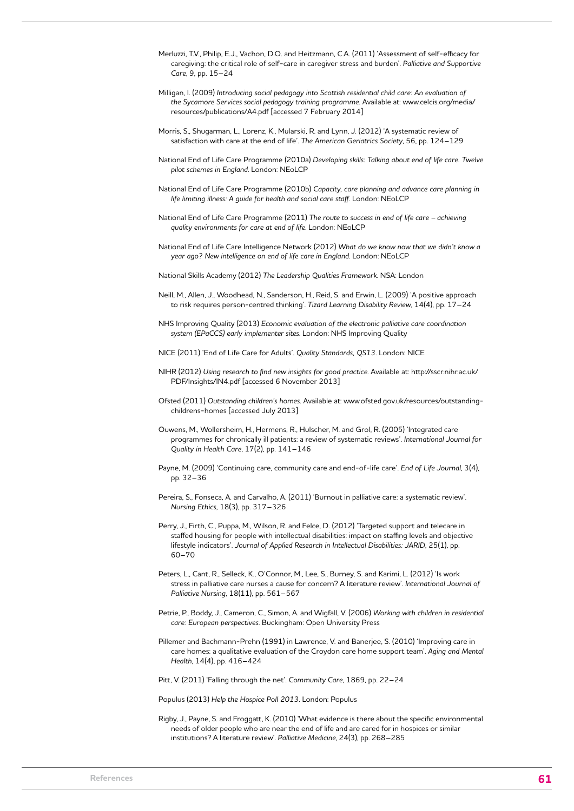- Merluzzi, T.V., Philip, E.J., Vachon, D.O. and Heitzmann, C.A. (2011) 'Assessment of self-efficacy for caregiving: the critical role of self-care in caregiver stress and burden'. *Palliative and Supportive Care*, 9, pp. 15–24
- Milligan, I. (2009) *Introducing social pedagogy into Scottish residential child care: An evaluation of the Sycamore Services social pedagogy training programme*. Available at: www.celcis.org/media/ resources/publications/A4.pdf [accessed 7 February 2014]
- Morris, S., Shugarman, L., Lorenz, K., Mularski, R. and Lynn, J. (2012) 'A systematic review of satisfaction with care at the end of life'. *The American Geriatrics Society*, 56, pp. 124–129
- National End of Life Care Programme (2010a) *Developing skills: Talking about end of life care. Twelve pilot schemes in England*. London: NEoLCP
- National End of Life Care Programme (2010b) *Capacity, care planning and advance care planning in life limiting illness: A guide for health and social care staff.* London: NEoLCP
- National End of Life Care Programme (2011) *The route to success in end of life care achieving quality environments for care at end of life*. London: NEoLCP
- National End of Life Care Intelligence Network (2012) *What do we know now that we didn't know a year ago? New intelligence on end of life care in England*. London: NEoLCP
- National Skills Academy (2012) *The Leadership Qualities Framework*. NSA: London
- Neill, M., Allen, J., Woodhead, N., Sanderson, H., Reid, S. and Erwin, L. (2009) 'A positive approach to risk requires person-centred thinking'. *Tizard Learning Disability Review*, 14(4), pp. 17–24
- NHS Improving Quality (2013) *Economic evaluation of the electronic palliative care coordination system (EPaCCS) early implementer sites*. London: NHS Improving Quality
- NICE (2011) 'End of Life Care for Adults'. *Quality Standards, QS13*. London: NICE
- NIHR (2012) *Using research to find new insights for good practice*. Available at: http://sscr.nihr.ac.uk/ PDF/Insights/IN4.pdf [accessed 6 November 2013]
- Ofsted (2011) *Outstanding children's homes*. Available at: www.ofsted.gov.uk/resources/outstandingchildrens-homes [accessed July 2013]
- Ouwens, M., Wollersheim, H., Hermens, R., Hulscher, M. and Grol, R. (2005) 'Integrated care programmes for chronically ill patients: a review of systematic reviews'. *International Journal for Quality in Health Care*, 17(2), pp. 141–146
- Payne, M. (2009) 'Continuing care, community care and end-of-life care'. *End of Life Journal*, 3(4), pp. 32–36
- Pereira, S., Fonseca, A. and Carvalho, A. (2011) 'Burnout in palliative care: a systematic review'. *Nursing Ethics*, 18(3), pp. 317–326
- Perry, J., Firth, C., Puppa, M., Wilson, R. and Felce, D. (2012) 'Targeted support and telecare in staffed housing for people with intellectual disabilities: impact on staffing levels and objective lifestyle indicators'. *Journal of Applied Research in Intellectual Disabilities: JARID*, 25(1), pp. 60–70
- Peters, L., Cant, R., Selleck, K., O'Connor, M., Lee, S., Burney, S. and Karimi, L. (2012) 'Is work stress in palliative care nurses a cause for concern? A literature review'. *International Journal of Palliative Nursing*, 18(11), pp. 561–567
- Petrie, P., Boddy, J., Cameron, C., Simon, A. and Wigfall, V. (2006) *Working with children in residential care: European perspectives*. Buckingham: Open University Press
- Pillemer and Bachmann-Prehn (1991) in Lawrence, V. and Banerjee, S. (2010) 'Improving care in care homes: a qualitative evaluation of the Croydon care home support team'. *Aging and Mental Health*, 14(4), pp. 416–424
- Pitt, V. (2011) 'Falling through the net'. *Community Care*, 1869, pp. 22–24

Populus (2013) *Help the Hospice Poll 2013*. London: Populus

Rigby, J., Payne, S. and Froggatt, K. (2010) 'What evidence is there about the specific environmental needs of older people who are near the end of life and are cared for in hospices or similar institutions? A literature review'. *Palliative Medicine*, 24(3), pp. 268–285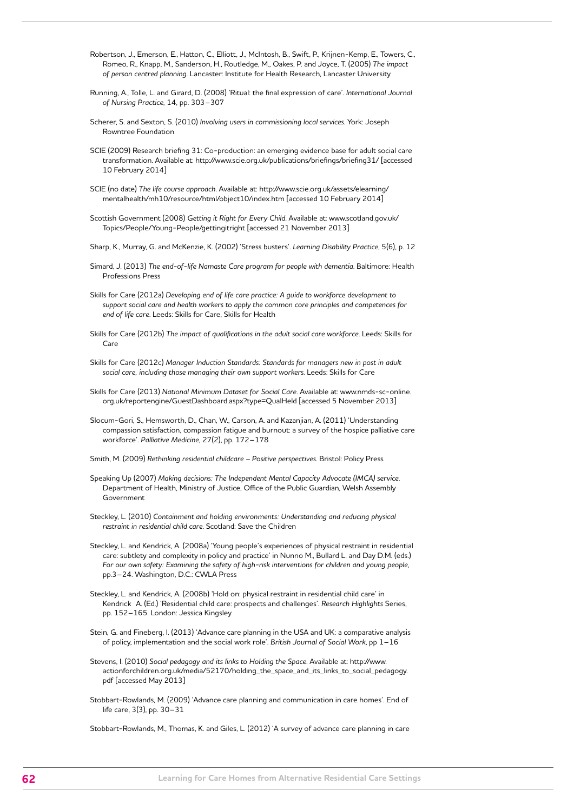- Robertson, J., Emerson, E., Hatton, C., Elliott, J., McIntosh, B., Swift, P., Krijnen-Kemp, E., Towers, C., Romeo, R., Knapp, M., Sanderson, H., Routledge, M., Oakes, P. and Joyce, T. (2005) *The impact of person centred planning*. Lancaster: Institute for Health Research, Lancaster University
- Running, A., Tolle, L. and Girard, D. (2008) 'Ritual: the final expression of care'. *International Journal of Nursing Practice*, 14, pp. 303–307
- Scherer, S. and Sexton, S. (2010) *Involving users in commissioning local services*. York: Joseph Rowntree Foundation
- SCIE (2009) Research briefing 31: Co-production: an emerging evidence base for adult social care transformation. Available at: http://www.scie.org.uk/publications/briefings/briefing31/ [accessed 10 February 2014]
- SCIE (no date) *The life course approach*. Available at: http://www.scie.org.uk/assets/elearning/ mentalhealth/mh10/resource/html/object10/index.htm [accessed 10 February 2014]
- Scottish Government (2008) *Getting it Right for Every Child*. Available at: [www.scotland.gov.uk/](http://www.scotland.gov.uk/Topics/People/Young-People/gettingitright) [Topics/People/Young-People/gettingitright](http://www.scotland.gov.uk/Topics/People/Young-People/gettingitright) [accessed 21 November 2013]
- Sharp, K., Murray, G. and McKenzie, K. (2002) 'Stress busters'. *Learning Disability Practice*, 5(6), p. 12
- Simard, J. (2013) *The end-of-life Namaste Care program for people with dementia*. Baltimore: Health Professions Press
- Skills for Care (2012a) *Developing end of life care practice: A guide to workforce development to support social care and health workers to apply the common core principles and competences for end of life care*. Leeds: Skills for Care, Skills for Health
- Skills for Care (2012b) *The impact of qualifications in the adult social care workforce*. Leeds: Skills for Care
- Skills for Care (2012c) *Manager Induction Standards: Standards for managers new in post in adult social care, including those managing their own support workers*. Leeds: Skills for Care
- Skills for Care (2013) *National Minimum Dataset for Social Care*. Available at: www.nmds-sc-online. org.uk/reportengine/GuestDashboard.aspx?type=QualHeld [accessed 5 November 2013]
- Slocum-Gori, S., Hemsworth, D., Chan, W., Carson, A. and Kazanjian, A. (2011) 'Understanding compassion satisfaction, compassion fatigue and burnout: a survey of the hospice palliative care workforce'. *Palliative Medicine*, 27(2), pp. 172–178
- Smith, M. (2009) *Rethinking residential childcare Positive perspectives*. Bristol: Policy Press
- Speaking Up (2007) *Making decisions: The Independent Mental Capacity Advocate (IMCA) service*. Department of Health, Ministry of Justice, Office of the Public Guardian, Welsh Assembly Government
- Steckley, L. (2010) *Containment and holding environments: Understanding and reducing physical restraint in residential child care*. Scotland: Save the Children
- Steckley, L. and Kendrick, A. (2008a) 'Young people's experiences of physical restraint in residential care: subtlety and complexity in policy and practice' in Nunno M., Bullard L. and Day D.M. (eds.) *For our own safety: Examining the safety of high-risk interventions for children and young people*, pp.3–24. Washington, D.C.: CWLA Press
- Steckley, L. and Kendrick, A. (2008b) 'Hold on: physical restraint in residential child care' in Kendrick A. (Ed.) 'Residential child care: prospects and challenges'. *Research Highlights* Series, pp. 152–165. London: Jessica Kingsley
- Stein, G. and Fineberg, I. (2013) 'Advance care planning in the USA and UK: a comparative analysis of policy, implementation and the social work role'. *British Journal of Social Work*, pp 1–16
- Stevens, I. (2010) *Social pedagogy and its links to Holding the Space*. Available at: http://www. actionforchildren.org.uk/media/52170/holding\_the\_space\_and\_its\_links\_to\_social\_pedagogy. pdf [accessed May 2013]
- Stobbart-Rowlands, M. (2009) 'Advance care planning and communication in care homes'. End of life care, 3(3), pp. 30–31
- Stobbart-Rowlands, M., Thomas, K. and Giles, L. (2012) 'A survey of advance care planning in care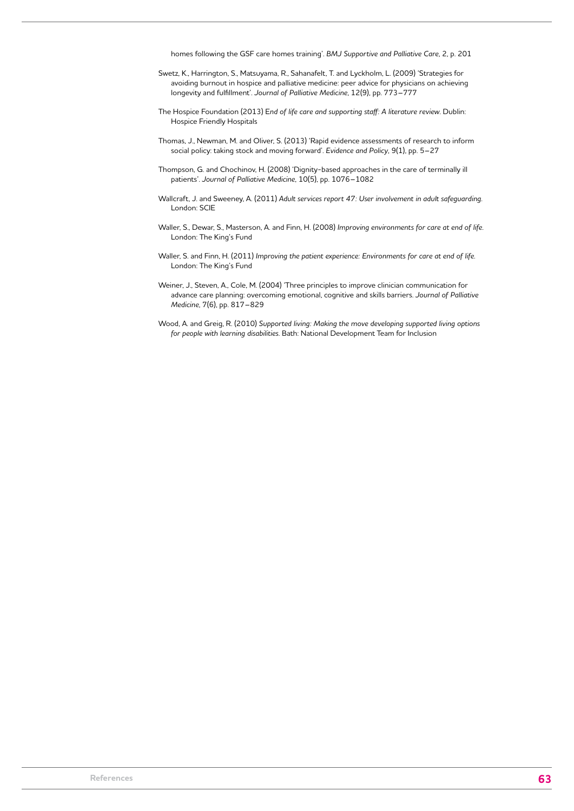homes following the GSF care homes training'. *BMJ Supportive and Palliative Care*, 2, p. 201

- Swetz, K., Harrington, S., Matsuyama, R., Sahanafelt, T. and Lyckholm, L. (2009) 'Strategies for avoiding burnout in hospice and palliative medicine: peer advice for physicians on achieving longevity and fulfillment'. *Journal of Palliative Medicine*, 12(9), pp. 773–777
- The Hospice Foundation (2013) E*nd of life care and supporting staff: A literature review*. Dublin: Hospice Friendly Hospitals
- Thomas, J., Newman, M. and Oliver, S. (2013) 'Rapid evidence assessments of research to inform social policy: taking stock and moving forward'. *Evidence and Policy*, 9(1), pp. 5–27
- Thompson, G. and Chochinov, H. (2008) 'Dignity-based approaches in the care of terminally ill patients'. *Journal of Palliative Medicine*, 10(5), pp. 1076–1082
- Wallcraft, J. and Sweeney, A. (2011) *Adult services report 47: User involvement in adult safeguarding*. London: SCIE
- Waller, S., Dewar, S., Masterson, A. and Finn, H. (2008) *Improving environments for care at end of life*. London: The King's Fund
- Waller, S. and Finn, H. (2011) *Improving the patient experience: Environments for care at end of life*. London: The King's Fund
- Weiner, J., Steven, A., Cole, M. (2004) 'Three principles to improve clinician communication for advance care planning: overcoming emotional, cognitive and skills barriers. *Journal of Palliative Medicine*, 7(6), pp. 817–829
- Wood, A. and Greig, R. (2010) *Supported living: Making the move developing supported living options for people with learning disabilities*. Bath: National Development Team for Inclusion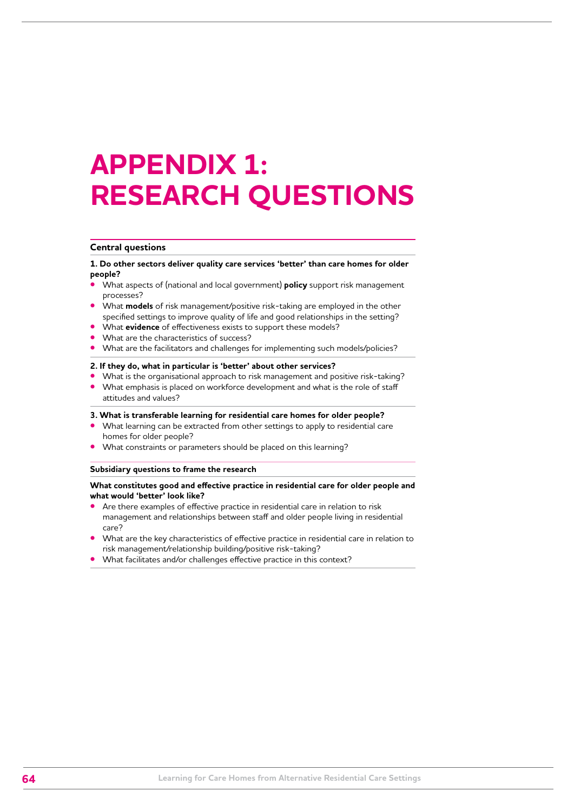# **APPENDIX 1: RESEARCH QUESTIONS**

#### **Central questions**

**1. Do other sectors deliver quality care services 'better' than care homes for older people?**

- **•** What aspects of (national and local government) **policy** support risk management processes?
- **•** What **models** of risk management/positive risk-taking are employed in the other specified settings to improve quality of life and good relationships in the setting?
- **•** What **evidence** of effectiveness exists to support these models?
- **•** What are the characteristics of success?
- **•** What are the facilitators and challenges for implementing such models/policies?

#### **2. If they do, what in particular is 'better' about other services?**

- **•** What is the organisational approach to risk management and positive risk-taking?
- **•** What emphasis is placed on workforce development and what is the role of staff attitudes and values?

#### **3. What is transferable learning for residential care homes for older people?**

- **•** What learning can be extracted from other settings to apply to residential care homes for older people?
- **•** What constraints or parameters should be placed on this learning?

#### **Subsidiary questions to frame the research**

#### **What constitutes good and effective practice in residential care for older people and what would 'better' look like?**

- **•** Are there examples of effective practice in residential care in relation to risk management and relationships between staff and older people living in residential care?
- **•** What are the key characteristics of effective practice in residential care in relation to risk management/relationship building/positive risk-taking?
- **•** What facilitates and/or challenges effective practice in this context?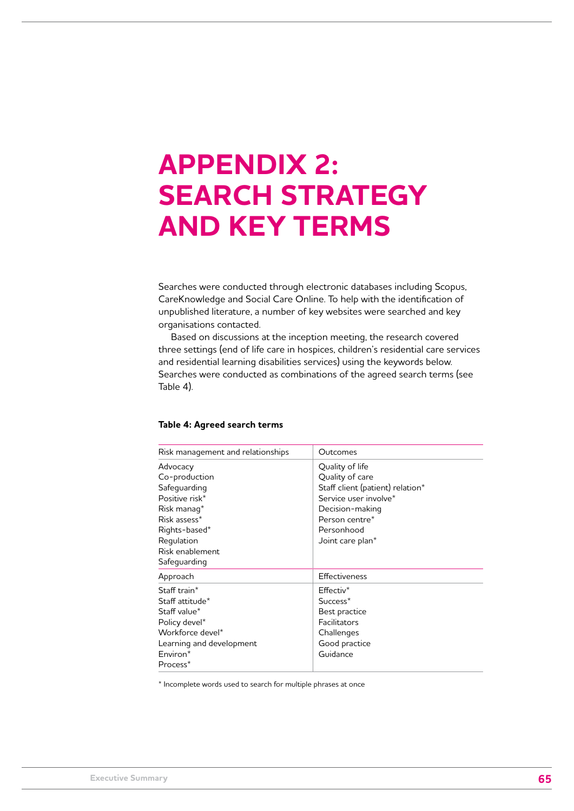# **APPENDIX 2: SEARCH STRATEGY AND KEY TERMS**

Searches were conducted through electronic databases including Scopus, CareKnowledge and Social Care Online. To help with the identification of unpublished literature, a number of key websites were searched and key organisations contacted.

Based on discussions at the inception meeting, the research covered three settings (end of life care in hospices, children's residential care services and residential learning disabilities services) using the keywords below. Searches were conducted as combinations of the agreed search terms (see Table 4).

|  |  | Table 4: Agreed search terms |  |  |
|--|--|------------------------------|--|--|
|--|--|------------------------------|--|--|

| Risk management and relationships | Outcomes                         |
|-----------------------------------|----------------------------------|
| Advocacy                          | Quality of life                  |
| Co-production                     | Quality of care                  |
| Safequarding                      | Staff client (patient) relation* |
| Positive risk*                    | Service user involve*            |
| Risk manag*                       | Decision-making                  |
| Risk assess*                      | Person centre*                   |
| Rights-based*                     | Personhood                       |
| Regulation                        | Joint care plan*                 |
| Risk enablement                   |                                  |
| Safeguarding                      |                                  |
| Approach                          | Effectiveness                    |
| Staff train*                      | $Effectiv*$                      |
| Staff attitude*                   | Success <sup>*</sup>             |
| Staff value*                      | Best practice                    |
| Policy devel*                     | Facilitators                     |
| Workforce devel*                  | Challenges                       |
| Learning and development          | Good practice                    |
| Environ*                          | Guidance                         |
| Process*                          |                                  |

\* Incomplete words used to search for multiple phrases at once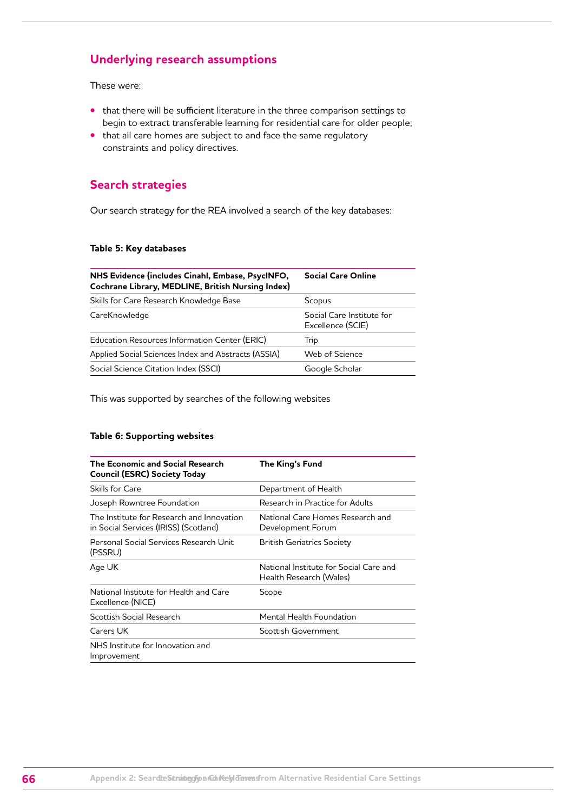## **Underlying research assumptions**

These were:

- **•** that there will be sufficient literature in the three comparison settings to begin to extract transferable learning for residential care for older people;
- **•** that all care homes are subject to and face the same regulatory constraints and policy directives.

## **Search strategies**

Our search strategy for the REA involved a search of the key databases:

#### **Table 5: Key databases**

| NHS Evidence (includes Cinahl, Embase, PsycINFO,<br>Cochrane Library, MEDLINE, British Nursing Index) | <b>Social Care Online</b>                      |  |
|-------------------------------------------------------------------------------------------------------|------------------------------------------------|--|
| Skills for Care Research Knowledge Base                                                               | Scopus                                         |  |
| CareKnowledge                                                                                         | Social Care Institute for<br>Excellence (SCIE) |  |
| Education Resources Information Center (ERIC)                                                         | Trip                                           |  |
| Applied Social Sciences Index and Abstracts (ASSIA)                                                   | Web of Science                                 |  |
| Social Science Citation Index (SSCI)                                                                  | Google Scholar                                 |  |

This was supported by searches of the following websites

#### **Table 6: Supporting websites**

| The Economic and Social Research<br>Council (ESRC) Society Today                   | The King's Fund                                                   |
|------------------------------------------------------------------------------------|-------------------------------------------------------------------|
| Skills for Care                                                                    | Department of Health                                              |
| Joseph Rowntree Foundation                                                         | Research in Practice for Adults                                   |
| The Institute for Research and Innovation<br>in Social Services (IRISS) (Scotland) | National Care Homes Research and<br>Development Forum             |
| Personal Social Services Research Unit<br>(PSSRU)                                  | <b>British Geriatrics Society</b>                                 |
| Age UK                                                                             | National Institute for Social Care and<br>Health Research (Wales) |
| National Institute for Health and Care<br>Excellence (NICE)                        | Scope                                                             |
| Scottish Social Research                                                           | Mental Health Foundation                                          |
| Carers UK                                                                          | Scottish Government                                               |
| NHS Institute for Innovation and<br>Improvement                                    |                                                                   |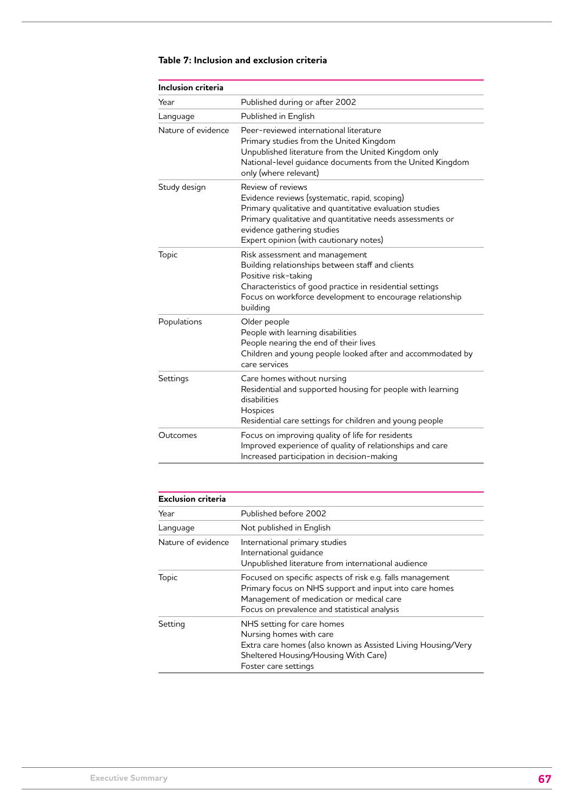| <b>Inclusion criteria</b> |                                                                                                                                                                                                                                                                    |
|---------------------------|--------------------------------------------------------------------------------------------------------------------------------------------------------------------------------------------------------------------------------------------------------------------|
| Year                      | Published during or after 2002                                                                                                                                                                                                                                     |
| Language                  | Published in English                                                                                                                                                                                                                                               |
| Nature of evidence        | Peer-reviewed international literature<br>Primary studies from the United Kingdom<br>Unpublished literature from the United Kingdom only<br>National-level guidance documents from the United Kingdom<br>only (where relevant)                                     |
| Study design              | Review of reviews<br>Evidence reviews (systematic, rapid, scoping)<br>Primary qualitative and quantitative evaluation studies<br>Primary qualitative and quantitative needs assessments or<br>evidence gathering studies<br>Expert opinion (with cautionary notes) |
| Topic                     | Risk assessment and management<br>Building relationships between staff and clients<br>Positive risk-taking<br>Characteristics of good practice in residential settings<br>Focus on workforce development to encourage relationship<br>building                     |
| Populations               | Older people<br>People with learning disabilities<br>People nearing the end of their lives<br>Children and young people looked after and accommodated by<br>care services                                                                                          |
| Settings                  | Care homes without nursing<br>Residential and supported housing for people with learning<br>disabilities<br>Hospices<br>Residential care settings for children and young people                                                                                    |
| Outcomes                  | Focus on improving quality of life for residents<br>Improved experience of quality of relationships and care<br>Increased participation in decision-making                                                                                                         |

#### **Table 7: Inclusion and exclusion criteria**

| <b>Exclusion criteria</b> |                                                                                                                                                                                                                 |
|---------------------------|-----------------------------------------------------------------------------------------------------------------------------------------------------------------------------------------------------------------|
| Year                      | Published before 2002                                                                                                                                                                                           |
| Language                  | Not published in English                                                                                                                                                                                        |
| Nature of evidence        | International primary studies<br>International quidance<br>Unpublished literature from international audience                                                                                                   |
| Topic                     | Focused on specific aspects of risk e.g. falls management<br>Primary focus on NHS support and input into care homes<br>Management of medication or medical care<br>Focus on prevalence and statistical analysis |
| Setting                   | NHS setting for care homes<br>Nursing homes with care<br>Extra care homes (also known as Assisted Living Housing/Very<br>Sheltered Housing/Housing With Care)<br>Foster care settings                           |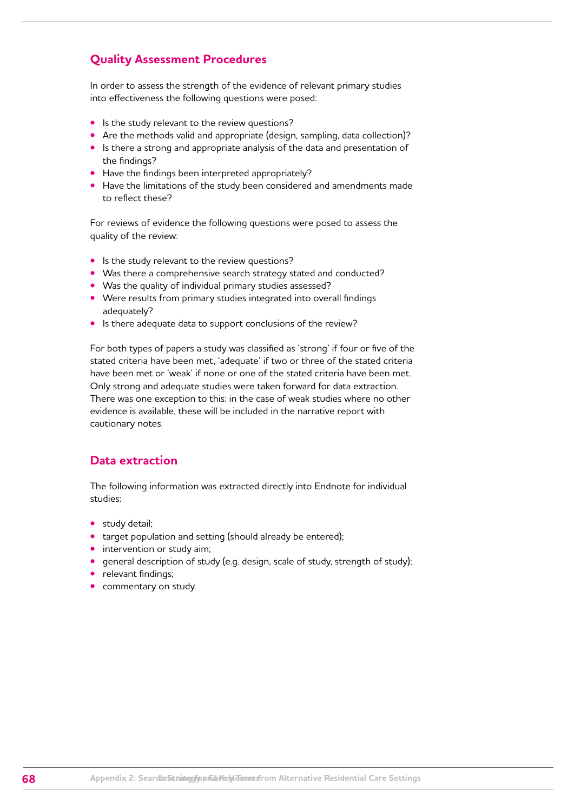## **Quality Assessment Procedures**

In order to assess the strength of the evidence of relevant primary studies into effectiveness the following questions were posed:

- **•** Is the study relevant to the review questions?
- **•** Are the methods valid and appropriate (design, sampling, data collection)?
- **•** Is there a strong and appropriate analysis of the data and presentation of the findings?
- **•** Have the findings been interpreted appropriately?
- **•** Have the limitations of the study been considered and amendments made to reflect these?

For reviews of evidence the following questions were posed to assess the quality of the review:

- **•** Is the study relevant to the review questions?
- **•** Was there a comprehensive search strategy stated and conducted?
- **•** Was the quality of individual primary studies assessed?
- **•** Were results from primary studies integrated into overall findings adequately?
- **•** Is there adequate data to support conclusions of the review?

For both types of papers a study was classified as 'strong' if four or five of the stated criteria have been met, 'adequate' if two or three of the stated criteria have been met or 'weak' if none or one of the stated criteria have been met. Only strong and adequate studies were taken forward for data extraction. There was one exception to this: in the case of weak studies where no other evidence is available, these will be included in the narrative report with cautionary notes.

## **Data extraction**

The following information was extracted directly into Endnote for individual studies:

- **•** study detail;
- **•** target population and setting (should already be entered);
- **•** intervention or study aim;
- **•** general description of study (e.g. design, scale of study, strength of study);
- **•** relevant findings;
- **•** commentary on study.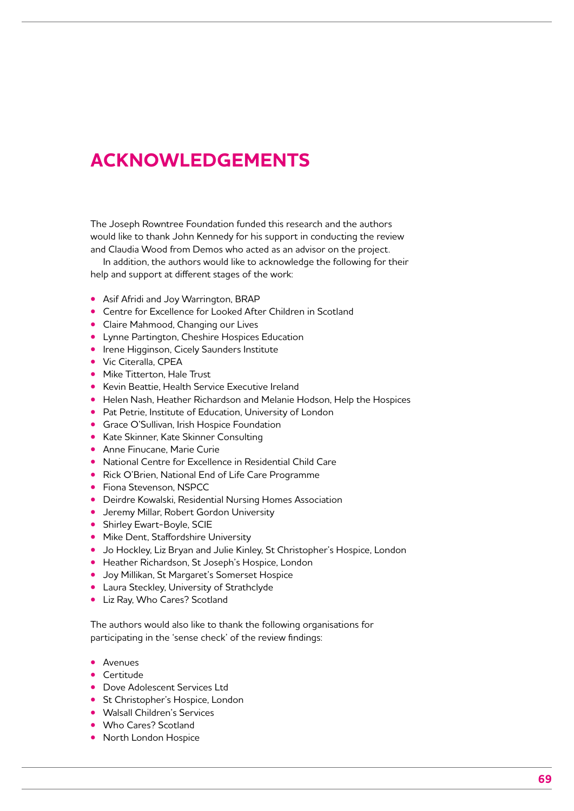## **ACKNOWLEDGEMENTS**

The Joseph Rowntree Foundation funded this research and the authors would like to thank John Kennedy for his support in conducting the review and Claudia Wood from Demos who acted as an advisor on the project.

In addition, the authors would like to acknowledge the following for their help and support at different stages of the work:

- **•** Asif Afridi and Joy Warrington, BRAP
- **•** Centre for Excellence for Looked After Children in Scotland
- **•** Claire Mahmood, Changing our Lives
- **•** Lynne Partington, Cheshire Hospices Education
- **•** Irene Higginson, Cicely Saunders Institute
- **•** Vic Citeralla, CPEA
- **•** Mike Titterton, Hale Trust
- **•** Kevin Beattie, Health Service Executive Ireland
- **•** Helen Nash, Heather Richardson and Melanie Hodson, Help the Hospices
- **•** Pat Petrie, Institute of Education, University of London
- **•** Grace O'Sullivan, Irish Hospice Foundation
- **•** Kate Skinner, Kate Skinner Consulting
- **•** Anne Finucane, Marie Curie
- **•** National Centre for Excellence in Residential Child Care
- **•** Rick O'Brien, National End of Life Care Programme
- **•** Fiona Stevenson, NSPCC
- **•** Deirdre Kowalski, Residential Nursing Homes Association
- **•** Jeremy Millar, Robert Gordon University
- **•** Shirley Ewart-Boyle, SCIE
- **•** Mike Dent, Staffordshire University
- **•** Jo Hockley, Liz Bryan and Julie Kinley, St Christopher's Hospice, London
- **•** Heather Richardson, St Joseph's Hospice, London
- **•** Joy Millikan, St Margaret's Somerset Hospice
- **•** Laura Steckley, University of Strathclyde
- **•** Liz Ray, Who Cares? Scotland

The authors would also like to thank the following organisations for participating in the 'sense check' of the review findings:

- **•** Avenues
- **•** Certitude
- **•** Dove Adolescent Services Ltd
- **•** St Christopher's Hospice, London
- **•** Walsall Children's Services
- **•** Who Cares? Scotland
- **•** North London Hospice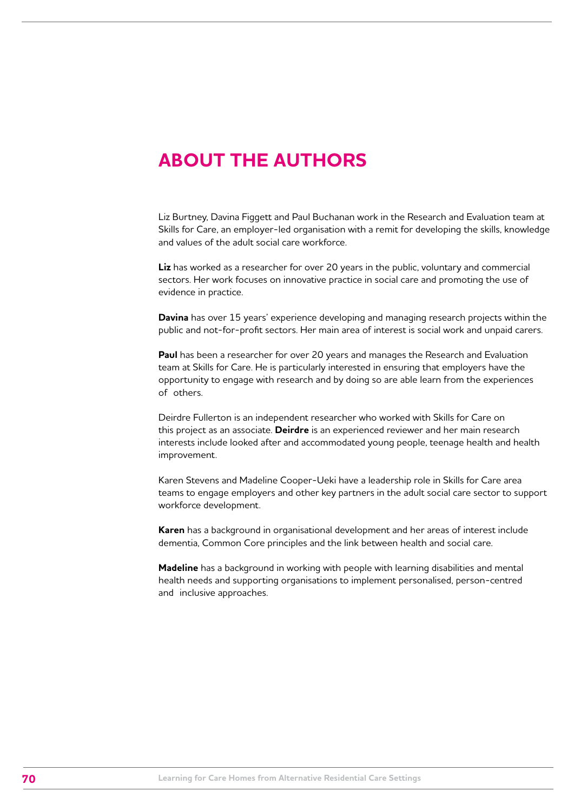## **ABOUT THE AUTHORS**

Liz Burtney, Davina Figgett and Paul Buchanan work in the Research and Evaluation team at Skills for Care, an employer-led organisation with a remit for developing the skills, knowledge and values of the adult social care workforce.

**Liz** has worked as a researcher for over 20 years in the public, voluntary and commercial sectors. Her work focuses on innovative practice in social care and promoting the use of evidence in practice.

**Davina** has over 15 years' experience developing and managing research projects within the public and not-for-profit sectors. Her main area of interest is social work and unpaid carers.

**Paul** has been a researcher for over 20 years and manages the Research and Evaluation team at Skills for Care. He is particularly interested in ensuring that employers have the opportunity to engage with research and by doing so are able learn from the experiences of others.

Deirdre Fullerton is an independent researcher who worked with Skills for Care on this project as an associate. **Deirdre** is an experienced reviewer and her main research interests include looked after and accommodated young people, teenage health and health improvement.

Karen Stevens and Madeline Cooper-Ueki have a leadership role in Skills for Care area teams to engage employers and other key partners in the adult social care sector to support workforce development.

**Karen** has a background in organisational development and her areas of interest include dementia, Common Core principles and the link between health and social care.

**Madeline** has a background in working with people with learning disabilities and mental health needs and supporting organisations to implement personalised, person-centred and inclusive approaches.